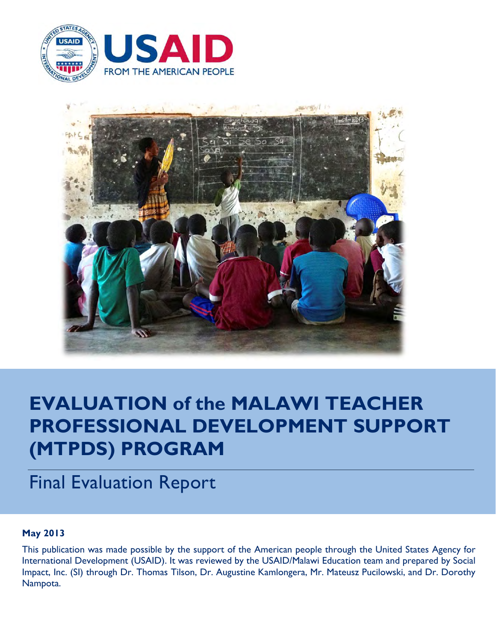



# **EVALUATION of the MALAWI TEACHER PROFESSIONAL DEVELOPMENT SUPPORT (MTPDS) PROGRAM**

# Final Evaluation Report

# **May 2013**

This publication was made possible by the support of the American people through the United States Agency for International Development (USAID). It was reviewed by the USAID/Malawi Education team and prepared by Social Impact, Inc. (SI) through Dr. Thomas Tilson, Dr. Augustine Kamlongera, Mr. Mateusz Pucilowski, and Dr. Dorothy Nampota.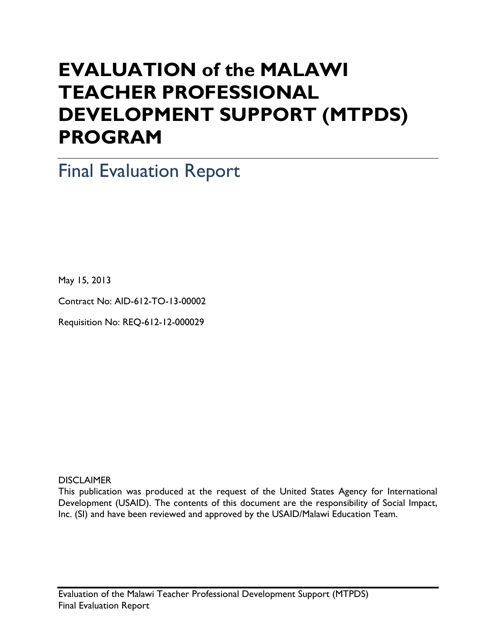# **EVALUATION of the MALAWI TEACHER PROFESSIONAL DEVELOPMENT SUPPORT (MTPDS) PROGRAM**

Final Evaluation Report

May 15, 2013

Contract No: AID-612-TO-13-00002

Requisition No: REQ-612-12-000029

**DISCLAIMER** 

This publication was produced at the request of the United States Agency for International Development (USAID). The contents of this document are the responsibility of Social Impact, Inc. (SI) and have been reviewed and approved by the USAID/Malawi Education Team.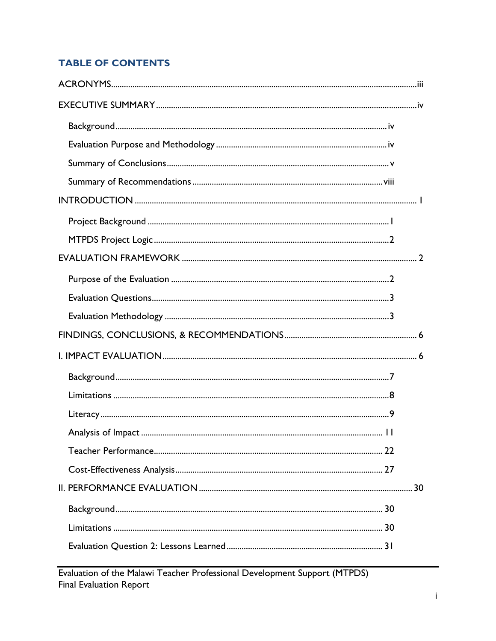# **TABLE OF CONTENTS**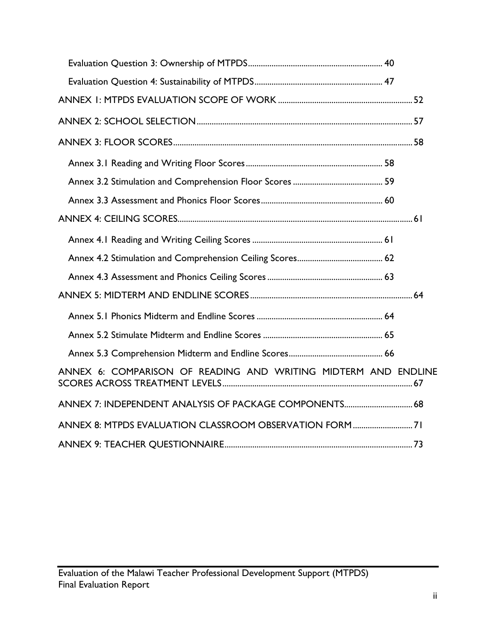| ANNEX 6: COMPARISON OF READING AND WRITING MIDTERM AND ENDLINE |  |
|----------------------------------------------------------------|--|
| ANNEX 7: INDEPENDENT ANALYSIS OF PACKAGE COMPONENTS 68         |  |
| ANNEX 8: MTPDS EVALUATION CLASSROOM OBSERVATION FORM71         |  |
|                                                                |  |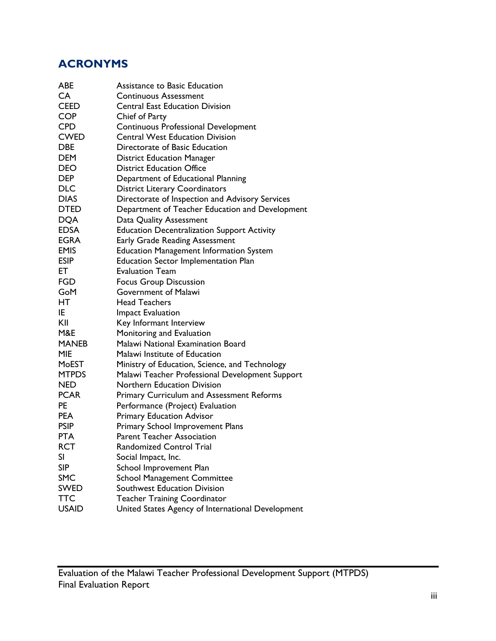# **ACRONYMS**

| <b>ABE</b>   | Assistance to Basic Education                      |
|--------------|----------------------------------------------------|
| CA.          | <b>Continuous Assessment</b>                       |
| <b>CEED</b>  | <b>Central East Education Division</b>             |
| <b>COP</b>   | Chief of Party                                     |
| <b>CPD</b>   | Continuous Professional Development                |
| <b>CWED</b>  | <b>Central West Education Division</b>             |
| <b>DBE</b>   | Directorate of Basic Education                     |
| <b>DEM</b>   | <b>District Education Manager</b>                  |
| <b>DEO</b>   | <b>District Education Office</b>                   |
| <b>DEP</b>   | Department of Educational Planning                 |
| <b>DLC</b>   | <b>District Literary Coordinators</b>              |
| <b>DIAS</b>  | Directorate of Inspection and Advisory Services    |
| <b>DTED</b>  | Department of Teacher Education and Development    |
| <b>DQA</b>   | Data Quality Assessment                            |
| <b>EDSA</b>  | <b>Education Decentralization Support Activity</b> |
| <b>EGRA</b>  | Early Grade Reading Assessment                     |
| <b>EMIS</b>  | <b>Education Management Information System</b>     |
| <b>ESIP</b>  | Education Sector Implementation Plan               |
| ET           | <b>Evaluation Team</b>                             |
| FGD          | <b>Focus Group Discussion</b>                      |
| GoM          | Government of Malawi                               |
| HТ           | <b>Head Teachers</b>                               |
| IE           | <b>Impact Evaluation</b>                           |
| KII          | Key Informant Interview                            |
| M&E          | Monitoring and Evaluation                          |
| <b>MANEB</b> | Malawi National Examination Board                  |
| <b>MIE</b>   | Malawi Institute of Education                      |
| MoEST        | Ministry of Education, Science, and Technology     |
| <b>MTPDS</b> | Malawi Teacher Professional Development Support    |
| <b>NED</b>   | Northern Education Division                        |
| <b>PCAR</b>  | <b>Primary Curriculum and Assessment Reforms</b>   |
| <b>PE</b>    | Performance (Project) Evaluation                   |
| <b>PEA</b>   | <b>Primary Education Advisor</b>                   |
| <b>PSIP</b>  | Primary School Improvement Plans                   |
| <b>PTA</b>   | <b>Parent Teacher Association</b>                  |
| <b>RCT</b>   | Randomized Control Trial                           |
| SI           | Social Impact, Inc.                                |
| <b>SIP</b>   | School Improvement Plan                            |
| <b>SMC</b>   | <b>School Management Committee</b>                 |
| <b>SWED</b>  | Southwest Education Division                       |
| <b>TTC</b>   | <b>Teacher Training Coordinator</b>                |
| <b>USAID</b> | United States Agency of International Development  |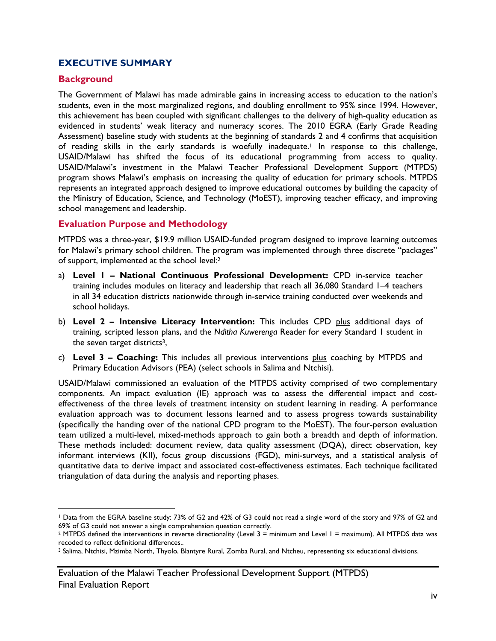# **EXECUTIVE SUMMARY**

## **Background**

 $\overline{a}$ 

The Government of Malawi has made admirable gains in increasing access to education to the nation's students, even in the most marginalized regions, and doubling enrollment to 95% since 1994. However, this achievement has been coupled with significant challenges to the delivery of high-quality education as evidenced in students' weak literacy and numeracy scores. The 2010 EGRA (Early Grade Reading Assessment) baseline study with students at the beginning of standards 2 and 4 confirms that acquisition of reading skills in the early standards is woefully inadequate.<sup>1</sup> In response to this challenge, USAID/Malawi has shifted the focus of its educational programming from access to quality. USAID/Malawi's investment in the Malawi Teacher Professional Development Support (MTPDS) program shows Malawi's emphasis on increasing the quality of education for primary schools. MTPDS represents an integrated approach designed to improve educational outcomes by building the capacity of the Ministry of Education, Science, and Technology (MoEST), improving teacher efficacy, and improving school management and leadership.

## **Evaluation Purpose and Methodology**

MTPDS was a three-year, \$19.9 million USAID-funded program designed to improve learning outcomes for Malawi's primary school children. The program was implemented through three discrete "packages" of support, implemented at the school level:2

- a) **Level 1 National Continuous Professional Development:** CPD in-service teacher training includes modules on literacy and leadership that reach all 36,080 Standard 1–4 teachers in all 34 education districts nationwide through in-service training conducted over weekends and school holidays.
- b) **Level 2 Intensive Literacy Intervention:** This includes CPD plus additional days of training, scripted lesson plans, and the *Nditha Kuwerenga* Reader for every Standard 1 student in the seven target districts<sup>3</sup>,
- c) **Level 3 Coaching:** This includes all previous interventions plus coaching by MTPDS and Primary Education Advisors (PEA) (select schools in Salima and Ntchisi).

USAID/Malawi commissioned an evaluation of the MTPDS activity comprised of two complementary components. An impact evaluation (IE) approach was to assess the differential impact and costeffectiveness of the three levels of treatment intensity on student learning in reading. A performance evaluation approach was to document lessons learned and to assess progress towards sustainability (specifically the handing over of the national CPD program to the MoEST). The four-person evaluation team utilized a multi-level, mixed-methods approach to gain both a breadth and depth of information. These methods included: document review, data quality assessment (DQA), direct observation, key informant interviews (KII), focus group discussions (FGD), mini-surveys, and a statistical analysis of quantitative data to derive impact and associated cost-effectiveness estimates. Each technique facilitated triangulation of data during the analysis and reporting phases.

<sup>1</sup> Data from the EGRA baseline study: 73% of G2 and 42% of G3 could not read a single word of the story and 97% of G2 and 69% of G3 could not answer a single comprehension question correctly.

<sup>2</sup> MTPDS defined the interventions in reverse directionality (Level 3 = minimum and Level 1 = maximum). All MTPDS data was recoded to reflect definitional differences..

<sup>3</sup> Salima, Ntchisi, Mzimba North, Thyolo, Blantyre Rural, Zomba Rural, and Ntcheu, representing six educational divisions.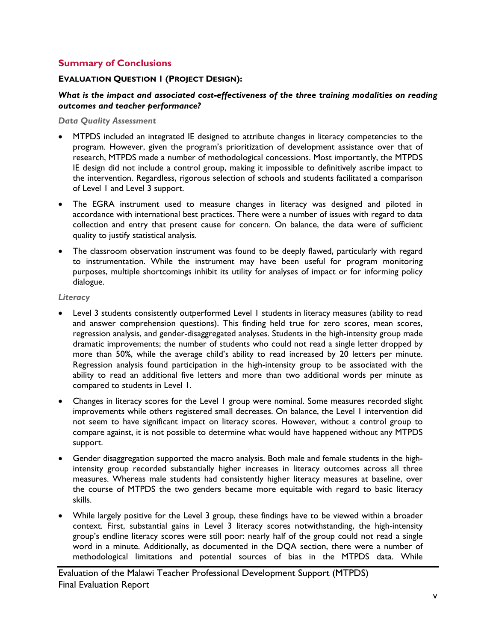## **Summary of Conclusions**

#### **EVALUATION QUESTION 1 (PROJECT DESIGN):**

#### *What is the impact and associated cost-effectiveness of the three training modalities on reading outcomes and teacher performance?*

*Data Quality Assessment* 

- MTPDS included an integrated IE designed to attribute changes in literacy competencies to the program. However, given the program's prioritization of development assistance over that of research, MTPDS made a number of methodological concessions. Most importantly, the MTPDS IE design did not include a control group, making it impossible to definitively ascribe impact to the intervention. Regardless, rigorous selection of schools and students facilitated a comparison of Level 1 and Level 3 support.
- The EGRA instrument used to measure changes in literacy was designed and piloted in accordance with international best practices. There were a number of issues with regard to data collection and entry that present cause for concern. On balance, the data were of sufficient quality to justify statistical analysis.
- The classroom observation instrument was found to be deeply flawed, particularly with regard to instrumentation. While the instrument may have been useful for program monitoring purposes, multiple shortcomings inhibit its utility for analyses of impact or for informing policy dialogue.

#### *Literacy*

- Level 3 students consistently outperformed Level 1 students in literacy measures (ability to read and answer comprehension questions). This finding held true for zero scores, mean scores, regression analysis, and gender-disaggregated analyses. Students in the high-intensity group made dramatic improvements; the number of students who could not read a single letter dropped by more than 50%, while the average child's ability to read increased by 20 letters per minute. Regression analysis found participation in the high-intensity group to be associated with the ability to read an additional five letters and more than two additional words per minute as compared to students in Level 1.
- Changes in literacy scores for the Level 1 group were nominal. Some measures recorded slight improvements while others registered small decreases. On balance, the Level 1 intervention did not seem to have significant impact on literacy scores. However, without a control group to compare against, it is not possible to determine what would have happened without any MTPDS support.
- Gender disaggregation supported the macro analysis. Both male and female students in the highintensity group recorded substantially higher increases in literacy outcomes across all three measures. Whereas male students had consistently higher literacy measures at baseline, over the course of MTPDS the two genders became more equitable with regard to basic literacy skills.
- While largely positive for the Level 3 group, these findings have to be viewed within a broader context. First, substantial gains in Level 3 literacy scores notwithstanding, the high-intensity group's endline literacy scores were still poor: nearly half of the group could not read a single word in a minute. Additionally, as documented in the DQA section, there were a number of methodological limitations and potential sources of bias in the MTPDS data. While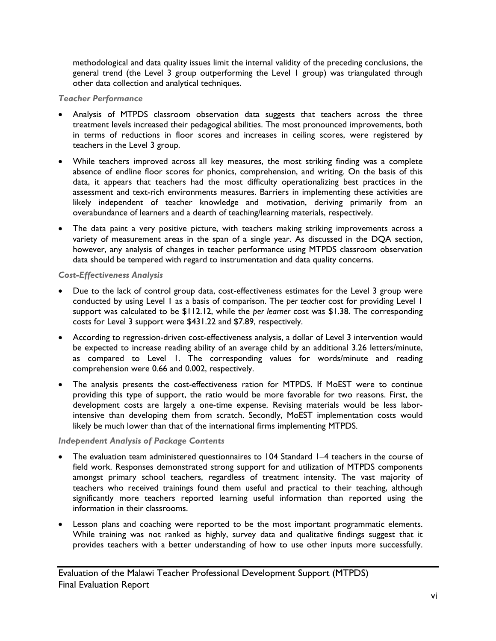methodological and data quality issues limit the internal validity of the preceding conclusions, the general trend (the Level 3 group outperforming the Level 1 group) was triangulated through other data collection and analytical techniques.

#### *Teacher Performance*

- Analysis of MTPDS classroom observation data suggests that teachers across the three treatment levels increased their pedagogical abilities. The most pronounced improvements, both in terms of reductions in floor scores and increases in ceiling scores, were registered by teachers in the Level 3 group.
- While teachers improved across all key measures, the most striking finding was a complete absence of endline floor scores for phonics, comprehension, and writing. On the basis of this data, it appears that teachers had the most difficulty operationalizing best practices in the assessment and text-rich environments measures. Barriers in implementing these activities are likely independent of teacher knowledge and motivation, deriving primarily from an overabundance of learners and a dearth of teaching/learning materials, respectively.
- The data paint a very positive picture, with teachers making striking improvements across a variety of measurement areas in the span of a single year. As discussed in the DQA section, however, any analysis of changes in teacher performance using MTPDS classroom observation data should be tempered with regard to instrumentation and data quality concerns.

#### *Cost-Effectiveness Analysis*

- Due to the lack of control group data, cost-effectiveness estimates for the Level 3 group were conducted by using Level 1 as a basis of comparison. The *per teacher* cost for providing Level 1 support was calculated to be \$112.12, while the *per learner* cost was \$1.38. The corresponding costs for Level 3 support were \$431.22 and \$7.89, respectively.
- According to regression-driven cost-effectiveness analysis, a dollar of Level 3 intervention would be expected to increase reading ability of an average child by an additional 3.26 letters/minute, as compared to Level 1. The corresponding values for words/minute and reading comprehension were 0.66 and 0.002, respectively.
- The analysis presents the cost-effectiveness ration for MTPDS. If MoEST were to continue providing this type of support, the ratio would be more favorable for two reasons. First, the development costs are largely a one-time expense. Revising materials would be less laborintensive than developing them from scratch. Secondly, MoEST implementation costs would likely be much lower than that of the international firms implementing MTPDS.

## *Independent Analysis of Package Contents*

- The evaluation team administered questionnaires to 104 Standard 1–4 teachers in the course of field work. Responses demonstrated strong support for and utilization of MTPDS components amongst primary school teachers, regardless of treatment intensity. The vast majority of teachers who received trainings found them useful and practical to their teaching, although significantly more teachers reported learning useful information than reported using the information in their classrooms.
- Lesson plans and coaching were reported to be the most important programmatic elements. While training was not ranked as highly, survey data and qualitative findings suggest that it provides teachers with a better understanding of how to use other inputs more successfully.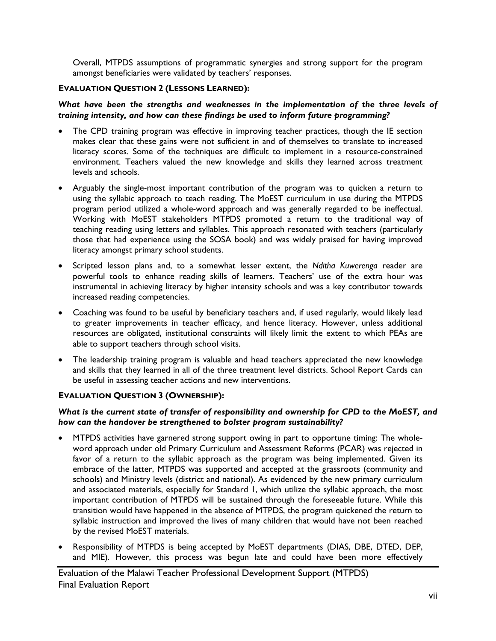Overall, MTPDS assumptions of programmatic synergies and strong support for the program amongst beneficiaries were validated by teachers' responses.

#### **EVALUATION QUESTION 2 (LESSONS LEARNED):**

#### *What have been the strengths and weaknesses in the implementation of the three levels of training intensity, and how can these findings be used to inform future programming?*

- The CPD training program was effective in improving teacher practices, though the IE section makes clear that these gains were not sufficient in and of themselves to translate to increased literacy scores. Some of the techniques are difficult to implement in a resource-constrained environment. Teachers valued the new knowledge and skills they learned across treatment levels and schools.
- Arguably the single-most important contribution of the program was to quicken a return to using the syllabic approach to teach reading. The MoEST curriculum in use during the MTPDS program period utilized a whole-word approach and was generally regarded to be ineffectual. Working with MoEST stakeholders MTPDS promoted a return to the traditional way of teaching reading using letters and syllables. This approach resonated with teachers (particularly those that had experience using the SOSA book) and was widely praised for having improved literacy amongst primary school students.
- Scripted lesson plans and, to a somewhat lesser extent, the *Nditha Kuwerenga* reader are powerful tools to enhance reading skills of learners. Teachers' use of the extra hour was instrumental in achieving literacy by higher intensity schools and was a key contributor towards increased reading competencies.
- Coaching was found to be useful by beneficiary teachers and, if used regularly, would likely lead to greater improvements in teacher efficacy, and hence literacy. However, unless additional resources are obligated, institutional constraints will likely limit the extent to which PEAs are able to support teachers through school visits.
- The leadership training program is valuable and head teachers appreciated the new knowledge and skills that they learned in all of the three treatment level districts. School Report Cards can be useful in assessing teacher actions and new interventions.

## **EVALUATION QUESTION 3 (OWNERSHIP):**

#### *What is the current state of transfer of responsibility and ownership for CPD to the MoEST, and how can the handover be strengthened to bolster program sustainability?*

- MTPDS activities have garnered strong support owing in part to opportune timing: The wholeword approach under old Primary Curriculum and Assessment Reforms (PCAR) was rejected in favor of a return to the syllabic approach as the program was being implemented. Given its embrace of the latter, MTPDS was supported and accepted at the grassroots (community and schools) and Ministry levels (district and national). As evidenced by the new primary curriculum and associated materials, especially for Standard 1, which utilize the syllabic approach, the most important contribution of MTPDS will be sustained through the foreseeable future. While this transition would have happened in the absence of MTPDS, the program quickened the return to syllabic instruction and improved the lives of many children that would have not been reached by the revised MoEST materials.
- Responsibility of MTPDS is being accepted by MoEST departments (DIAS, DBE, DTED, DEP, and MIE). However, this process was begun late and could have been more effectively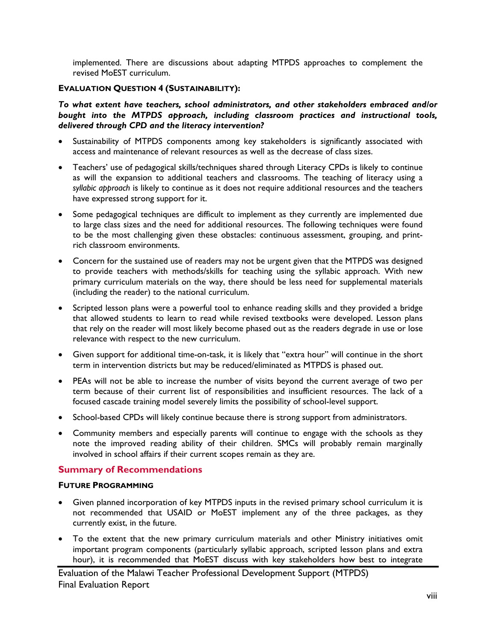implemented. There are discussions about adapting MTPDS approaches to complement the revised MoEST curriculum.

#### **EVALUATION QUESTION 4 (SUSTAINABILITY):**

*To what extent have teachers, school administrators, and other stakeholders embraced and/or bought into the MTPDS approach, including classroom practices and instructional tools, delivered through CPD and the literacy intervention?* 

- Sustainability of MTPDS components among key stakeholders is significantly associated with access and maintenance of relevant resources as well as the decrease of class sizes.
- Teachers' use of pedagogical skills/techniques shared through Literacy CPDs is likely to continue as will the expansion to additional teachers and classrooms. The teaching of literacy using a *syllabic approach* is likely to continue as it does not require additional resources and the teachers have expressed strong support for it.
- Some pedagogical techniques are difficult to implement as they currently are implemented due to large class sizes and the need for additional resources. The following techniques were found to be the most challenging given these obstacles: continuous assessment, grouping, and printrich classroom environments.
- Concern for the sustained use of readers may not be urgent given that the MTPDS was designed to provide teachers with methods/skills for teaching using the syllabic approach. With new primary curriculum materials on the way, there should be less need for supplemental materials (including the reader) to the national curriculum.
- Scripted lesson plans were a powerful tool to enhance reading skills and they provided a bridge that allowed students to learn to read while revised textbooks were developed. Lesson plans that rely on the reader will most likely become phased out as the readers degrade in use or lose relevance with respect to the new curriculum.
- Given support for additional time-on-task, it is likely that "extra hour" will continue in the short term in intervention districts but may be reduced/eliminated as MTPDS is phased out.
- PEAs will not be able to increase the number of visits beyond the current average of two per term because of their current list of responsibilities and insufficient resources. The lack of a focused cascade training model severely limits the possibility of school-level support.
- School-based CPDs will likely continue because there is strong support from administrators.
- Community members and especially parents will continue to engage with the schools as they note the improved reading ability of their children. SMCs will probably remain marginally involved in school affairs if their current scopes remain as they are.

## **Summary of Recommendations**

#### **FUTURE PROGRAMMING**

- Given planned incorporation of key MTPDS inputs in the revised primary school curriculum it is not recommended that USAID or MoEST implement any of the three packages, as they currently exist, in the future.
- To the extent that the new primary curriculum materials and other Ministry initiatives omit important program components (particularly syllabic approach, scripted lesson plans and extra hour), it is recommended that MoEST discuss with key stakeholders how best to integrate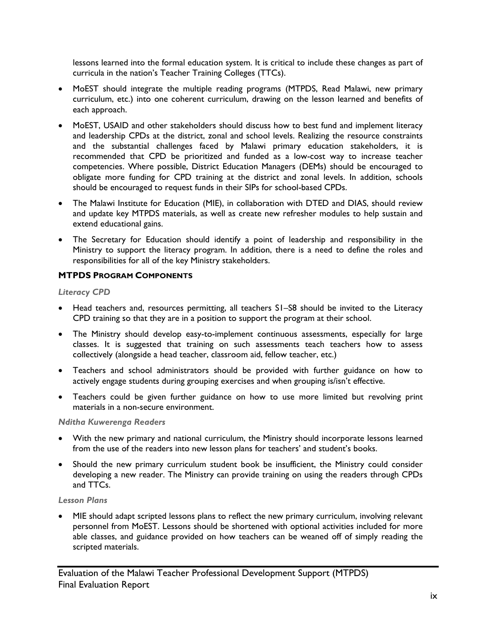lessons learned into the formal education system. It is critical to include these changes as part of curricula in the nation's Teacher Training Colleges (TTCs).

- MoEST should integrate the multiple reading programs (MTPDS, Read Malawi, new primary curriculum, etc.) into one coherent curriculum, drawing on the lesson learned and benefits of each approach.
- MoEST, USAID and other stakeholders should discuss how to best fund and implement literacy and leadership CPDs at the district, zonal and school levels. Realizing the resource constraints and the substantial challenges faced by Malawi primary education stakeholders, it is recommended that CPD be prioritized and funded as a low-cost way to increase teacher competencies. Where possible, District Education Managers (DEMs) should be encouraged to obligate more funding for CPD training at the district and zonal levels. In addition, schools should be encouraged to request funds in their SIPs for school-based CPDs.
- The Malawi Institute for Education (MIE), in collaboration with DTED and DIAS, should review and update key MTPDS materials, as well as create new refresher modules to help sustain and extend educational gains.
- The Secretary for Education should identify a point of leadership and responsibility in the Ministry to support the literacy program. In addition, there is a need to define the roles and responsibilities for all of the key Ministry stakeholders.

## **MTPDS PROGRAM COMPONENTS**

#### *Literacy CPD*

- Head teachers and, resources permitting, all teachers S1–S8 should be invited to the Literacy CPD training so that they are in a position to support the program at their school.
- The Ministry should develop easy-to-implement continuous assessments, especially for large classes. It is suggested that training on such assessments teach teachers how to assess collectively (alongside a head teacher, classroom aid, fellow teacher, etc.)
- Teachers and school administrators should be provided with further guidance on how to actively engage students during grouping exercises and when grouping is/isn't effective.
- Teachers could be given further guidance on how to use more limited but revolving print materials in a non-secure environment.

## *Nditha Kuwerenga Readers*

- With the new primary and national curriculum, the Ministry should incorporate lessons learned from the use of the readers into new lesson plans for teachers' and student's books.
- Should the new primary curriculum student book be insufficient, the Ministry could consider developing a new reader. The Ministry can provide training on using the readers through CPDs and TTCs.

## *Lesson Plans*

 MIE should adapt scripted lessons plans to reflect the new primary curriculum, involving relevant personnel from MoEST. Lessons should be shortened with optional activities included for more able classes, and guidance provided on how teachers can be weaned off of simply reading the scripted materials.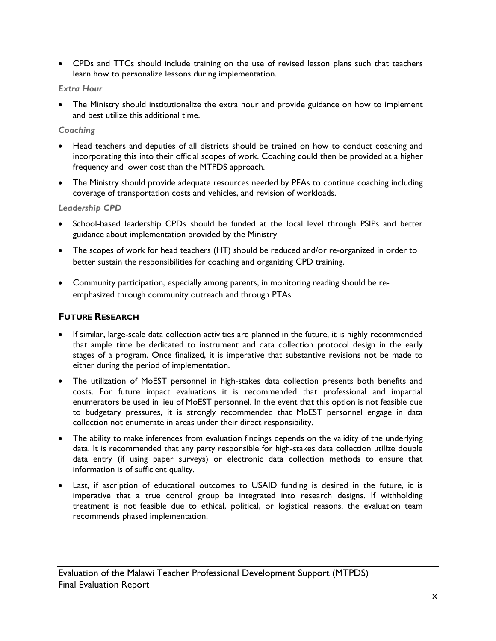CPDs and TTCs should include training on the use of revised lesson plans such that teachers learn how to personalize lessons during implementation.

## *Extra Hour*

 The Ministry should institutionalize the extra hour and provide guidance on how to implement and best utilize this additional time.

#### *Coaching*

- Head teachers and deputies of all districts should be trained on how to conduct coaching and incorporating this into their official scopes of work. Coaching could then be provided at a higher frequency and lower cost than the MTPDS approach.
- The Ministry should provide adequate resources needed by PEAs to continue coaching including coverage of transportation costs and vehicles, and revision of workloads.

## *Leadership CPD*

- School-based leadership CPDs should be funded at the local level through PSIPs and better guidance about implementation provided by the Ministry
- The scopes of work for head teachers (HT) should be reduced and/or re-organized in order to better sustain the responsibilities for coaching and organizing CPD training.
- Community participation, especially among parents, in monitoring reading should be reemphasized through community outreach and through PTAs

## **FUTURE RESEARCH**

- If similar, large-scale data collection activities are planned in the future, it is highly recommended that ample time be dedicated to instrument and data collection protocol design in the early stages of a program. Once finalized, it is imperative that substantive revisions not be made to either during the period of implementation.
- The utilization of MoEST personnel in high-stakes data collection presents both benefits and costs. For future impact evaluations it is recommended that professional and impartial enumerators be used in lieu of MoEST personnel. In the event that this option is not feasible due to budgetary pressures, it is strongly recommended that MoEST personnel engage in data collection not enumerate in areas under their direct responsibility.
- The ability to make inferences from evaluation findings depends on the validity of the underlying data. It is recommended that any party responsible for high-stakes data collection utilize double data entry (if using paper surveys) or electronic data collection methods to ensure that information is of sufficient quality.
- Last, if ascription of educational outcomes to USAID funding is desired in the future, it is imperative that a true control group be integrated into research designs. If withholding treatment is not feasible due to ethical, political, or logistical reasons, the evaluation team recommends phased implementation.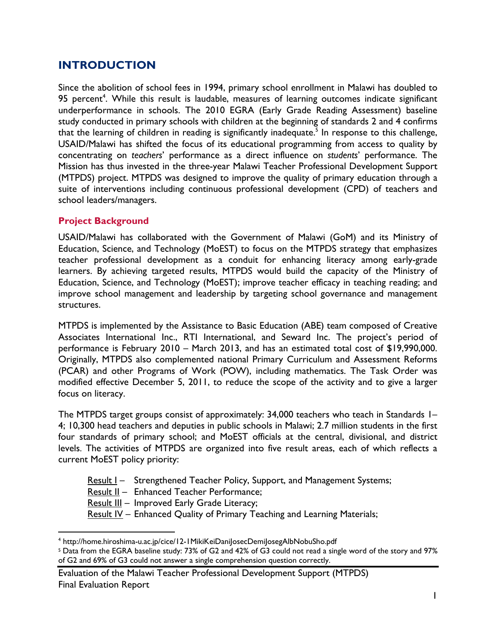# **INTRODUCTION**

Since the abolition of school fees in 1994, primary school enrollment in Malawi has doubled to 95 percent<sup>4</sup>. While this result is laudable, measures of learning outcomes indicate significant underperformance in schools. The 2010 EGRA (Early Grade Reading Assessment) baseline study conducted in primary schools with children at the beginning of standards 2 and 4 confirms that the learning of children in reading is significantly inadequate.<sup>5</sup> In response to this challenge, USAID/Malawi has shifted the focus of its educational programming from access to quality by concentrating on *teachers*' performance as a direct influence on *students*' performance. The Mission has thus invested in the three-year Malawi Teacher Professional Development Support (MTPDS) project. MTPDS was designed to improve the quality of primary education through a suite of interventions including continuous professional development (CPD) of teachers and school leaders/managers.

## **Project Background**

 $\overline{a}$ 

USAID/Malawi has collaborated with the Government of Malawi (GoM) and its Ministry of Education, Science, and Technology (MoEST) to focus on the MTPDS strategy that emphasizes teacher professional development as a conduit for enhancing literacy among early-grade learners. By achieving targeted results, MTPDS would build the capacity of the Ministry of Education, Science, and Technology (MoEST); improve teacher efficacy in teaching reading; and improve school management and leadership by targeting school governance and management structures.

MTPDS is implemented by the Assistance to Basic Education (ABE) team composed of Creative Associates International Inc., RTI International, and Seward Inc. The project's period of performance is February 2010 – March 2013, and has an estimated total cost of \$19,990,000. Originally, MTPDS also complemented national Primary Curriculum and Assessment Reforms (PCAR) and other Programs of Work (POW), including mathematics. The Task Order was modified effective December 5, 2011, to reduce the scope of the activity and to give a larger focus on literacy.

The MTPDS target groups consist of approximately: 34,000 teachers who teach in Standards I-4; 10,300 head teachers and deputies in public schools in Malawi; 2.7 million students in the first four standards of primary school; and MoEST officials at the central, divisional, and district levels. The activities of MTPDS are organized into five result areas, each of which reflects a current MoEST policy priority:

- Result I Strengthened Teacher Policy, Support, and Management Systems;
- Result II Enhanced Teacher Performance;
- Result III Improved Early Grade Literacy;
- Result IV Enhanced Quality of Primary Teaching and Learning Materials;

<sup>&</sup>lt;sup>4</sup> http://home.hiroshima-u.ac.jp/cice/12-1MikiKeiDaniJosecDemiJosegAlbNobuSho.pdf

<sup>5</sup> Data from the EGRA baseline study: 73% of G2 and 42% of G3 could not read a single word of the story and 97% of G2 and 69% of G3 could not answer a single comprehension question correctly.

Evaluation of the Malawi Teacher Professional Development Support (MTPDS) Final Evaluation Report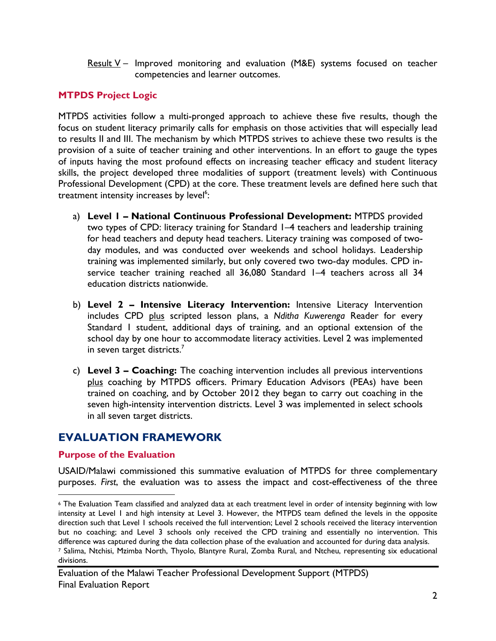Result  $V -$  Improved monitoring and evaluation (M&E) systems focused on teacher competencies and learner outcomes.

# **MTPDS Project Logic**

MTPDS activities follow a multi-pronged approach to achieve these five results, though the focus on student literacy primarily calls for emphasis on those activities that will especially lead to results II and III. The mechanism by which MTPDS strives to achieve these two results is the provision of a suite of teacher training and other interventions. In an effort to gauge the types of inputs having the most profound effects on increasing teacher efficacy and student literacy skills, the project developed three modalities of support (treatment levels) with Continuous Professional Development (CPD) at the core. These treatment levels are defined here such that treatment intensity increases by level<sup>6</sup>:

- a) **Level 1 National Continuous Professional Development:** MTPDS provided two types of CPD: literacy training for Standard 1–4 teachers and leadership training for head teachers and deputy head teachers. Literacy training was composed of twoday modules, and was conducted over weekends and school holidays. Leadership training was implemented similarly, but only covered two two-day modules. CPD inservice teacher training reached all 36,080 Standard 1-4 teachers across all 34 education districts nationwide.
- b) **Level 2 Intensive Literacy Intervention:** Intensive Literacy Intervention includes CPD plus scripted lesson plans, a *Nditha Kuwerenga* Reader for every Standard 1 student, additional days of training, and an optional extension of the school day by one hour to accommodate literacy activities. Level 2 was implemented in seven target districts. $<sup>7</sup>$ </sup>
- c) **Level 3 Coaching:** The coaching intervention includes all previous interventions plus coaching by MTPDS officers. Primary Education Advisors (PEAs) have been trained on coaching, and by October 2012 they began to carry out coaching in the seven high-intensity intervention districts. Level 3 was implemented in select schools in all seven target districts.

# **EVALUATION FRAMEWORK**

# **Purpose of the Evaluation**

USAID/Malawi commissioned this summative evaluation of MTPDS for three complementary purposes. *First*, the evaluation was to assess the impact and cost-effectiveness of the three

 $\overline{a}$ 

<sup>6</sup> The Evaluation Team classified and analyzed data at each treatment level in order of intensity beginning with low intensity at Level 1 and high intensity at Level 3. However, the MTPDS team defined the levels in the opposite direction such that Level 1 schools received the full intervention; Level 2 schools received the literacy intervention but no coaching; and Level 3 schools only received the CPD training and essentially no intervention. This difference was captured during the data collection phase of the evaluation and accounted for during data analysis.<br>7 Salima, Ntchisi, Mzimba North, Thyolo, Blantyre Rural, Zomba Rural, and Ntcheu, representing six educatio

divisions.

Evaluation of the Malawi Teacher Professional Development Support (MTPDS) Final Evaluation Report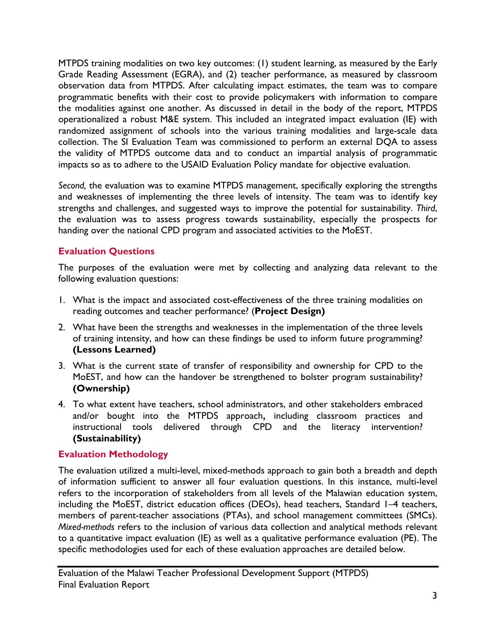MTPDS training modalities on two key outcomes: (1) student learning, as measured by the Early Grade Reading Assessment (EGRA), and (2) teacher performance, as measured by classroom observation data from MTPDS. After calculating impact estimates, the team was to compare programmatic benefits with their cost to provide policymakers with information to compare the modalities against one another. As discussed in detail in the body of the report, MTPDS operationalized a robust M&E system. This included an integrated impact evaluation (IE) with randomized assignment of schools into the various training modalities and large-scale data collection. The SI Evaluation Team was commissioned to perform an external DQA to assess the validity of MTPDS outcome data and to conduct an impartial analysis of programmatic impacts so as to adhere to the USAID Evaluation Policy mandate for objective evaluation.

*Second,* the evaluation was to examine MTPDS management, specifically exploring the strengths and weaknesses of implementing the three levels of intensity. The team was to identify key strengths and challenges, and suggested ways to improve the potential for sustainability. *Third*, the evaluation was to assess progress towards sustainability, especially the prospects for handing over the national CPD program and associated activities to the MoEST.

# **Evaluation Questions**

The purposes of the evaluation were met by collecting and analyzing data relevant to the following evaluation questions:

- 1. What is the impact and associated cost-effectiveness of the three training modalities on reading outcomes and teacher performance? (**Project Design)**
- 2. What have been the strengths and weaknesses in the implementation of the three levels of training intensity, and how can these findings be used to inform future programming? **(Lessons Learned)**
- 3. What is the current state of transfer of responsibility and ownership for CPD to the MoEST, and how can the handover be strengthened to bolster program sustainability? **(Ownership)**
- 4. To what extent have teachers, school administrators, and other stakeholders embraced and/or bought into the MTPDS approach**,** including classroom practices and instructional tools delivered through CPD and the literacy intervention? **(Sustainability)**

# **Evaluation Methodology**

The evaluation utilized a multi-level, mixed-methods approach to gain both a breadth and depth of information sufficient to answer all four evaluation questions. In this instance, multi-level refers to the incorporation of stakeholders from all levels of the Malawian education system, including the MoEST, district education offices (DEOs), head teachers, Standard 1–4 teachers, members of parent-teacher associations (PTAs), and school management committees (SMCs). *Mixed-methods* refers to the inclusion of various data collection and analytical methods relevant to a quantitative impact evaluation (IE) as well as a qualitative performance evaluation (PE). The specific methodologies used for each of these evaluation approaches are detailed below.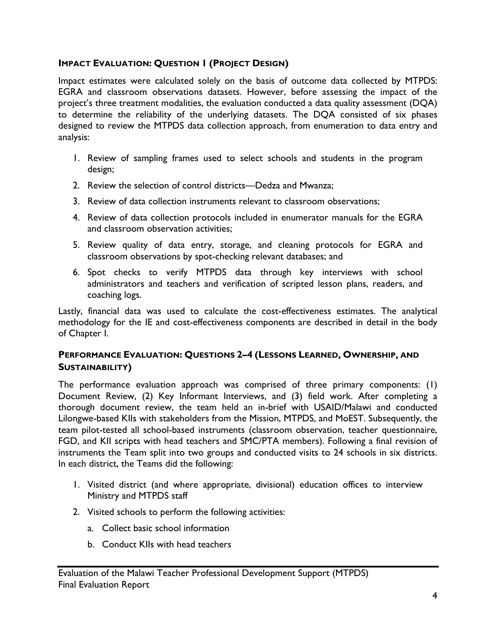# **IMPACT EVALUATION: QUESTION 1 (PROJECT DESIGN)**

Impact estimates were calculated solely on the basis of outcome data collected by MTPDS: EGRA and classroom observations datasets. However, before assessing the impact of the project's three treatment modalities, the evaluation conducted a data quality assessment (DQA) to determine the reliability of the underlying datasets. The DQA consisted of six phases designed to review the MTPDS data collection approach, from enumeration to data entry and analysis:

- 1. Review of sampling frames used to select schools and students in the program design;
- 2. Review the selection of control districts—Dedza and Mwanza;
- 3. Review of data collection instruments relevant to classroom observations;
- 4. Review of data collection protocols included in enumerator manuals for the EGRA and classroom observation activities;
- 5. Review quality of data entry, storage, and cleaning protocols for EGRA and classroom observations by spot-checking relevant databases; and
- 6. Spot checks to verify MTPDS data through key interviews with school administrators and teachers and verification of scripted lesson plans, readers, and coaching logs.

Lastly, financial data was used to calculate the cost-effectiveness estimates. The analytical methodology for the IE and cost-effectiveness components are described in detail in the body of Chapter I.

# **PERFORMANCE EVALUATION: QUESTIONS 2–4 (LESSONS LEARNED, OWNERSHIP, AND SUSTAINABILITY)**

The performance evaluation approach was comprised of three primary components: (1) Document Review, (2) Key Informant Interviews, and (3) field work. After completing a thorough document review, the team held an in-brief with USAID/Malawi and conducted Lilongwe-based KIIs with stakeholders from the Mission, MTPDS, and MoEST. Subsequently, the team pilot-tested all school-based instruments (classroom observation, teacher questionnaire, FGD, and KII scripts with head teachers and SMC/PTA members). Following a final revision of instruments the Team split into two groups and conducted visits to 24 schools in six districts. In each district, the Teams did the following:

- 1. Visited district (and where appropriate, divisional) education offices to interview Ministry and MTPDS staff
- 2. Visited schools to perform the following activities:
	- a. Collect basic school information
	- b. Conduct KIIs with head teachers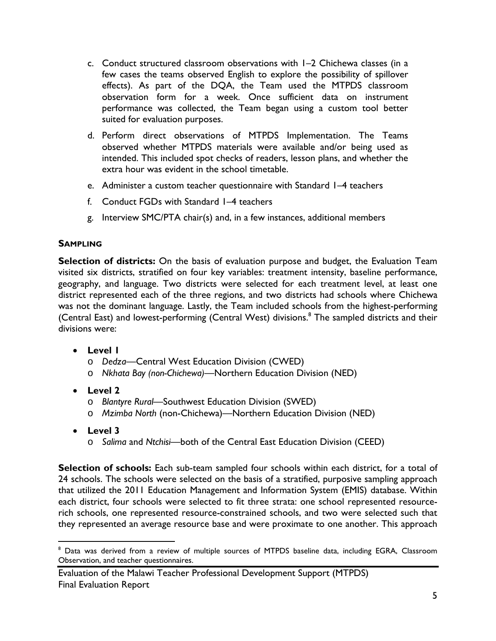- c. Conduct structured classroom observations with 1–2 Chichewa classes (in a few cases the teams observed English to explore the possibility of spillover effects). As part of the DQA, the Team used the MTPDS classroom observation form for a week. Once sufficient data on instrument performance was collected, the Team began using a custom tool better suited for evaluation purposes.
- d. Perform direct observations of MTPDS Implementation. The Teams observed whether MTPDS materials were available and/or being used as intended. This included spot checks of readers, lesson plans, and whether the extra hour was evident in the school timetable.
- e. Administer a custom teacher questionnaire with Standard 1–4 teachers
- f. Conduct FGDs with Standard 1–4 teachers
- g. Interview SMC/PTA chair(s) and, in a few instances, additional members

## **SAMPLING**

**Selection of districts:** On the basis of evaluation purpose and budget, the Evaluation Team visited six districts, stratified on four key variables: treatment intensity, baseline performance, geography, and language. Two districts were selected for each treatment level, at least one district represented each of the three regions, and two districts had schools where Chichewa was not the dominant language. Lastly, the Team included schools from the highest-performing (Central East) and lowest-performing (Central West) divisions.<sup>8</sup> The sampled districts and their divisions were:

- **Level 1** 
	- o *Dedza*—Central West Education Division (CWED)
	- o *Nkhata Bay (non-Chichewa)*—Northern Education Division (NED)
- **Level 2** 
	- o *Blantyre Rural*—Southwest Education Division (SWED)
	- o *Mzimba North* (non-Chichewa)—Northern Education Division (NED)
- **Level 3**

 $\overline{a}$ 

o *Salima* and *Ntchisi*—both of the Central East Education Division (CEED)

**Selection of schools:** Each sub-team sampled four schools within each district, for a total of 24 schools. The schools were selected on the basis of a stratified, purposive sampling approach that utilized the 2011 Education Management and Information System (EMIS) database. Within each district, four schools were selected to fit three strata: one school represented resourcerich schools, one represented resource-constrained schools, and two were selected such that they represented an average resource base and were proximate to one another. This approach

<sup>&</sup>lt;sup>8</sup> Data was derived from a review of multiple sources of MTPDS baseline data, including EGRA, Classroom Observation, and teacher questionnaires.

Evaluation of the Malawi Teacher Professional Development Support (MTPDS) Final Evaluation Report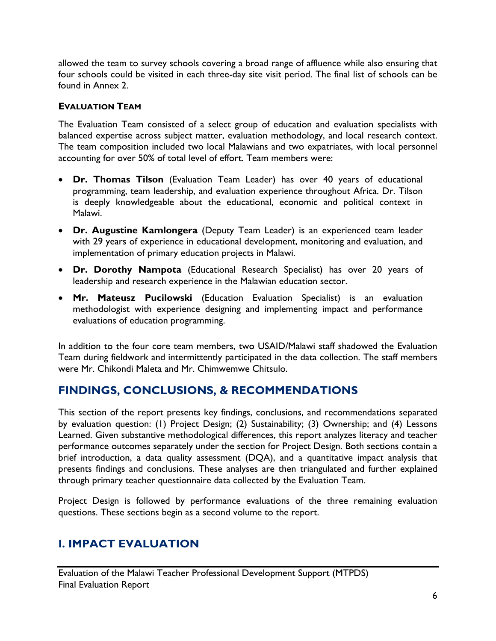allowed the team to survey schools covering a broad range of affluence while also ensuring that four schools could be visited in each three-day site visit period. The final list of schools can be found in Annex 2.

## **EVALUATION TEAM**

The Evaluation Team consisted of a select group of education and evaluation specialists with balanced expertise across subject matter, evaluation methodology, and local research context. The team composition included two local Malawians and two expatriates, with local personnel accounting for over 50% of total level of effort. Team members were:

- **Dr. Thomas Tilson** (Evaluation Team Leader) has over 40 years of educational programming, team leadership, and evaluation experience throughout Africa. Dr. Tilson is deeply knowledgeable about the educational, economic and political context in Malawi.
- **Dr. Augustine Kamlongera** (Deputy Team Leader) is an experienced team leader with 29 years of experience in educational development, monitoring and evaluation, and implementation of primary education projects in Malawi.
- **Dr. Dorothy Nampota** (Educational Research Specialist) has over 20 years of leadership and research experience in the Malawian education sector.
- **Mr. Mateusz Pucilowski** (Education Evaluation Specialist) is an evaluation methodologist with experience designing and implementing impact and performance evaluations of education programming.

In addition to the four core team members, two USAID/Malawi staff shadowed the Evaluation Team during fieldwork and intermittently participated in the data collection. The staff members were Mr. Chikondi Maleta and Mr. Chimwemwe Chitsulo.

# **FINDINGS, CONCLUSIONS, & RECOMMENDATIONS**

This section of the report presents key findings, conclusions, and recommendations separated by evaluation question: (1) Project Design; (2) Sustainability; (3) Ownership; and (4) Lessons Learned. Given substantive methodological differences, this report analyzes literacy and teacher performance outcomes separately under the section for Project Design. Both sections contain a brief introduction, a data quality assessment (DQA), and a quantitative impact analysis that presents findings and conclusions. These analyses are then triangulated and further explained through primary teacher questionnaire data collected by the Evaluation Team.

Project Design is followed by performance evaluations of the three remaining evaluation questions. These sections begin as a second volume to the report.

# **I. IMPACT EVALUATION**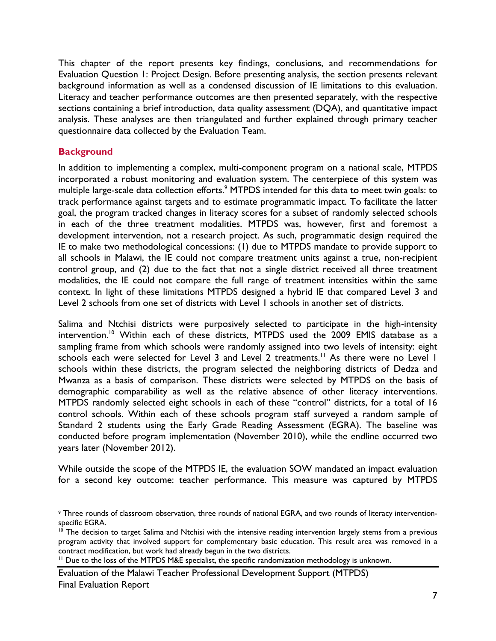This chapter of the report presents key findings, conclusions, and recommendations for Evaluation Question 1: Project Design. Before presenting analysis, the section presents relevant background information as well as a condensed discussion of IE limitations to this evaluation. Literacy and teacher performance outcomes are then presented separately, with the respective sections containing a brief introduction, data quality assessment (DQA), and quantitative impact analysis. These analyses are then triangulated and further explained through primary teacher questionnaire data collected by the Evaluation Team.

# **Background**

<u>.</u>

In addition to implementing a complex, multi-component program on a national scale, MTPDS incorporated a robust monitoring and evaluation system. The centerpiece of this system was multiple large-scale data collection efforts.<sup>9</sup> MTPDS intended for this data to meet twin goals: to track performance against targets and to estimate programmatic impact. To facilitate the latter goal, the program tracked changes in literacy scores for a subset of randomly selected schools in each of the three treatment modalities. MTPDS was, however, first and foremost a development intervention, not a research project. As such, programmatic design required the IE to make two methodological concessions: (1) due to MTPDS mandate to provide support to all schools in Malawi, the IE could not compare treatment units against a true, non-recipient control group, and (2) due to the fact that not a single district received all three treatment modalities, the IE could not compare the full range of treatment intensities within the same context. In light of these limitations MTPDS designed a hybrid IE that compared Level 3 and Level 2 schools from one set of districts with Level 1 schools in another set of districts.

Salima and Ntchisi districts were purposively selected to participate in the high-intensity intervention.<sup>10</sup> Within each of these districts, MTPDS used the 2009 EMIS database as a sampling frame from which schools were randomly assigned into two levels of intensity: eight schools each were selected for Level 3 and Level 2 treatments.<sup>11</sup> As there were no Level 1 schools within these districts, the program selected the neighboring districts of Dedza and Mwanza as a basis of comparison. These districts were selected by MTPDS on the basis of demographic comparability as well as the relative absence of other literacy interventions. MTPDS randomly selected eight schools in each of these "control" districts, for a total of 16 control schools. Within each of these schools program staff surveyed a random sample of Standard 2 students using the Early Grade Reading Assessment (EGRA). The baseline was conducted before program implementation (November 2010), while the endline occurred two years later (November 2012).

While outside the scope of the MTPDS IE, the evaluation SOW mandated an impact evaluation for a second key outcome: teacher performance. This measure was captured by MTPDS

<sup>9</sup> Three rounds of classroom observation, three rounds of national EGRA, and two rounds of literacy interventionspecific EGRA.

<sup>&</sup>lt;sup>10</sup> The decision to target Salima and Ntchisi with the intensive reading intervention largely stems from a previous program activity that involved support for complementary basic education. This result area was removed in a contract modification, but work had already begun in the two districts.<br><sup>11</sup> Due to the loss of the MTPDS M&E specialist, the specific randomization methodology is unknown.

Evaluation of the Malawi Teacher Professional Development Support (MTPDS) Final Evaluation Report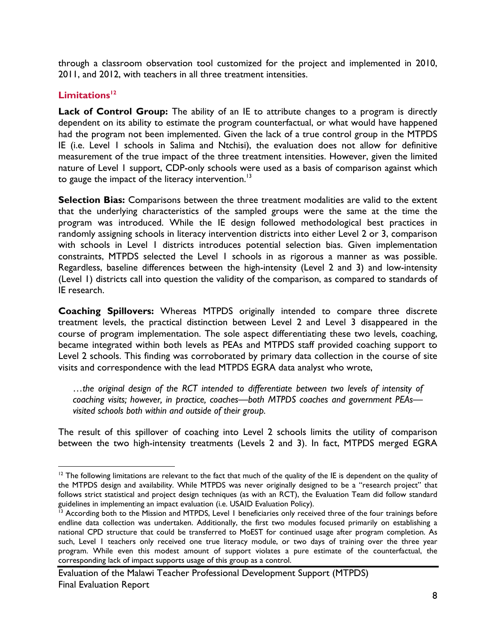through a classroom observation tool customized for the project and implemented in 2010, 2011, and 2012, with teachers in all three treatment intensities.

# Limitations<sup>12</sup>

<u>.</u>

**Lack of Control Group:** The ability of an IE to attribute changes to a program is directly dependent on its ability to estimate the program counterfactual, or what would have happened had the program not been implemented. Given the lack of a true control group in the MTPDS IE (i.e. Level 1 schools in Salima and Ntchisi), the evaluation does not allow for definitive measurement of the true impact of the three treatment intensities. However, given the limited nature of Level 1 support, CDP-only schools were used as a basis of comparison against which to gauge the impact of the literacy intervention. $13$ 

**Selection Bias:** Comparisons between the three treatment modalities are valid to the extent that the underlying characteristics of the sampled groups were the same at the time the program was introduced. While the IE design followed methodological best practices in randomly assigning schools in literacy intervention districts into either Level 2 or 3, comparison with schools in Level I districts introduces potential selection bias. Given implementation constraints, MTPDS selected the Level 1 schools in as rigorous a manner as was possible. Regardless, baseline differences between the high-intensity (Level 2 and 3) and low-intensity (Level 1) districts call into question the validity of the comparison, as compared to standards of IE research.

**Coaching Spillovers:** Whereas MTPDS originally intended to compare three discrete treatment levels, the practical distinction between Level 2 and Level 3 disappeared in the course of program implementation. The sole aspect differentiating these two levels, coaching, became integrated within both levels as PEAs and MTPDS staff provided coaching support to Level 2 schools. This finding was corroborated by primary data collection in the course of site visits and correspondence with the lead MTPDS EGRA data analyst who wrote,

…*the original design of the RCT intended to differentiate between two levels of intensity of coaching visits; however, in practice, coaches—both MTPDS coaches and government PEAs visited schools both within and outside of their group.* 

The result of this spillover of coaching into Level 2 schools limits the utility of comparison between the two high-intensity treatments (Levels 2 and 3). In fact, MTPDS merged EGRA

 $12$  The following limitations are relevant to the fact that much of the quality of the IE is dependent on the quality of the MTPDS design and availability. While MTPDS was never originally designed to be a "research project" that follows strict statistical and project design techniques (as with an RCT), the Evaluation Team did follow standard guidelines in implementing an impact evaluation (i.e. USAID Evaluation Policy).

<sup>&</sup>lt;sup>13</sup> According both to the Mission and MTPDS, Level 1 beneficiaries only received three of the four trainings before endline data collection was undertaken. Additionally, the first two modules focused primarily on establishing a national CPD structure that could be transferred to MoEST for continued usage after program completion. As such, Level 1 teachers only received one true literacy module, or two days of training over the three year program. While even this modest amount of support violates a pure estimate of the counterfactual, the corresponding lack of impact supports usage of this group as a control.

Evaluation of the Malawi Teacher Professional Development Support (MTPDS) Final Evaluation Report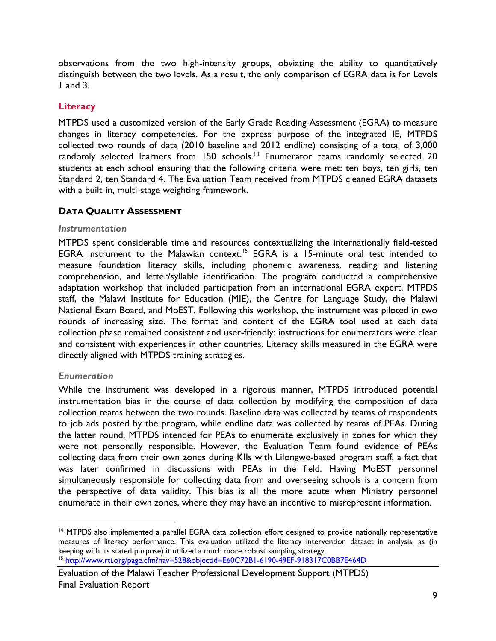observations from the two high-intensity groups, obviating the ability to quantitatively distinguish between the two levels. As a result, the only comparison of EGRA data is for Levels 1 and 3.

# **Literacy**

MTPDS used a customized version of the Early Grade Reading Assessment (EGRA) to measure changes in literacy competencies. For the express purpose of the integrated IE, MTPDS collected two rounds of data (2010 baseline and 2012 endline) consisting of a total of 3,000 randomly selected learners from 150 schools.<sup>14</sup> Enumerator teams randomly selected 20 students at each school ensuring that the following criteria were met: ten boys, ten girls, ten Standard 2, ten Standard 4. The Evaluation Team received from MTPDS cleaned EGRA datasets with a built-in, multi-stage weighting framework.

## **DATA QUALITY ASSESSMENT**

## *Instrumentation*

MTPDS spent considerable time and resources contextualizing the internationally field-tested EGRA instrument to the Malawian context.<sup>15</sup> EGRA is a 15-minute oral test intended to measure foundation literacy skills, including phonemic awareness, reading and listening comprehension, and letter/syllable identification. The program conducted a comprehensive adaptation workshop that included participation from an international EGRA expert, MTPDS staff, the Malawi Institute for Education (MIE), the Centre for Language Study, the Malawi National Exam Board, and MoEST. Following this workshop, the instrument was piloted in two rounds of increasing size. The format and content of the EGRA tool used at each data collection phase remained consistent and user-friendly: instructions for enumerators were clear and consistent with experiences in other countries. Literacy skills measured in the EGRA were directly aligned with MTPDS training strategies.

## *Enumeration*

While the instrument was developed in a rigorous manner, MTPDS introduced potential instrumentation bias in the course of data collection by modifying the composition of data collection teams between the two rounds. Baseline data was collected by teams of respondents to job ads posted by the program, while endline data was collected by teams of PEAs. During the latter round, MTPDS intended for PEAs to enumerate exclusively in zones for which they were not personally responsible. However, the Evaluation Team found evidence of PEAs collecting data from their own zones during KIIs with Lilongwe-based program staff, a fact that was later confirmed in discussions with PEAs in the field. Having MoEST personnel simultaneously responsible for collecting data from and overseeing schools is a concern from the perspective of data validity. This bias is all the more acute when Ministry personnel enumerate in their own zones, where they may have an incentive to misrepresent information.

 $\overline{a}$ <sup>14</sup> MTPDS also implemented a parallel EGRA data collection effort designed to provide nationally representative measures of literacy performance. This evaluation utilized the literacy intervention dataset in analysis, as (in keeping with its stated purpose) it utilized a much more robust sampling strategy,<br><sup>15</sup> http://www.rti.org/page.cfm?nav=528&objectid=E60C72B1-6190-49EF-918317C0BB7E464D

Evaluation of the Malawi Teacher Professional Development Support (MTPDS) Final Evaluation Report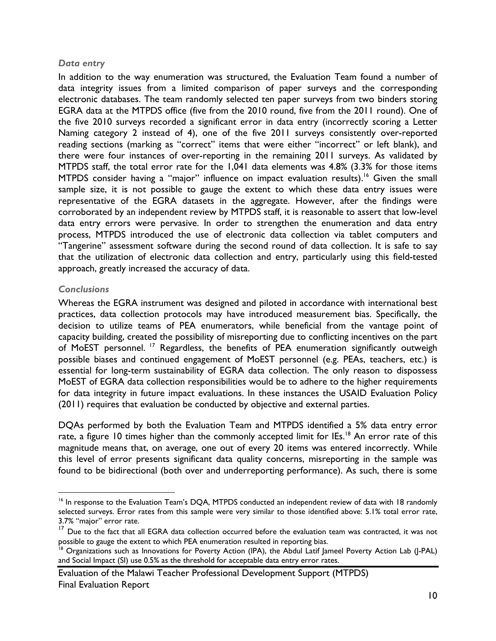## *Data entry*

In addition to the way enumeration was structured, the Evaluation Team found a number of data integrity issues from a limited comparison of paper surveys and the corresponding electronic databases. The team randomly selected ten paper surveys from two binders storing EGRA data at the MTPDS office (five from the 2010 round, five from the 2011 round). One of the five 2010 surveys recorded a significant error in data entry (incorrectly scoring a Letter Naming category 2 instead of 4), one of the five 2011 surveys consistently over-reported reading sections (marking as "correct" items that were either "incorrect" or left blank), and there were four instances of over-reporting in the remaining 2011 surveys. As validated by MTPDS staff, the total error rate for the 1,041 data elements was 4.8% (3.3% for those items MTPDS consider having a "major" influence on impact evaluation results).<sup>16</sup> Given the small sample size, it is not possible to gauge the extent to which these data entry issues were representative of the EGRA datasets in the aggregate. However, after the findings were corroborated by an independent review by MTPDS staff, it is reasonable to assert that low-level data entry errors were pervasive. In order to strengthen the enumeration and data entry process, MTPDS introduced the use of electronic data collection via tablet computers and "Tangerine" assessment software during the second round of data collection. It is safe to say that the utilization of electronic data collection and entry, particularly using this field-tested approach, greatly increased the accuracy of data.

## *Conclusions*

 $\overline{a}$ 

Whereas the EGRA instrument was designed and piloted in accordance with international best practices, data collection protocols may have introduced measurement bias. Specifically, the decision to utilize teams of PEA enumerators, while beneficial from the vantage point of capacity building, created the possibility of misreporting due to conflicting incentives on the part of MoEST personnel. 17 Regardless, the benefits of PEA enumeration significantly outweigh possible biases and continued engagement of MoEST personnel (e.g. PEAs, teachers, etc.) is essential for long-term sustainability of EGRA data collection. The only reason to dispossess MoEST of EGRA data collection responsibilities would be to adhere to the higher requirements for data integrity in future impact evaluations. In these instances the USAID Evaluation Policy (2011) requires that evaluation be conducted by objective and external parties.

DQAs performed by both the Evaluation Team and MTPDS identified a 5% data entry error rate, a figure 10 times higher than the commonly accepted limit for IEs.<sup>18</sup> An error rate of this magnitude means that, on average, one out of every 20 items was entered incorrectly. While this level of error presents significant data quality concerns, misreporting in the sample was found to be bidirectional (both over and underreporting performance). As such, there is some

<sup>&</sup>lt;sup>16</sup> In response to the Evaluation Team's DQA, MTPDS conducted an independent review of data with 18 randomly selected surveys. Error rates from this sample were very similar to those identified above: 5.1% total error rate, 3.7% "major" error rate.

<sup>&</sup>lt;sup>17</sup> Due to the fact that all EGRA data collection occurred before the evaluation team was contracted, it was not possible to gauge the extent to which PEA enumeration resulted in reporting bias.<br><sup>18</sup> Organizations such as Innovations for Poverty Action (IPA), the Abdul Latif Jameel Poverty Action Lab (J-PAL)

and Social Impact (SI) use 0.5% as the threshold for acceptable data entry error rates.

Evaluation of the Malawi Teacher Professional Development Support (MTPDS) Final Evaluation Report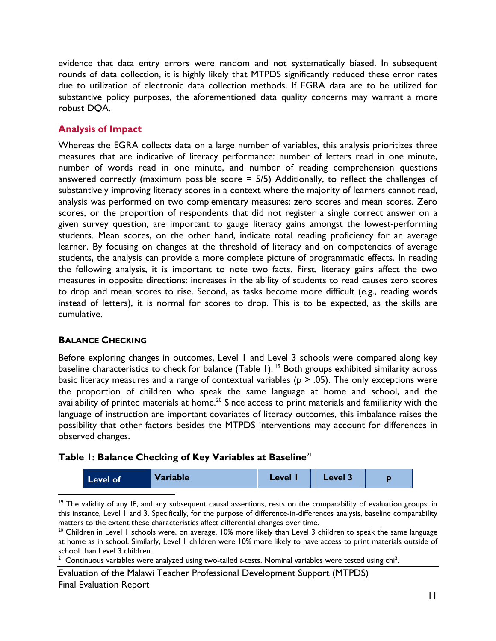evidence that data entry errors were random and not systematically biased. In subsequent rounds of data collection, it is highly likely that MTPDS significantly reduced these error rates due to utilization of electronic data collection methods. If EGRA data are to be utilized for substantive policy purposes, the aforementioned data quality concerns may warrant a more robust DQA.

# **Analysis of Impact**

Whereas the EGRA collects data on a large number of variables, this analysis prioritizes three measures that are indicative of literacy performance: number of letters read in one minute, number of words read in one minute, and number of reading comprehension questions answered correctly (maximum possible score  $=$  5/5) Additionally, to reflect the challenges of substantively improving literacy scores in a context where the majority of learners cannot read, analysis was performed on two complementary measures: zero scores and mean scores. Zero scores, or the proportion of respondents that did not register a single correct answer on a given survey question, are important to gauge literacy gains amongst the lowest-performing students. Mean scores, on the other hand, indicate total reading proficiency for an average learner. By focusing on changes at the threshold of literacy and on competencies of average students, the analysis can provide a more complete picture of programmatic effects. In reading the following analysis, it is important to note two facts. First, literacy gains affect the two measures in opposite directions: increases in the ability of students to read causes zero scores to drop and mean scores to rise. Second, as tasks become more difficult (e.g., reading words instead of letters), it is normal for scores to drop. This is to be expected, as the skills are cumulative.

# **BALANCE CHECKING**

 $\overline{a}$ 

Before exploring changes in outcomes, Level 1 and Level 3 schools were compared along key baseline characteristics to check for balance (Table 1).<sup>19</sup> Both groups exhibited similarity across basic literacy measures and a range of contextual variables ( $p > .05$ ). The only exceptions were the proportion of children who speak the same language at home and school, and the availability of printed materials at home.<sup>20</sup> Since access to print materials and familiarity with the language of instruction are important covariates of literacy outcomes, this imbalance raises the possibility that other factors besides the MTPDS interventions may account for differences in observed changes.

# **Table 1: Balance Checking of Key Variables at Baseline**<sup>21</sup>

| <b>Variable</b><br>Level 3<br><b>Level</b><br>Level of |
|--------------------------------------------------------|
|--------------------------------------------------------|

 $19$  The validity of any IE, and any subsequent causal assertions, rests on the comparability of evaluation groups: in this instance, Level 1 and 3. Specifically, for the purpose of difference-in-differences analysis, baseline comparability matters to the extent these characteristics affect differential changes over time.

 $20$  Children in Level 1 schools were, on average, 10% more likely than Level 3 children to speak the same language at home as in school. Similarly, Level 1 children were 10% more likely to have access to print materials outside of school than Level 3 children.

 $21$  Continuous variables were analyzed using two-tailed *t*-tests. Nominal variables were tested using chi<sup>2</sup>.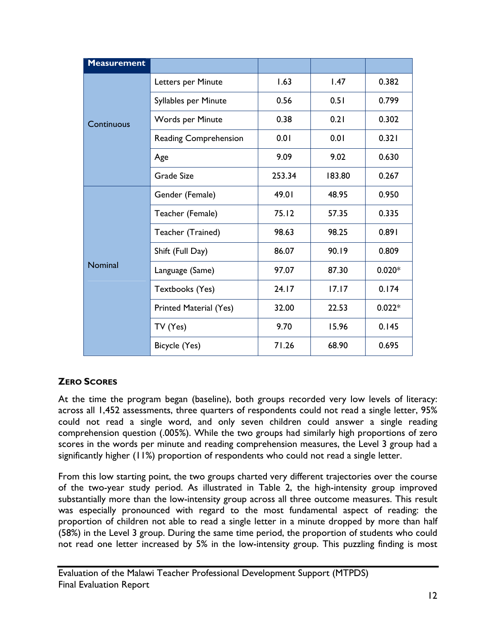| <b>Measurement</b> |                        |        |        |          |
|--------------------|------------------------|--------|--------|----------|
|                    | Letters per Minute     | 1.63   | 1.47   | 0.382    |
|                    | Syllables per Minute   | 0.56   | 0.51   | 0.799    |
| Continuous         | Words per Minute       | 0.38   | 0.21   | 0.302    |
|                    | Reading Comprehension  | 0.01   | 0.01   | 0.321    |
|                    | Age                    | 9.09   | 9.02   | 0.630    |
|                    | Grade Size             | 253.34 | 183.80 | 0.267    |
|                    | Gender (Female)        | 49.01  | 48.95  | 0.950    |
|                    | Teacher (Female)       | 75.12  | 57.35  | 0.335    |
|                    | Teacher (Trained)      | 98.63  | 98.25  | 0.891    |
|                    | Shift (Full Day)       | 86.07  | 90.19  | 0.809    |
| Nominal            | Language (Same)        | 97.07  | 87.30  | $0.020*$ |
|                    | Textbooks (Yes)        | 24.17  | 17.17  | 0.174    |
|                    | Printed Material (Yes) | 32.00  | 22.53  | $0.022*$ |
|                    | TV (Yes)               | 9.70   | 15.96  | 0.145    |
|                    | Bicycle (Yes)          | 71.26  | 68.90  | 0.695    |

# **ZERO SCORES**

At the time the program began (baseline), both groups recorded very low levels of literacy: across all 1,452 assessments, three quarters of respondents could not read a single letter, 95% could not read a single word, and only seven children could answer a single reading comprehension question (.005%). While the two groups had similarly high proportions of zero scores in the words per minute and reading comprehension measures, the Level 3 group had a significantly higher (11%) proportion of respondents who could not read a single letter.

From this low starting point, the two groups charted very different trajectories over the course of the two-year study period. As illustrated in Table 2, the high-intensity group improved substantially more than the low-intensity group across all three outcome measures. This result was especially pronounced with regard to the most fundamental aspect of reading: the proportion of children not able to read a single letter in a minute dropped by more than half (58%) in the Level 3 group. During the same time period, the proportion of students who could not read one letter increased by 5% in the low-intensity group. This puzzling finding is most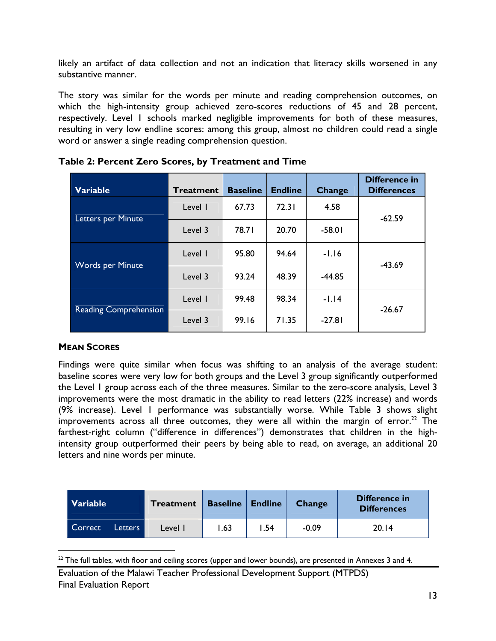likely an artifact of data collection and not an indication that literacy skills worsened in any substantive manner.

The story was similar for the words per minute and reading comprehension outcomes, on which the high-intensity group achieved zero-scores reductions of 45 and 28 percent, respectively. Level 1 schools marked negligible improvements for both of these measures, resulting in very low endline scores: among this group, almost no children could read a single word or answer a single reading comprehension question.

| <b>Variable</b>              | <b>Treatment</b> | <b>Baseline</b> | <b>Endline</b> | Change   | <b>Difference in</b><br><b>Differences</b> |  |
|------------------------------|------------------|-----------------|----------------|----------|--------------------------------------------|--|
| Letters per Minute           | Level I          | 67.73           | 72.31          | 4.58     | $-62.59$                                   |  |
|                              | Level 3          | 78.71           | 20.70          | $-58.01$ |                                            |  |
| <b>Words per Minute</b>      | Level I          | 95.80           | 94.64          | $-1.16$  | $-43.69$                                   |  |
|                              | Level 3          | 93.24           | 48.39          | $-44.85$ |                                            |  |
| <b>Reading Comprehension</b> | Level I          | 99.48           | 98.34          | $-1.14$  | $-26.67$                                   |  |
|                              | Level 3          | 99.16           | 71.35          | $-27.81$ |                                            |  |

**Table 2: Percent Zero Scores, by Treatment and Time** 

# **MEAN SCORES**

 $\overline{a}$ 

Findings were quite similar when focus was shifting to an analysis of the average student: baseline scores were very low for both groups and the Level 3 group significantly outperformed the Level 1 group across each of the three measures. Similar to the zero-score analysis, Level 3 improvements were the most dramatic in the ability to read letters (22% increase) and words (9% increase). Level 1 performance was substantially worse. While Table 3 shows slight improvements across all three outcomes, they were all within the margin of error.<sup>22</sup> The farthest-right column ("difference in differences") demonstrates that children in the highintensity group outperformed their peers by being able to read, on average, an additional 20 letters and nine words per minute.

| <b>Variable</b> |                | <b>Treatment</b> | <b>Baseline</b> | <b>Endline</b> | <b>Change</b> | Difference in<br><b>Differences</b> |
|-----------------|----------------|------------------|-----------------|----------------|---------------|-------------------------------------|
| Correct         | <b>Letters</b> | Level I          | l.63            | .54            | $-0.09$       | 20.14                               |

 $22$  The full tables, with floor and ceiling scores (upper and lower bounds), are presented in Annexes 3 and 4.

Evaluation of the Malawi Teacher Professional Development Support (MTPDS) Final Evaluation Report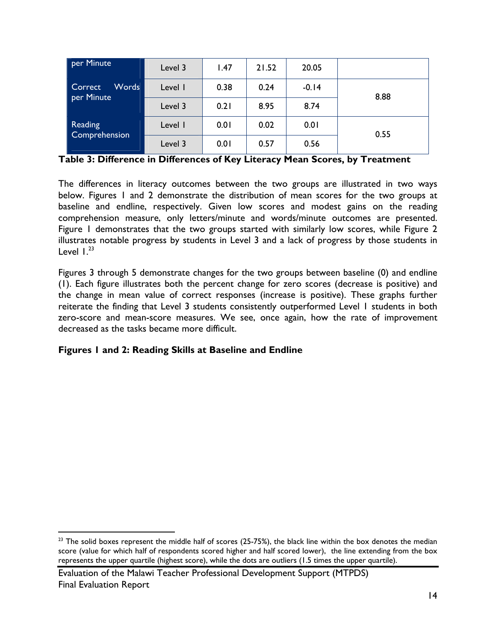| per Minute                     | Level 3 | 1.47 | 21.52 | 20.05   |      |
|--------------------------------|---------|------|-------|---------|------|
| Words<br>Correct<br>per Minute | Level I | 0.38 | 0.24  | $-0.14$ | 8.88 |
|                                | Level 3 | 0.21 | 8.95  | 8.74    |      |
| <b>Reading</b>                 | Level I | 0.01 | 0.02  | 0.01    | 0.55 |
| Comprehension                  | Level 3 | 0.01 | 0.57  | 0.56    |      |

**Table 3: Difference in Differences of Key Literacy Mean Scores, by Treatment** 

The differences in literacy outcomes between the two groups are illustrated in two ways below. Figures 1 and 2 demonstrate the distribution of mean scores for the two groups at baseline and endline, respectively. Given low scores and modest gains on the reading comprehension measure, only letters/minute and words/minute outcomes are presented. Figure 1 demonstrates that the two groups started with similarly low scores, while Figure 2 illustrates notable progress by students in Level 3 and a lack of progress by those students in Level  $1.^{23}$ 

Figures 3 through 5 demonstrate changes for the two groups between baseline (0) and endline (1). Each figure illustrates both the percent change for zero scores (decrease is positive) and the change in mean value of correct responses (increase is positive). These graphs further reiterate the finding that Level 3 students consistently outperformed Level 1 students in both zero-score and mean-score measures. We see, once again, how the rate of improvement decreased as the tasks became more difficult.

# **Figures 1 and 2: Reading Skills at Baseline and Endline**

1

 $23$  The solid boxes represent the middle half of scores (25-75%), the black line within the box denotes the median score (value for which half of respondents scored higher and half scored lower), the line extending from the box represents the upper quartile (highest score), while the dots are outliers (1.5 times the upper quartile).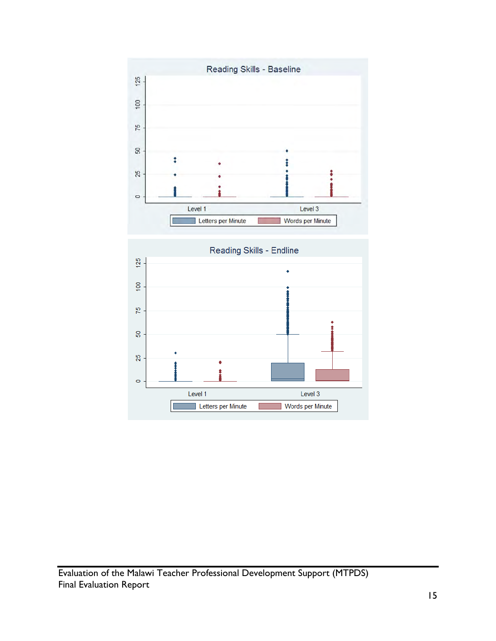

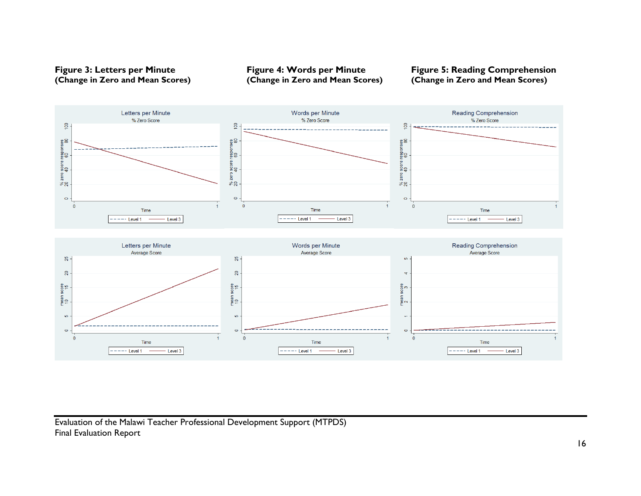

**(Change in Zero and Mean Scores) (Change in Zero and Mean Scores) (Change in Zero and Mean Scores)** 

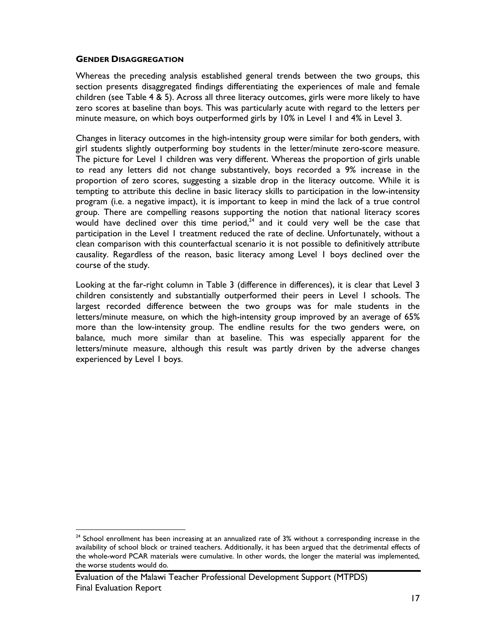#### **GENDER DISAGGREGATION**

 $\overline{a}$ 

Whereas the preceding analysis established general trends between the two groups, this section presents disaggregated findings differentiating the experiences of male and female children (see Table 4 & 5). Across all three literacy outcomes, girls were more likely to have zero scores at baseline than boys. This was particularly acute with regard to the letters per minute measure, on which boys outperformed girls by 10% in Level 1 and 4% in Level 3.

Changes in literacy outcomes in the high-intensity group were similar for both genders, with girl students slightly outperforming boy students in the letter/minute zero-score measure. The picture for Level 1 children was very different. Whereas the proportion of girls unable to read any letters did not change substantively, boys recorded a 9% increase in the proportion of zero scores, suggesting a sizable drop in the literacy outcome. While it is tempting to attribute this decline in basic literacy skills to participation in the low-intensity program (i.e. a negative impact), it is important to keep in mind the lack of a true control group. There are compelling reasons supporting the notion that national literacy scores would have declined over this time period, $24$  and it could very well be the case that participation in the Level 1 treatment reduced the rate of decline. Unfortunately, without a clean comparison with this counterfactual scenario it is not possible to definitively attribute causality. Regardless of the reason, basic literacy among Level 1 boys declined over the course of the study.

Looking at the far-right column in Table 3 (difference in differences), it is clear that Level 3 children consistently and substantially outperformed their peers in Level 1 schools. The largest recorded difference between the two groups was for male students in the letters/minute measure, on which the high-intensity group improved by an average of 65% more than the low-intensity group. The endline results for the two genders were, on balance, much more similar than at baseline. This was especially apparent for the letters/minute measure, although this result was partly driven by the adverse changes experienced by Level 1 boys.

 $24$  School enrollment has been increasing at an annualized rate of 3% without a corresponding increase in the availability of school block or trained teachers. Additionally, it has been argued that the detrimental effects of the whole-word PCAR materials were cumulative. In other words, the longer the material was implemented, the worse students would do.

Evaluation of the Malawi Teacher Professional Development Support (MTPDS) Final Evaluation Report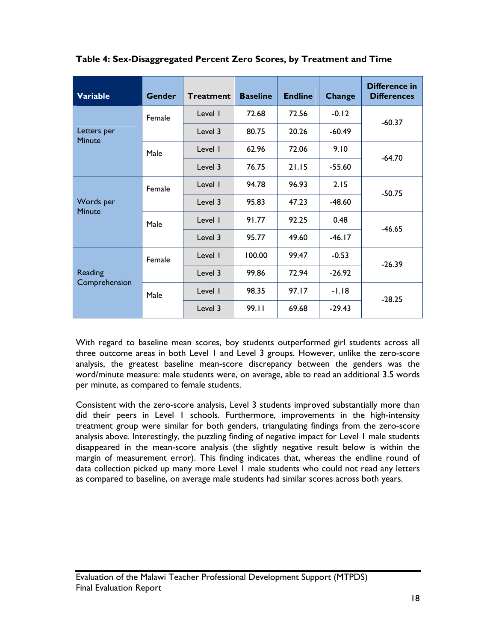| <b>Variable</b>              | <b>Gender</b> | <b>Treatment</b> | <b>Baseline</b> | <b>Endline</b> | Change   | <b>Difference in</b><br><b>Differences</b> |
|------------------------------|---------------|------------------|-----------------|----------------|----------|--------------------------------------------|
|                              | Female        | Level I          | 72.68           | 72.56          | $-0.12$  | $-60.37$                                   |
| Letters per<br><b>Minute</b> |               | Level 3          | 80.75           | 20.26          | $-60.49$ |                                            |
|                              | Male          | Level 1          | 62.96           | 72.06          | 9.10     | $-64.70$                                   |
|                              |               | Level 3          | 76.75           | 21.15          | $-55.60$ |                                            |
| Words per<br><b>Minute</b>   | Female        | Level 1          | 94.78           | 96.93          | 2.15     | $-50.75$                                   |
|                              |               | Level 3          | 95.83           | 47.23          | $-48.60$ |                                            |
|                              | Male          | Level I          | 91.77           | 92.25          | 0.48     | $-46.65$                                   |
|                              |               | Level 3          | 95.77           | 49.60          | $-46.17$ |                                            |
| Reading<br>Comprehension     | Female        | Level I          | 100.00          | 99.47          | $-0.53$  | $-26.39$                                   |
|                              |               | Level 3          | 99.86           | 72.94          | $-26.92$ |                                            |
|                              | Male          | Level I          | 98.35           | 97.17          | $-1.18$  | $-28.25$                                   |
|                              |               | Level 3          | 99.11           | 69.68          | $-29.43$ |                                            |

**Table 4: Sex-Disaggregated Percent Zero Scores, by Treatment and Time** 

With regard to baseline mean scores, boy students outperformed girl students across all three outcome areas in both Level 1 and Level 3 groups. However, unlike the zero-score analysis, the greatest baseline mean-score discrepancy between the genders was the word/minute measure: male students were, on average, able to read an additional 3.5 words per minute, as compared to female students.

Consistent with the zero-score analysis, Level 3 students improved substantially more than did their peers in Level 1 schools. Furthermore, improvements in the high-intensity treatment group were similar for both genders, triangulating findings from the zero-score analysis above. Interestingly, the puzzling finding of negative impact for Level 1 male students disappeared in the mean-score analysis (the slightly negative result below is within the margin of measurement error). This finding indicates that, whereas the endline round of data collection picked up many more Level 1 male students who could not read any letters as compared to baseline, on average male students had similar scores across both years.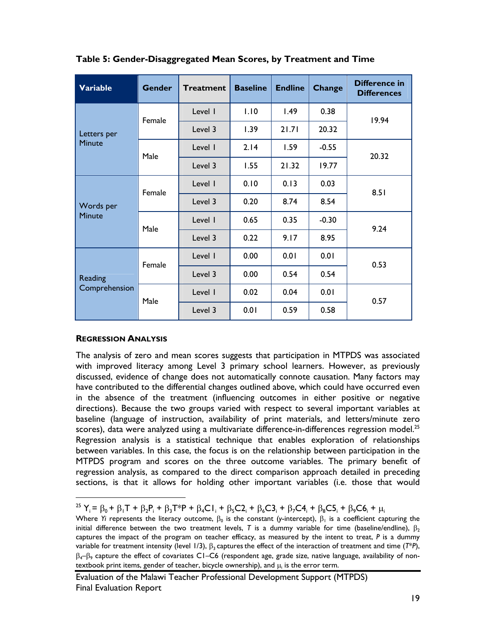| <b>Variable</b>            | <b>Gender</b> | <b>Treatment</b> | <b>Baseline</b> | <b>Endline</b> | Change  | Difference in<br><b>Differences</b> |  |
|----------------------------|---------------|------------------|-----------------|----------------|---------|-------------------------------------|--|
|                            | Female        | Level I          | 1.10            | 1.49           | 0.38    | 19.94                               |  |
| Letters per                |               | Level 3          | 1.39            | 21.71          | 20.32   |                                     |  |
| <b>Minute</b>              | Male          | Level I          | 2.14            | 1.59           | $-0.55$ | 20.32                               |  |
|                            |               | Level 3          | 1.55            | 21.32          | 19.77   |                                     |  |
| Words per<br><b>Minute</b> | Female        | Level I          | 0.10            | 0.13           | 0.03    | 8.51                                |  |
|                            |               | Level 3          | 0.20            | 8.74           | 8.54    |                                     |  |
|                            | Male          | Level I          | 0.65            | 0.35           | $-0.30$ | 9.24                                |  |
|                            |               | Level 3          | 0.22            | 9.17           | 8.95    |                                     |  |
| Reading<br>Comprehension   | Female        | Level I          | 0.00            | 0.01           | 0.01    | 0.53                                |  |
|                            |               | Level 3          | 0.00            | 0.54           | 0.54    |                                     |  |
|                            | Male          | Level 1          | 0.02            | 0.04           | 0.01    | 0.57                                |  |
|                            |               | Level 3          | 0.01            | 0.59           | 0.58    |                                     |  |

**Table 5: Gender-Disaggregated Mean Scores, by Treatment and Time** 

## **REGRESSION ANALYSIS**

The analysis of zero and mean scores suggests that participation in MTPDS was associated with improved literacy among Level 3 primary school learners. However, as previously discussed, evidence of change does not automatically connote causation. Many factors may have contributed to the differential changes outlined above, which could have occurred even in the absence of the treatment (influencing outcomes in either positive or negative directions). Because the two groups varied with respect to several important variables at baseline (language of instruction, availability of print materials, and letters/minute zero scores), data were analyzed using a multivariate difference-in-differences regression model.<sup>25</sup> Regression analysis is a statistical technique that enables exploration of relationships between variables. In this case, the focus is on the relationship between participation in the MTPDS program and scores on the three outcome variables. The primary benefit of regression analysis, as compared to the direct comparison approach detailed in preceding sections, is that it allows for holding other important variables (i.e. those that would

<sup>&</sup>lt;sup>25</sup>  $Y_i = \beta_0 + \beta_1 T + \beta_2 P_i + \beta_3 T^* P + \beta_4 C I_i + \beta_5 C 2_i + \beta_6 C 3_i + \beta_7 C 4_i + \beta_8 C 5_i + \beta_9 C 6_i + \mu_i$ 

Where *Yi* represents the literacy outcome,  $\beta_0$  is the constant (*y*-intercept),  $\beta_1$  is a coefficient capturing the initial difference between the two treatment levels, *T* is a dummy variable for time (baseline/endline),  $\beta_2$ captures the impact of the program on teacher efficacy, as measured by the intent to treat, *P* is a dummy variable for treatment intensity (level 1/3),  $\beta_3$  captures the effect of the interaction of treatment and time ( $T^*P$ ),  $\beta_{4}$ – $\beta_{9}$  capture the effect of covariates C1–C6 (respondent age, grade size, native language, availability of nontextbook print items, gender of teacher, bicycle ownership), and  $\mu_i$  is the error term.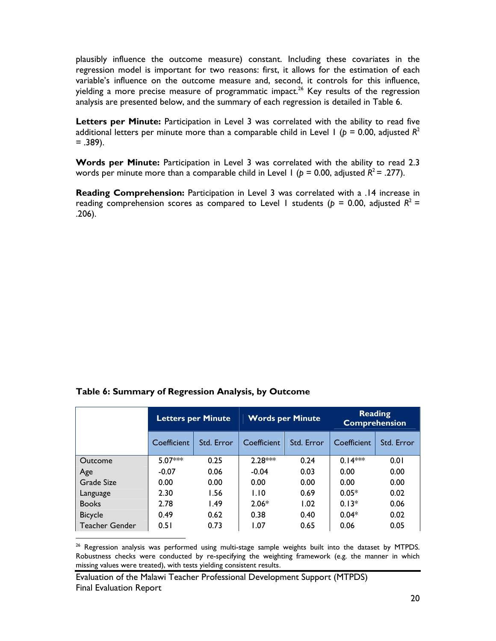plausibly influence the outcome measure) constant. Including these covariates in the regression model is important for two reasons: first, it allows for the estimation of each variable's influence on the outcome measure and, second, it controls for this influence, yielding a more precise measure of programmatic impact.<sup>26</sup> Key results of the regression analysis are presented below, and the summary of each regression is detailed in Table 6.

**Letters per Minute:** Participation in Level 3 was correlated with the ability to read five additional letters per minute more than a comparable child in Level 1 ( $p = 0.00$ , adjusted  $R^2$  $= .389$ ).

**Words per Minute:** Participation in Level 3 was correlated with the ability to read 2.3 words per minute more than a comparable child in Level 1 ( $p = 0.00$ , adjusted  $R^2 = .277$ ).

**Reading Comprehension:** Participation in Level 3 was correlated with a .14 increase in reading comprehension scores as compared to Level 1 students ( $p = 0.00$ , adjusted  $R^2 =$ .206).

 $\overline{a}$ 

|                       | <b>Letters per Minute</b> |            |             | <b>Words per Minute</b> | <b>Reading</b><br><b>Comprehension</b> |            |
|-----------------------|---------------------------|------------|-------------|-------------------------|----------------------------------------|------------|
|                       | Coefficient               | Std. Error | Coefficient | Std. Error              | Coefficient                            | Std. Error |
| Outcome               | $5.07***$                 | 0.25       | $2.28***$   | 0.24                    | $0.14***$                              | 0.01       |
| Age                   | $-0.07$                   | 0.06       | $-0.04$     | 0.03                    | 0.00                                   | 0.00       |
| Grade Size            | 0.00                      | 0.00       | 0.00        | 0.00                    | 0.00                                   | 0.00       |
| Language              | 2.30                      | 1.56       | 1.10        | 0.69                    | $0.05*$                                | 0.02       |
| <b>Books</b>          | 2.78                      | 1.49       | $2.06*$     | 1.02                    | $0.13*$                                | 0.06       |
| <b>Bicycle</b>        | 0.49                      | 0.62       | 0.38        | 0.40                    | $0.04*$                                | 0.02       |
| <b>Teacher Gender</b> | 0.51                      | 0.73       | 1.07        | 0.65                    | 0.06                                   | 0.05       |

<sup>26</sup> Regression analysis was performed using multi-stage sample weights built into the dataset by MTPDS. Robustness checks were conducted by re-specifying the weighting framework (e.g. the manner in which missing values were treated), with tests yielding consistent results.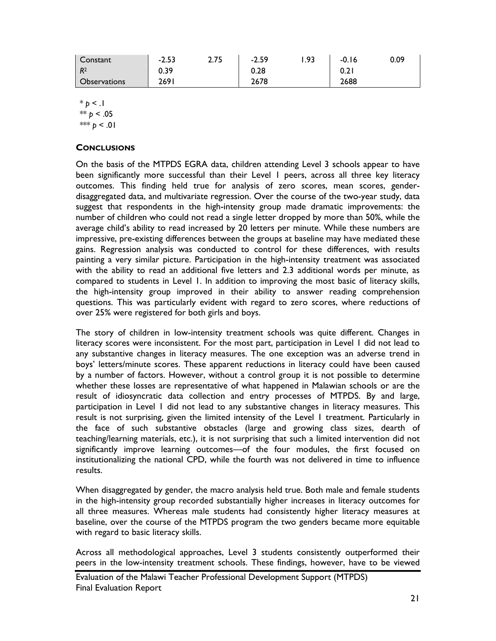| Constant            | $-2.53$ | 2.75 | $-2.59$ | 1.93 | $-0.16$          | 0.09 |
|---------------------|---------|------|---------|------|------------------|------|
| $R^2$               | 0.39    |      | 0.28    |      | 0.2 <sub>1</sub> |      |
| <b>Observations</b> | 2691    |      | 2678    |      | 2688             |      |

 $* p < 1$ \*\*  $p < .05$ \*\*\*  $p < 01$ 

#### **CONCLUSIONS**

On the basis of the MTPDS EGRA data, children attending Level 3 schools appear to have been significantly more successful than their Level 1 peers, across all three key literacy outcomes. This finding held true for analysis of zero scores, mean scores, genderdisaggregated data, and multivariate regression. Over the course of the two-year study, data suggest that respondents in the high-intensity group made dramatic improvements: the number of children who could not read a single letter dropped by more than 50%, while the average child's ability to read increased by 20 letters per minute. While these numbers are impressive, pre-existing differences between the groups at baseline may have mediated these gains. Regression analysis was conducted to control for these differences, with results painting a very similar picture. Participation in the high-intensity treatment was associated with the ability to read an additional five letters and 2.3 additional words per minute, as compared to students in Level 1. In addition to improving the most basic of literacy skills, the high-intensity group improved in their ability to answer reading comprehension questions. This was particularly evident with regard to zero scores, where reductions of over 25% were registered for both girls and boys.

The story of children in low-intensity treatment schools was quite different. Changes in literacy scores were inconsistent. For the most part, participation in Level 1 did not lead to any substantive changes in literacy measures. The one exception was an adverse trend in boys' letters/minute scores. These apparent reductions in literacy could have been caused by a number of factors. However, without a control group it is not possible to determine whether these losses are representative of what happened in Malawian schools or are the result of idiosyncratic data collection and entry processes of MTPDS. By and large, participation in Level 1 did not lead to any substantive changes in literacy measures. This result is not surprising, given the limited intensity of the Level 1 treatment. Particularly in the face of such substantive obstacles (large and growing class sizes, dearth of teaching/learning materials, etc.), it is not surprising that such a limited intervention did not significantly improve learning outcomes—of the four modules, the first focused on institutionalizing the national CPD, while the fourth was not delivered in time to influence results.

When disaggregated by gender, the macro analysis held true. Both male and female students in the high-intensity group recorded substantially higher increases in literacy outcomes for all three measures. Whereas male students had consistently higher literacy measures at baseline, over the course of the MTPDS program the two genders became more equitable with regard to basic literacy skills.

Across all methodological approaches, Level 3 students consistently outperformed their peers in the low-intensity treatment schools. These findings, however, have to be viewed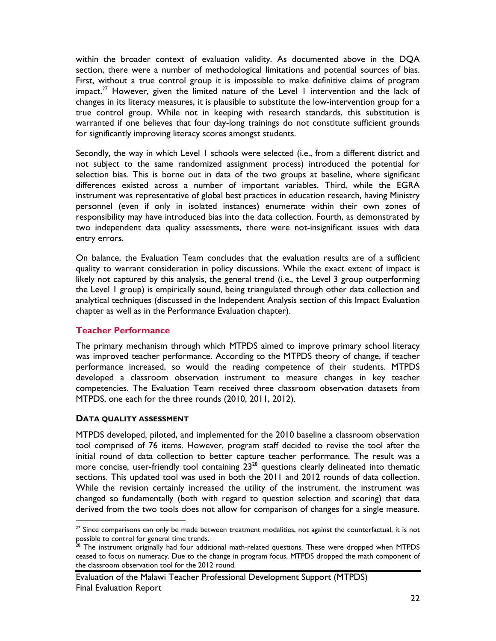within the broader context of evaluation validity. As documented above in the DQA section, there were a number of methodological limitations and potential sources of bias. First, without a true control group it is impossible to make definitive claims of program impact.<sup>27</sup> However, given the limited nature of the Level I intervention and the lack of changes in its literacy measures, it is plausible to substitute the low-intervention group for a true control group. While not in keeping with research standards, this substitution is warranted if one believes that four day-long trainings do not constitute sufficient grounds for significantly improving literacy scores amongst students.

Secondly, the way in which Level 1 schools were selected (i.e., from a different district and not subject to the same randomized assignment process) introduced the potential for selection bias. This is borne out in data of the two groups at baseline, where significant differences existed across a number of important variables. Third, while the EGRA instrument was representative of global best practices in education research, having Ministry personnel (even if only in isolated instances) enumerate within their own zones of responsibility may have introduced bias into the data collection. Fourth, as demonstrated by two independent data quality assessments, there were not-insignificant issues with data entry errors.

On balance, the Evaluation Team concludes that the evaluation results are of a sufficient quality to warrant consideration in policy discussions. While the exact extent of impact is likely not captured by this analysis, the general trend (i.e., the Level 3 group outperforming the Level 1 group) is empirically sound, being triangulated through other data collection and analytical techniques (discussed in the Independent Analysis section of this Impact Evaluation chapter as well as in the Performance Evaluation chapter).

## **Teacher Performance**

The primary mechanism through which MTPDS aimed to improve primary school literacy was improved teacher performance. According to the MTPDS theory of change, if teacher performance increased, so would the reading competence of their students. MTPDS developed a classroom observation instrument to measure changes in key teacher competencies. The Evaluation Team received three classroom observation datasets from MTPDS, one each for the three rounds (2010, 2011, 2012).

#### **DATA QUALITY ASSESSMENT**

 $\overline{a}$ 

MTPDS developed, piloted, and implemented for the 2010 baseline a classroom observation tool comprised of 76 items. However, program staff decided to revise the tool after the initial round of data collection to better capture teacher performance. The result was a more concise, user-friendly tool containing  $23^{28}$  questions clearly delineated into thematic sections. This updated tool was used in both the 2011 and 2012 rounds of data collection. While the revision certainly increased the utility of the instrument, the instrument was changed so fundamentally (both with regard to question selection and scoring) that data derived from the two tools does not allow for comparison of changes for a single measure.

 $27$  Since comparisons can only be made between treatment modalities, not against the counterfactual, it is not possible to control for general time trends.

<sup>&</sup>lt;sup>28</sup> The instrument originally had four additional math-related questions. These were dropped when MTPDS ceased to focus on numeracy. Due to the change in program focus, MTPDS dropped the math component of the classroom observation tool for the 2012 round.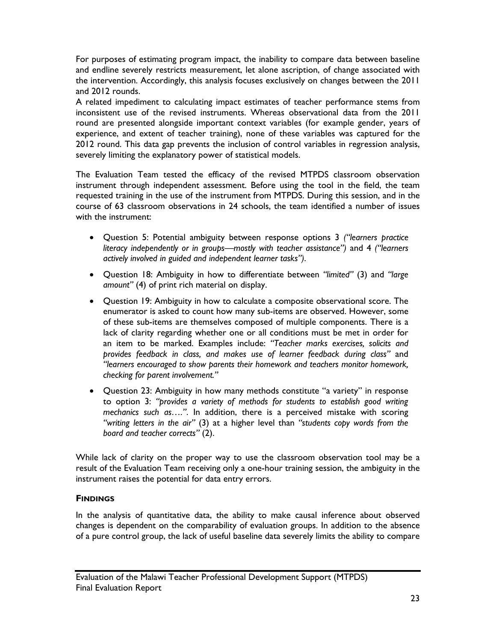For purposes of estimating program impact, the inability to compare data between baseline and endline severely restricts measurement, let alone ascription, of change associated with the intervention. Accordingly, this analysis focuses exclusively on changes between the 2011 and 2012 rounds.

A related impediment to calculating impact estimates of teacher performance stems from inconsistent use of the revised instruments. Whereas observational data from the 2011 round are presented alongside important context variables (for example gender, years of experience, and extent of teacher training), none of these variables was captured for the 2012 round. This data gap prevents the inclusion of control variables in regression analysis, severely limiting the explanatory power of statistical models.

The Evaluation Team tested the efficacy of the revised MTPDS classroom observation instrument through independent assessment. Before using the tool in the field, the team requested training in the use of the instrument from MTPDS. During this session, and in the course of 63 classroom observations in 24 schools, the team identified a number of issues with the instrument:

- Question 5: Potential ambiguity between response options 3 *("learners practice literacy independently or in groups—mostly with teacher assistance")* and 4 *("learners actively involved in guided and independent learner tasks")*.
- Question 18: Ambiguity in how to differentiate between *"limited"* (3) and *"large amount"* (4) of print rich material on display.
- Question 19: Ambiguity in how to calculate a composite observational score. The enumerator is asked to count how many sub-items are observed. However, some of these sub-items are themselves composed of multiple components. There is a lack of clarity regarding whether one or all conditions must be met in order for an item to be marked. Examples include: *"Teacher marks exercises, solicits and provides feedback in class, and makes use of learner feedback during class"* and *"learners encouraged to show parents their homework and teachers monitor homework, checking for parent involvement."*
- Question 23: Ambiguity in how many methods constitute "a variety" in response to option 3: *"provides a variety of methods for students to establish good writing mechanics such as…."*. In addition, there is a perceived mistake with scoring *"writing letters in the air"* (3) at a higher level than *"students copy words from the board and teacher corrects"* (2).

While lack of clarity on the proper way to use the classroom observation tool may be a result of the Evaluation Team receiving only a one-hour training session, the ambiguity in the instrument raises the potential for data entry errors.

## **FINDINGS**

In the analysis of quantitative data, the ability to make causal inference about observed changes is dependent on the comparability of evaluation groups. In addition to the absence of a pure control group, the lack of useful baseline data severely limits the ability to compare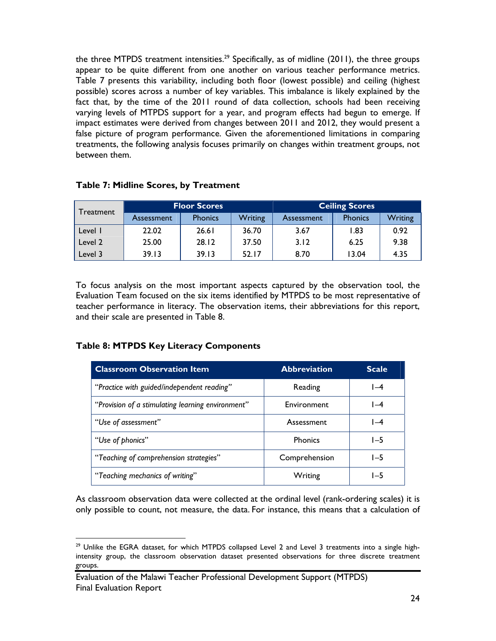the three MTPDS treatment intensities.<sup>29</sup> Specifically, as of midline (2011), the three groups appear to be quite different from one another on various teacher performance metrics. Table 7 presents this variability, including both floor (lowest possible) and ceiling (highest possible) scores across a number of key variables. This imbalance is likely explained by the fact that, by the time of the 2011 round of data collection, schools had been receiving varying levels of MTPDS support for a year, and program effects had begun to emerge. If impact estimates were derived from changes between 2011 and 2012, they would present a false picture of program performance. Given the aforementioned limitations in comparing treatments, the following analysis focuses primarily on changes within treatment groups, not between them.

| Treatment | <b>Floor Scores</b> |                |                | <b>Ceiling Scores</b> |                |         |
|-----------|---------------------|----------------|----------------|-----------------------|----------------|---------|
|           | Assessment          | <b>Phonics</b> | <b>Writing</b> | Assessment            | <b>Phonics</b> | Writing |
| Level I   | 22.02               | 26.61          | 36.70          | 3.67                  | 1.83           | 0.92    |
| Level 2   | 25.00               | 28.12          | 37.50          | 3.12                  | 6.25           | 9.38    |
| Level 3   | 39.13               | 39.13          | 52.17          | 8.70                  | 13.04          | 4.35    |

## **Table 7: Midline Scores, by Treatment**

To focus analysis on the most important aspects captured by the observation tool, the Evaluation Team focused on the six items identified by MTPDS to be most representative of teacher performance in literacy. The observation items, their abbreviations for this report, and their scale are presented in Table 8.

## **Table 8: MTPDS Key Literacy Components**

| <b>Classroom Observation Item</b>                 | <b>Abbreviation</b> | <b>Scale</b> |
|---------------------------------------------------|---------------------|--------------|
| "Practice with guided/independent reading"        | Reading             | $I-4$        |
| "Provision of a stimulating learning environment" | Environment         | l –4         |
| "Use of assessment"                               | Assessment          | $I-4$        |
| "Use of phonics"                                  | <b>Phonics</b>      | $1-5$        |
| "Teaching of comprehension strategies"            | Comprehension       | $I - 5$      |
| "Teaching mechanics of writing"                   | Writing             | $1-5$        |

As classroom observation data were collected at the ordinal level (rank-ordering scales) it is only possible to count, not measure, the data. For instance, this means that a calculation of

 $29$  Unlike the EGRA dataset, for which MTPDS collapsed Level 2 and Level 3 treatments into a single highintensity group, the classroom observation dataset presented observations for three discrete treatment groups.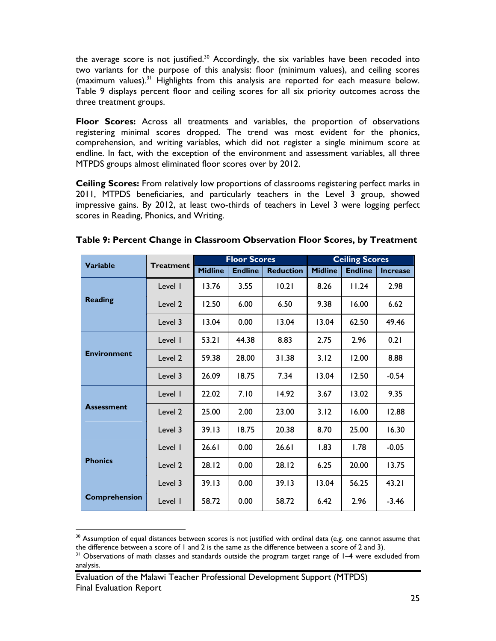the average score is not justified. $30$  Accordingly, the six variables have been recoded into two variants for the purpose of this analysis: floor (minimum values), and ceiling scores  $(maximum$  values).<sup>31</sup> Highlights from this analysis are reported for each measure below. Table 9 displays percent floor and ceiling scores for all six priority outcomes across the three treatment groups.

**Floor Scores:** Across all treatments and variables, the proportion of observations registering minimal scores dropped. The trend was most evident for the phonics, comprehension, and writing variables, which did not register a single minimum score at endline. In fact, with the exception of the environment and assessment variables, all three MTPDS groups almost eliminated floor scores over by 2012.

**Ceiling Scores:** From relatively low proportions of classrooms registering perfect marks in 2011, MTPDS beneficiaries, and particularly teachers in the Level 3 group, showed impressive gains. By 2012, at least two-thirds of teachers in Level 3 were logging perfect scores in Reading, Phonics, and Writing.

| <b>Variable</b>      |                  |                | <b>Floor Scores</b> |                  | <b>Ceiling Scores</b> |                |                 |  |
|----------------------|------------------|----------------|---------------------|------------------|-----------------------|----------------|-----------------|--|
|                      | <b>Treatment</b> | <b>Midline</b> | <b>Endline</b>      | <b>Reduction</b> | <b>Midline</b>        | <b>Endline</b> | <b>Increase</b> |  |
|                      | Level I          | 13.76          | 3.55                | 10.21            | 8.26                  | 11.24          | 2.98            |  |
| <b>Reading</b>       | Level 2          | 12.50          | 6.00                | 6.50             | 9.38                  | 16.00          | 6.62            |  |
|                      | Level 3          | 13.04          | 0.00                | 13.04            | 13.04                 | 62.50          | 49.46           |  |
| <b>Environment</b>   | Level I          | 53.21          | 44.38               | 8.83             | 2.75                  | 2.96           | 0.21            |  |
|                      | Level 2          | 59.38          | 28.00               | 31.38            | 3.12                  | 12.00          | 8.88            |  |
|                      | Level 3          | 26.09          | 18.75               | 7.34             | 13.04                 | 12.50          | $-0.54$         |  |
| <b>Assessment</b>    | Level I          | 22.02          | 7.10                | 14.92            | 3.67                  | 13.02          | 9.35            |  |
|                      | Level 2          | 25.00          | 2.00                | 23.00            | 3.12                  | 16.00          | 12.88           |  |
|                      | Level 3          | 39.13          | 18.75               | 20.38            | 8.70                  | 25.00          | 16.30           |  |
| <b>Phonics</b>       | Level I          | 26.61          | 0.00                | 26.61            | 1.83                  | 1.78           | $-0.05$         |  |
|                      | Level 2          | 28.12          | 0.00                | 28.12            | 6.25                  | 20.00          | 13.75           |  |
|                      | Level 3          | 39.13          | 0.00                | 39.13            | 13.04                 | 56.25          | 43.21           |  |
| <b>Comprehension</b> | Level I          | 58.72          | 0.00                | 58.72            | 6.42                  | 2.96           | $-3.46$         |  |

# **Table 9: Percent Change in Classroom Observation Floor Scores, by Treatment**

 $\overline{a}$ 

 $30$  Assumption of equal distances between scores is not justified with ordinal data (e.g. one cannot assume that the difference between a score of 1 and 2 is the same as the difference between a score of 2 and 3).<br><sup>31</sup> Observations of math classes and standards outside the program target range of 1–4 were excluded from

analysis.

Evaluation of the Malawi Teacher Professional Development Support (MTPDS) Final Evaluation Report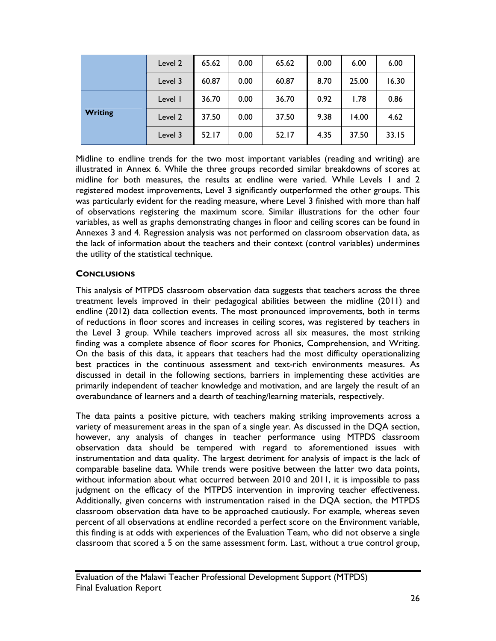|                | Level 2 | 65.62 | 0.00 | 65.62 | 0.00 | 6.00  | 6.00  |
|----------------|---------|-------|------|-------|------|-------|-------|
|                | Level 3 | 60.87 | 0.00 | 60.87 | 8.70 | 25.00 | 16.30 |
| <b>Writing</b> | Level I | 36.70 | 0.00 | 36.70 | 0.92 | 1.78  | 0.86  |
|                | Level 2 | 37.50 | 0.00 | 37.50 | 9.38 | 14.00 | 4.62  |
|                | Level 3 | 52.17 | 0.00 | 52.17 | 4.35 | 37.50 | 33.15 |

Midline to endline trends for the two most important variables (reading and writing) are illustrated in Annex 6. While the three groups recorded similar breakdowns of scores at midline for both measures, the results at endline were varied. While Levels 1 and 2 registered modest improvements, Level 3 significantly outperformed the other groups. This was particularly evident for the reading measure, where Level 3 finished with more than half of observations registering the maximum score. Similar illustrations for the other four variables, as well as graphs demonstrating changes in floor and ceiling scores can be found in Annexes 3 and 4. Regression analysis was not performed on classroom observation data, as the lack of information about the teachers and their context (control variables) undermines the utility of the statistical technique.

# **CONCLUSIONS**

This analysis of MTPDS classroom observation data suggests that teachers across the three treatment levels improved in their pedagogical abilities between the midline (2011) and endline (2012) data collection events. The most pronounced improvements, both in terms of reductions in floor scores and increases in ceiling scores, was registered by teachers in the Level 3 group. While teachers improved across all six measures, the most striking finding was a complete absence of floor scores for Phonics, Comprehension, and Writing. On the basis of this data, it appears that teachers had the most difficulty operationalizing best practices in the continuous assessment and text-rich environments measures. As discussed in detail in the following sections, barriers in implementing these activities are primarily independent of teacher knowledge and motivation, and are largely the result of an overabundance of learners and a dearth of teaching/learning materials, respectively.

The data paints a positive picture, with teachers making striking improvements across a variety of measurement areas in the span of a single year. As discussed in the DQA section, however, any analysis of changes in teacher performance using MTPDS classroom observation data should be tempered with regard to aforementioned issues with instrumentation and data quality. The largest detriment for analysis of impact is the lack of comparable baseline data. While trends were positive between the latter two data points, without information about what occurred between 2010 and 2011, it is impossible to pass judgment on the efficacy of the MTPDS intervention in improving teacher effectiveness. Additionally, given concerns with instrumentation raised in the DQA section, the MTPDS classroom observation data have to be approached cautiously. For example, whereas seven percent of all observations at endline recorded a perfect score on the Environment variable, this finding is at odds with experiences of the Evaluation Team, who did not observe a single classroom that scored a 5 on the same assessment form. Last, without a true control group,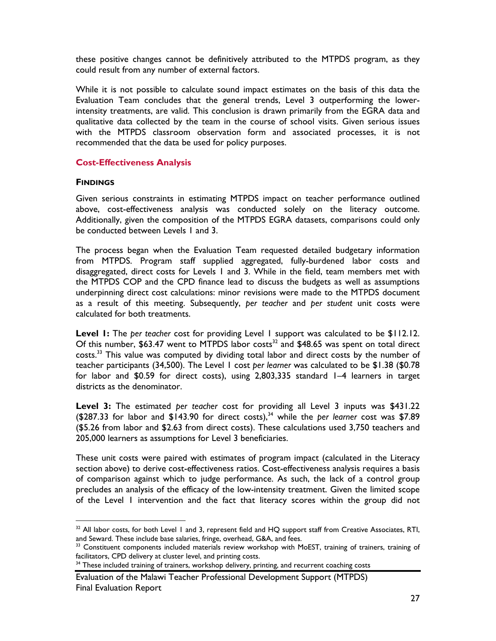these positive changes cannot be definitively attributed to the MTPDS program, as they could result from any number of external factors.

While it is not possible to calculate sound impact estimates on the basis of this data the Evaluation Team concludes that the general trends, Level 3 outperforming the lowerintensity treatments, are valid. This conclusion is drawn primarily from the EGRA data and qualitative data collected by the team in the course of school visits. Given serious issues with the MTPDS classroom observation form and associated processes, it is not recommended that the data be used for policy purposes.

#### **Cost-Effectiveness Analysis**

#### **FINDINGS**

 $\overline{a}$ 

Given serious constraints in estimating MTPDS impact on teacher performance outlined above, cost-effectiveness analysis was conducted solely on the literacy outcome. Additionally, given the composition of the MTPDS EGRA datasets, comparisons could only be conducted between Levels 1 and 3.

The process began when the Evaluation Team requested detailed budgetary information from MTPDS. Program staff supplied aggregated, fully-burdened labor costs and disaggregated, direct costs for Levels 1 and 3. While in the field, team members met with the MTPDS COP and the CPD finance lead to discuss the budgets as well as assumptions underpinning direct cost calculations: minor revisions were made to the MTPDS document as a result of this meeting. Subsequently, *per teacher* and *per student* unit costs were calculated for both treatments.

**Level 1:** The *per teacher* cost for providing Level 1 support was calculated to be \$112.12. Of this number, \$63.47 went to MTPDS labor costs<sup>32</sup> and \$48.65 was spent on total direct costs.33 This value was computed by dividing total labor and direct costs by the number of teacher participants (34,500). The Level 1 cost *per learner* was calculated to be \$1.38 (\$0.78 for labor and \$0.59 for direct costs), using 2,803,335 standard 1–4 learners in target districts as the denominator.

**Level 3:** The estimated *per teacher* cost for providing all Level 3 inputs was \$431.22 (\$287.33 for labor and \$143.90 for direct costs),34 while the *per learner* cost was \$7.89 (\$5.26 from labor and \$2.63 from direct costs). These calculations used 3,750 teachers and 205,000 learners as assumptions for Level 3 beneficiaries.

These unit costs were paired with estimates of program impact (calculated in the Literacy section above) to derive cost-effectiveness ratios. Cost-effectiveness analysis requires a basis of comparison against which to judge performance. As such, the lack of a control group precludes an analysis of the efficacy of the low-intensity treatment. Given the limited scope of the Level 1 intervention and the fact that literacy scores within the group did not

<sup>&</sup>lt;sup>32</sup> All labor costs, for both Level 1 and 3, represent field and HQ support staff from Creative Associates, RTI, and Seward. These include base salaries, fringe, overhead, G&A, and fees.

<sup>&</sup>lt;sup>33</sup> Constituent components included materials review workshop with MoEST, training of trainers, training of facilitators, CPD delivery at cluster level, and printing costs.

<sup>&</sup>lt;sup>34</sup> These included training of trainers, workshop delivery, printing, and recurrent coaching costs

Evaluation of the Malawi Teacher Professional Development Support (MTPDS) Final Evaluation Report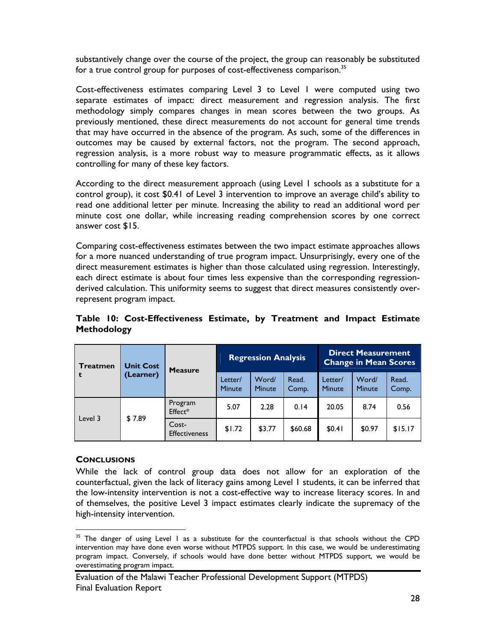substantively change over the course of the project, the group can reasonably be substituted for a true control group for purposes of cost-effectiveness comparison.<sup>35</sup>

Cost-effectiveness estimates comparing Level 3 to Level 1 were computed using two separate estimates of impact: direct measurement and regression analysis. The first methodology simply compares changes in mean scores between the two groups. As previously mentioned, these direct measurements do not account for general time trends that may have occurred in the absence of the program. As such, some of the differences in outcomes may be caused by external factors, not the program. The second approach, regression analysis, is a more robust way to measure programmatic effects, as it allows controlling for many of these key factors.

According to the direct measurement approach (using Level 1 schools as a substitute for a control group), it cost \$0.41 of Level 3 intervention to improve an average child's ability to read one additional letter per minute. Increasing the ability to read an additional word per minute cost one dollar, while increasing reading comprehension scores by one correct answer cost \$15.

Comparing cost-effectiveness estimates between the two impact estimate approaches allows for a more nuanced understanding of true program impact. Unsurprisingly, every one of the direct measurement estimates is higher than those calculated using regression. Interestingly, each direct estimate is about four times less expensive than the corresponding regressionderived calculation. This uniformity seems to suggest that direct measures consistently overrepresent program impact.

| <b>Treatmen</b> | <b>Unit Cost</b><br>(Learner) | <b>Measure</b>                |                          | <b>Regression Analysis</b> |                | <b>Direct Measurement</b><br><b>Change in Mean Scores</b> |                 |                |
|-----------------|-------------------------------|-------------------------------|--------------------------|----------------------------|----------------|-----------------------------------------------------------|-----------------|----------------|
|                 |                               |                               | Letter/<br><b>Minute</b> | Word/<br>Minute            | Read.<br>Comp. | Letter/<br><b>Minute</b>                                  | Word/<br>Minute | Read.<br>Comp. |
| Level 3         | \$7.89                        | Program<br>Effect*            | 5.07                     | 2.28                       | 0.14           | 20.05                                                     | 8.74            | 0.56           |
|                 |                               | Cost-<br><b>Effectiveness</b> | \$1.72                   | \$3.77                     | \$60.68        | \$0.41                                                    | \$0.97          | \$15.17        |

**Table 10: Cost-Effectiveness Estimate, by Treatment and Impact Estimate Methodology** 

#### **CONCLUSIONS**

 $\overline{a}$ 

While the lack of control group data does not allow for an exploration of the counterfactual, given the lack of literacy gains among Level 1 students, it can be inferred that the low-intensity intervention is not a cost-effective way to increase literacy scores. In and of themselves, the positive Level 3 impact estimates clearly indicate the supremacy of the high-intensity intervention.

<sup>&</sup>lt;sup>35</sup> The danger of using Level I as a substitute for the counterfactual is that schools without the CPD intervention may have done even worse without MTPDS support. In this case, we would be underestimating program impact. Conversely, if schools would have done better without MTPDS support, we would be overestimating program impact.

Evaluation of the Malawi Teacher Professional Development Support (MTPDS) Final Evaluation Report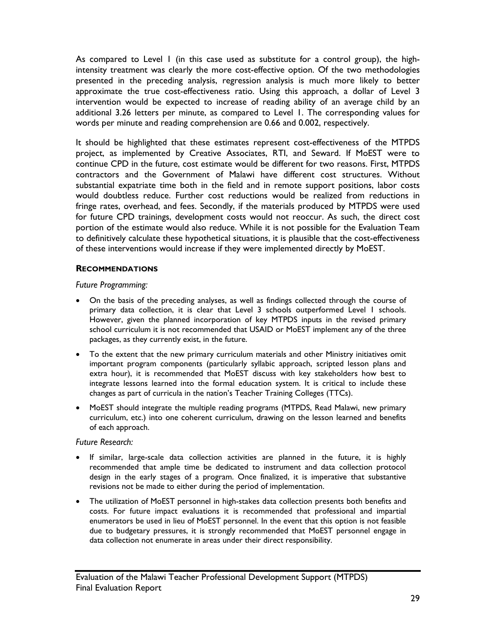As compared to Level 1 (in this case used as substitute for a control group), the highintensity treatment was clearly the more cost-effective option. Of the two methodologies presented in the preceding analysis, regression analysis is much more likely to better approximate the true cost-effectiveness ratio. Using this approach, a dollar of Level 3 intervention would be expected to increase of reading ability of an average child by an additional 3.26 letters per minute, as compared to Level 1. The corresponding values for words per minute and reading comprehension are 0.66 and 0.002, respectively.

It should be highlighted that these estimates represent cost-effectiveness of the MTPDS project, as implemented by Creative Associates, RTI, and Seward. If MoEST were to continue CPD in the future, cost estimate would be different for two reasons. First, MTPDS contractors and the Government of Malawi have different cost structures. Without substantial expatriate time both in the field and in remote support positions, labor costs would doubtless reduce. Further cost reductions would be realized from reductions in fringe rates, overhead, and fees. Secondly, if the materials produced by MTPDS were used for future CPD trainings, development costs would not reoccur. As such, the direct cost portion of the estimate would also reduce. While it is not possible for the Evaluation Team to definitively calculate these hypothetical situations, it is plausible that the cost-effectiveness of these interventions would increase if they were implemented directly by MoEST.

#### **RECOMMENDATIONS**

#### *Future Programming:*

- On the basis of the preceding analyses, as well as findings collected through the course of primary data collection, it is clear that Level 3 schools outperformed Level 1 schools. However, given the planned incorporation of key MTPDS inputs in the revised primary school curriculum it is not recommended that USAID or MoEST implement any of the three packages, as they currently exist, in the future.
- To the extent that the new primary curriculum materials and other Ministry initiatives omit important program components (particularly syllabic approach, scripted lesson plans and extra hour), it is recommended that MoEST discuss with key stakeholders how best to integrate lessons learned into the formal education system. It is critical to include these changes as part of curricula in the nation's Teacher Training Colleges (TTCs).
- MoEST should integrate the multiple reading programs (MTPDS, Read Malawi, new primary curriculum, etc.) into one coherent curriculum, drawing on the lesson learned and benefits of each approach.

#### *Future Research:*

- If similar, large-scale data collection activities are planned in the future, it is highly recommended that ample time be dedicated to instrument and data collection protocol design in the early stages of a program. Once finalized, it is imperative that substantive revisions not be made to either during the period of implementation.
- The utilization of MoEST personnel in high-stakes data collection presents both benefits and costs. For future impact evaluations it is recommended that professional and impartial enumerators be used in lieu of MoEST personnel. In the event that this option is not feasible due to budgetary pressures, it is strongly recommended that MoEST personnel engage in data collection not enumerate in areas under their direct responsibility.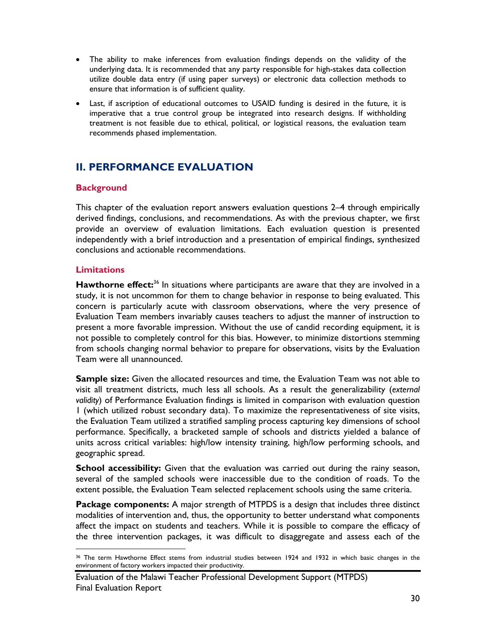- The ability to make inferences from evaluation findings depends on the validity of the underlying data. It is recommended that any party responsible for high-stakes data collection utilize double data entry (if using paper surveys) or electronic data collection methods to ensure that information is of sufficient quality.
- Last, if ascription of educational outcomes to USAID funding is desired in the future, it is imperative that a true control group be integrated into research designs. If withholding treatment is not feasible due to ethical, political, or logistical reasons, the evaluation team recommends phased implementation.

# **II. PERFORMANCE EVALUATION**

# **Background**

This chapter of the evaluation report answers evaluation questions 2–4 through empirically derived findings, conclusions, and recommendations. As with the previous chapter, we first provide an overview of evaluation limitations. Each evaluation question is presented independently with a brief introduction and a presentation of empirical findings, synthesized conclusions and actionable recommendations.

# **Limitations**

Hawthorne effect:<sup>36</sup> In situations where participants are aware that they are involved in a study, it is not uncommon for them to change behavior in response to being evaluated. This concern is particularly acute with classroom observations, where the very presence of Evaluation Team members invariably causes teachers to adjust the manner of instruction to present a more favorable impression. Without the use of candid recording equipment, it is not possible to completely control for this bias. However, to minimize distortions stemming from schools changing normal behavior to prepare for observations, visits by the Evaluation Team were all unannounced.

**Sample size:** Given the allocated resources and time, the Evaluation Team was not able to visit all treatment districts, much less all schools. As a result the generalizability (*external validity*) of Performance Evaluation findings is limited in comparison with evaluation question 1 (which utilized robust secondary data). To maximize the representativeness of site visits, the Evaluation Team utilized a stratified sampling process capturing key dimensions of school performance. Specifically, a bracketed sample of schools and districts yielded a balance of units across critical variables: high/low intensity training, high/low performing schools, and geographic spread.

**School accessibility:** Given that the evaluation was carried out during the rainy season, several of the sampled schools were inaccessible due to the condition of roads. To the extent possible, the Evaluation Team selected replacement schools using the same criteria.

**Package components:** A major strength of MTPDS is a design that includes three distinct modalities of intervention and, thus, the opportunity to better understand what components affect the impact on students and teachers. While it is possible to compare the efficacy of the three intervention packages, it was difficult to disaggregate and assess each of the

<sup>-</sup>36 The term Hawthorne Effect stems from industrial studies between 1924 and 1932 in which basic changes in the environment of factory workers impacted their productivity.

Evaluation of the Malawi Teacher Professional Development Support (MTPDS) Final Evaluation Report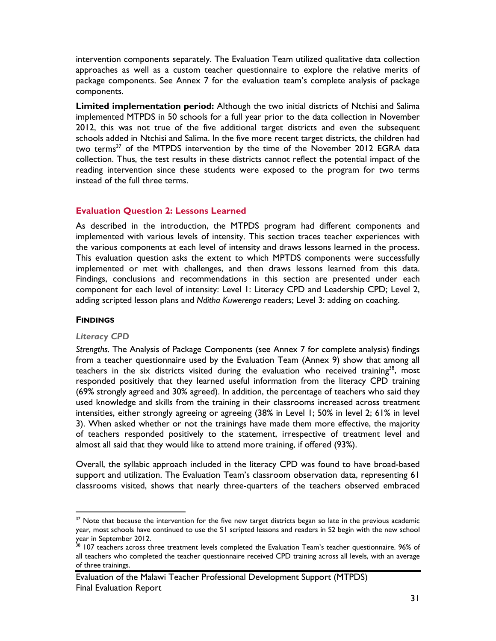intervention components separately. The Evaluation Team utilized qualitative data collection approaches as well as a custom teacher questionnaire to explore the relative merits of package components. See Annex 7 for the evaluation team's complete analysis of package components.

**Limited implementation period:** Although the two initial districts of Ntchisi and Salima implemented MTPDS in 50 schools for a full year prior to the data collection in November 2012, this was not true of the five additional target districts and even the subsequent schools added in Ntchisi and Salima. In the five more recent target districts, the children had two terms<sup>37</sup> of the MTPDS intervention by the time of the November 2012 EGRA data collection. Thus, the test results in these districts cannot reflect the potential impact of the reading intervention since these students were exposed to the program for two terms instead of the full three terms.

#### **Evaluation Question 2: Lessons Learned**

As described in the introduction, the MTPDS program had different components and implemented with various levels of intensity. This section traces teacher experiences with the various components at each level of intensity and draws lessons learned in the process. This evaluation question asks the extent to which MPTDS components were successfully implemented or met with challenges, and then draws lessons learned from this data. Findings, conclusions and recommendations in this section are presented under each component for each level of intensity: Level 1: Literacy CPD and Leadership CPD; Level 2, adding scripted lesson plans and *Nditha Kuwerenga* readers; Level 3: adding on coaching.

#### **FINDINGS**

 $\overline{a}$ 

#### *Literacy CPD*

*Strengths.* The Analysis of Package Components (see Annex 7 for complete analysis) findings from a teacher questionnaire used by the Evaluation Team (Annex 9) show that among all teachers in the six districts visited during the evaluation who received training<sup>38</sup>, most responded positively that they learned useful information from the literacy CPD training (69% strongly agreed and 30% agreed). In addition, the percentage of teachers who said they used knowledge and skills from the training in their classrooms increased across treatment intensities, either strongly agreeing or agreeing (38% in Level 1; 50% in level 2; 61% in level 3). When asked whether or not the trainings have made them more effective, the majority of teachers responded positively to the statement, irrespective of treatment level and almost all said that they would like to attend more training, if offered (93%).

Overall, the syllabic approach included in the literacy CPD was found to have broad-based support and utilization. The Evaluation Team's classroom observation data, representing 61 classrooms visited, shows that nearly three-quarters of the teachers observed embraced

<sup>&</sup>lt;sup>37</sup> Note that because the intervention for the five new target districts began so late in the previous academic year, most schools have continued to use the S1 scripted lessons and readers in S2 begin with the new school year in September 2012.

<sup>38 107</sup> teachers across three treatment levels completed the Evaluation Team's teacher questionnaire. 96% of all teachers who completed the teacher questionnaire received CPD training across all levels, with an average of three trainings.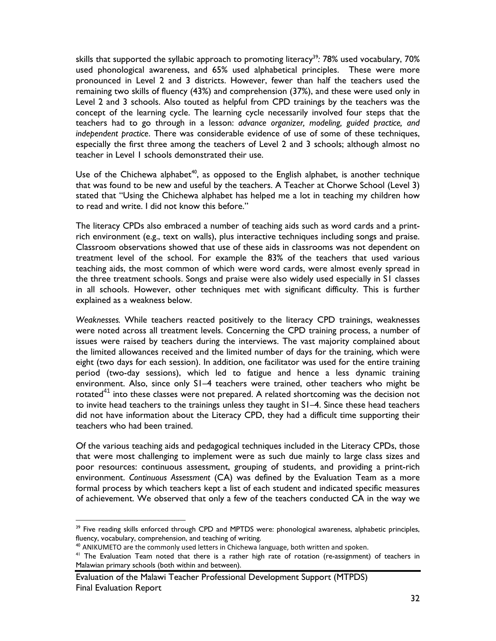skills that supported the syllabic approach to promoting literacy<sup>39</sup>: 78% used vocabulary, 70% used phonological awareness, and 65% used alphabetical principles. These were more pronounced in Level 2 and 3 districts. However, fewer than half the teachers used the remaining two skills of fluency (43%) and comprehension (37%), and these were used only in Level 2 and 3 schools. Also touted as helpful from CPD trainings by the teachers was the concept of the learning cycle. The learning cycle necessarily involved four steps that the teachers had to go through in a lesson: *advance organizer, modeling, guided practice, and independent practice*. There was considerable evidence of use of some of these techniques, especially the first three among the teachers of Level 2 and 3 schools; although almost no teacher in Level 1 schools demonstrated their use.

Use of the Chichewa alphabet<sup>40</sup>, as opposed to the English alphabet, is another technique that was found to be new and useful by the teachers. A Teacher at Chorwe School (Level 3) stated that "Using the Chichewa alphabet has helped me a lot in teaching my children how to read and write. I did not know this before."

The literacy CPDs also embraced a number of teaching aids such as word cards and a printrich environment (e.g., text on walls), plus interactive techniques including songs and praise. Classroom observations showed that use of these aids in classrooms was not dependent on treatment level of the school. For example the 83% of the teachers that used various teaching aids, the most common of which were word cards, were almost evenly spread in the three treatment schools. Songs and praise were also widely used especially in S1 classes in all schools. However, other techniques met with significant difficulty. This is further explained as a weakness below.

*Weaknesses.* While teachers reacted positively to the literacy CPD trainings, weaknesses were noted across all treatment levels. Concerning the CPD training process, a number of issues were raised by teachers during the interviews. The vast majority complained about the limited allowances received and the limited number of days for the training, which were eight (two days for each session). In addition, one facilitator was used for the entire training period (two-day sessions), which led to fatigue and hence a less dynamic training environment. Also, since only S1–4 teachers were trained, other teachers who might be rotated $41$  into these classes were not prepared. A related shortcoming was the decision not to invite head teachers to the trainings unless they taught in S1–4. Since these head teachers did not have information about the Literacy CPD, they had a difficult time supporting their teachers who had been trained.

Of the various teaching aids and pedagogical techniques included in the Literacy CPDs, those that were most challenging to implement were as such due mainly to large class sizes and poor resources: continuous assessment, grouping of students, and providing a print-rich environment. *Continuous Assessment* (CA) was defined by the Evaluation Team as a more formal process by which teachers kept a list of each student and indicated specific measures of achievement. We observed that only a few of the teachers conducted CA in the way we

 $\overline{a}$ 

<sup>&</sup>lt;sup>39</sup> Five reading skills enforced through CPD and MPTDS were: phonological awareness, alphabetic principles, fluency, vocabulary, comprehension, and teaching of writing.

<sup>&</sup>lt;sup>40</sup> ANIKUMETO are the commonly used letters in Chichewa language, both written and spoken.

<sup>&</sup>lt;sup>41</sup> The Evaluation Team noted that there is a rather high rate of rotation (re-assignment) of teachers in Malawian primary schools (both within and between).

Evaluation of the Malawi Teacher Professional Development Support (MTPDS) Final Evaluation Report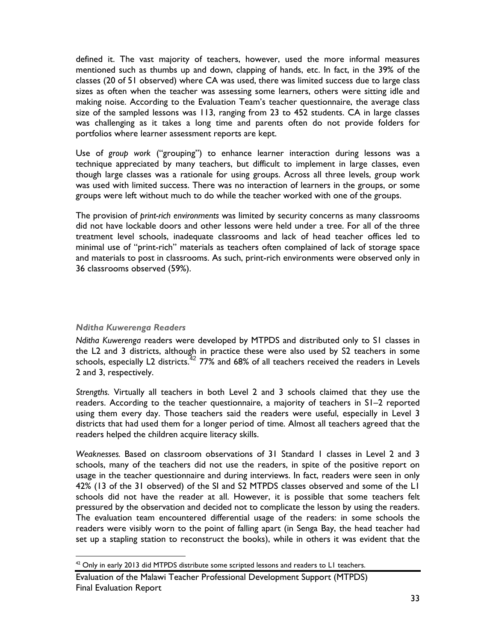defined it. The vast majority of teachers, however, used the more informal measures mentioned such as thumbs up and down, clapping of hands, etc. In fact, in the 39% of the classes (20 of 51 observed) where CA was used, there was limited success due to large class sizes as often when the teacher was assessing some learners, others were sitting idle and making noise. According to the Evaluation Team's teacher questionnaire, the average class size of the sampled lessons was 113, ranging from 23 to 452 students. CA in large classes was challenging as it takes a long time and parents often do not provide folders for portfolios where learner assessment reports are kept.

Use of *group work* ("grouping") to enhance learner interaction during lessons was a technique appreciated by many teachers, but difficult to implement in large classes, even though large classes was a rationale for using groups. Across all three levels, group work was used with limited success. There was no interaction of learners in the groups, or some groups were left without much to do while the teacher worked with one of the groups.

The provision of *print-rich environments* was limited by security concerns as many classrooms did not have lockable doors and other lessons were held under a tree. For all of the three treatment level schools, inadequate classrooms and lack of head teacher offices led to minimal use of "print-rich" materials as teachers often complained of lack of storage space and materials to post in classrooms. As such, print-rich environments were observed only in 36 classrooms observed (59%).

# *Nditha Kuwerenga Readers*

-

*Nditha Kuwerenga* readers were developed by MTPDS and distributed only to S1 classes in the L2 and 3 districts, although in practice these were also used by S2 teachers in some schools, especially L2 districts.<sup>42</sup> 77% and 68% of all teachers received the readers in Levels 2 and 3, respectively.

*Strengths.* Virtually all teachers in both Level 2 and 3 schools claimed that they use the readers. According to the teacher questionnaire, a majority of teachers in S1–2 reported using them every day. Those teachers said the readers were useful, especially in Level 3 districts that had used them for a longer period of time. Almost all teachers agreed that the readers helped the children acquire literacy skills.

*Weaknesses.* Based on classroom observations of 31 Standard 1 classes in Level 2 and 3 schools, many of the teachers did not use the readers, in spite of the positive report on usage in the teacher questionnaire and during interviews. In fact, readers were seen in only 42% (13 of the 31 observed) of the SI and S2 MTPDS classes observed and some of the L1 schools did not have the reader at all. However, it is possible that some teachers felt pressured by the observation and decided not to complicate the lesson by using the readers. The evaluation team encountered differential usage of the readers: in some schools the readers were visibly worn to the point of falling apart (in Senga Bay, the head teacher had set up a stapling station to reconstruct the books), while in others it was evident that the

 $42$  Only in early 2013 did MTPDS distribute some scripted lessons and readers to L1 teachers.

Evaluation of the Malawi Teacher Professional Development Support (MTPDS) Final Evaluation Report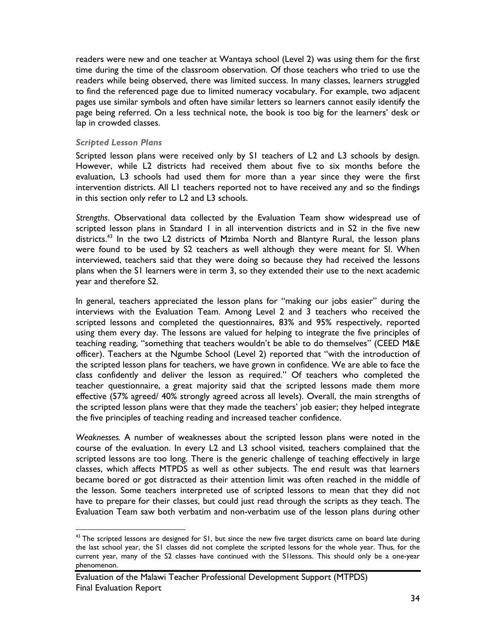readers were new and one teacher at Wantaya school (Level 2) was using them for the first time during the time of the classroom observation. Of those teachers who tried to use the readers while being observed, there was limited success. In many classes, learners struggled to find the referenced page due to limited numeracy vocabulary. For example, two adjacent pages use similar symbols and often have similar letters so learners cannot easily identify the page being referred. On a less technical note, the book is too big for the learners' desk or lap in crowded classes.

#### *Scripted Lesson Plans*

Scripted lesson plans were received only by S1 teachers of L2 and L3 schools by design. However, while L2 districts had received them about five to six months before the evaluation, L3 schools had used them for more than a year since they were the first intervention districts. All L1 teachers reported not to have received any and so the findings in this section only refer to L2 and L3 schools.

*Strengths*. Observational data collected by the Evaluation Team show widespread use of scripted lesson plans in Standard 1 in all intervention districts and in S2 in the five new districts.<sup>43</sup> In the two L2 districts of Mzimba North and Blantyre Rural, the lesson plans were found to be used by S2 teachers as well although they were meant for SI. When interviewed, teachers said that they were doing so because they had received the lessons plans when the S1 learners were in term 3, so they extended their use to the next academic year and therefore S2.

In general, teachers appreciated the lesson plans for "making our jobs easier" during the interviews with the Evaluation Team. Among Level 2 and 3 teachers who received the scripted lessons and completed the questionnaires, 83% and 95% respectively, reported using them every day. The lessons are valued for helping to integrate the five principles of teaching reading, "something that teachers wouldn't be able to do themselves" (CEED M&E officer). Teachers at the Ngumbe School (Level 2) reported that "with the introduction of the scripted lesson plans for teachers, we have grown in confidence. We are able to face the class confidently and deliver the lesson as required." Of teachers who completed the teacher questionnaire, a great majority said that the scripted lessons made them more effective (57% agreed/ 40% strongly agreed across all levels). Overall, the main strengths of the scripted lesson plans were that they made the teachers' job easier; they helped integrate the five principles of teaching reading and increased teacher confidence.

*Weaknesses.* A number of weaknesses about the scripted lesson plans were noted in the course of the evaluation. In every L2 and L3 school visited, teachers complained that the scripted lessons are too long. There is the generic challenge of teaching effectively in large classes, which affects MTPDS as well as other subjects. The end result was that learners became bored or got distracted as their attention limit was often reached in the middle of the lesson. Some teachers interpreted use of scripted lessons to mean that they did not have to prepare for their classes, but could just read through the scripts as they teach. The Evaluation Team saw both verbatim and non-verbatim use of the lesson plans during other

<sup>&</sup>lt;sup>43</sup> The scripted lessons are designed for S1, but since the new five target districts came on board late during the last school year, the S1 classes did not complete the scripted lessons for the whole year. Thus, for the current year, many of the S2 classes have continued with the S1lessons. This should only be a one-year phenomenon.

Evaluation of the Malawi Teacher Professional Development Support (MTPDS) Final Evaluation Report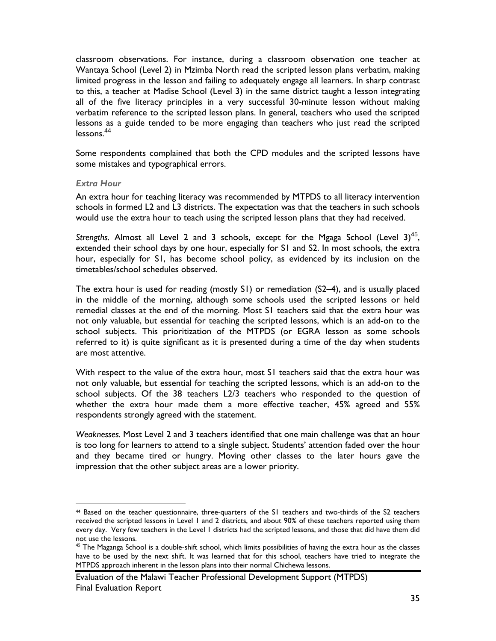classroom observations. For instance, during a classroom observation one teacher at Wantaya School (Level 2) in Mzimba North read the scripted lesson plans verbatim, making limited progress in the lesson and failing to adequately engage all learners. In sharp contrast to this, a teacher at Madise School (Level 3) in the same district taught a lesson integrating all of the five literacy principles in a very successful 30-minute lesson without making verbatim reference to the scripted lesson plans. In general, teachers who used the scripted lessons as a guide tended to be more engaging than teachers who just read the scripted lessons.<sup>44</sup>

Some respondents complained that both the CPD modules and the scripted lessons have some mistakes and typographical errors.

#### *Extra Hour*

 $\overline{a}$ 

An extra hour for teaching literacy was recommended by MTPDS to all literacy intervention schools in formed L2 and L3 districts. The expectation was that the teachers in such schools would use the extra hour to teach using the scripted lesson plans that they had received.

Strengths. Almost all Level 2 and 3 schools, except for the Mgaga School (Level 3)<sup>45</sup>, extended their school days by one hour, especially for S1 and S2. In most schools, the extra hour, especially for S1, has become school policy, as evidenced by its inclusion on the timetables/school schedules observed.

The extra hour is used for reading (mostly S1) or remediation (S2–4), and is usually placed in the middle of the morning, although some schools used the scripted lessons or held remedial classes at the end of the morning. Most S1 teachers said that the extra hour was not only valuable, but essential for teaching the scripted lessons, which is an add-on to the school subjects. This prioritization of the MTPDS (or EGRA lesson as some schools referred to it) is quite significant as it is presented during a time of the day when students are most attentive.

With respect to the value of the extra hour, most S1 teachers said that the extra hour was not only valuable, but essential for teaching the scripted lessons, which is an add-on to the school subjects. Of the 38 teachers L2/3 teachers who responded to the question of whether the extra hour made them a more effective teacher, 45% agreed and 55% respondents strongly agreed with the statement.

*Weaknesses.* Most Level 2 and 3 teachers identified that one main challenge was that an hour is too long for learners to attend to a single subject. Students' attention faded over the hour and they became tired or hungry. Moving other classes to the later hours gave the impression that the other subject areas are a lower priority.

<sup>44</sup> Based on the teacher questionnaire, three-quarters of the S1 teachers and two-thirds of the S2 teachers received the scripted lessons in Level 1 and 2 districts, and about 90% of these teachers reported using them every day. Very few teachers in the Level 1 districts had the scripted lessons, and those that did have them did not use the lessons.

 $45$  The Maganga School is a double-shift school, which limits possibilities of having the extra hour as the classes have to be used by the next shift. It was learned that for this school, teachers have tried to integrate the MTPDS approach inherent in the lesson plans into their normal Chichewa lessons.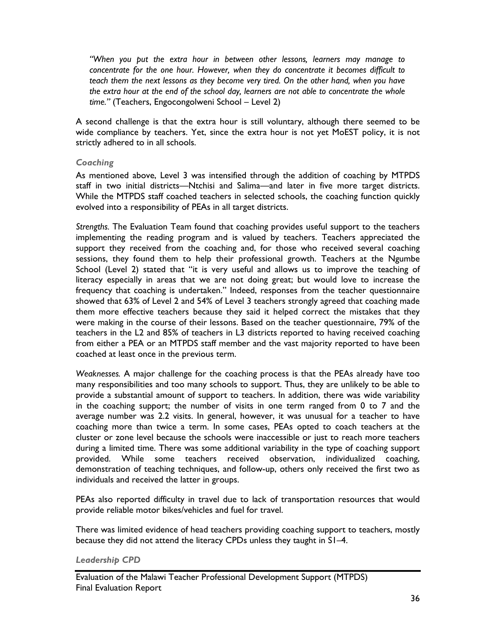*"When you put the extra hour in between other lessons, learners may manage to concentrate for the one hour. However, when they do concentrate it becomes difficult to teach them the next lessons as they become very tired. On the other hand, when you have the extra hour at the end of the school day, learners are not able to concentrate the whole time."* (Teachers, Engocongolweni School – Level 2)

A second challenge is that the extra hour is still voluntary, although there seemed to be wide compliance by teachers. Yet, since the extra hour is not yet MoEST policy, it is not strictly adhered to in all schools.

#### *Coaching*

As mentioned above, Level 3 was intensified through the addition of coaching by MTPDS staff in two initial districts—Ntchisi and Salima—and later in five more target districts. While the MTPDS staff coached teachers in selected schools, the coaching function quickly evolved into a responsibility of PEAs in all target districts.

*Strengths.* The Evaluation Team found that coaching provides useful support to the teachers implementing the reading program and is valued by teachers. Teachers appreciated the support they received from the coaching and, for those who received several coaching sessions, they found them to help their professional growth. Teachers at the Ngumbe School (Level 2) stated that "it is very useful and allows us to improve the teaching of literacy especially in areas that we are not doing great; but would love to increase the frequency that coaching is undertaken." Indeed, responses from the teacher questionnaire showed that 63% of Level 2 and 54% of Level 3 teachers strongly agreed that coaching made them more effective teachers because they said it helped correct the mistakes that they were making in the course of their lessons. Based on the teacher questionnaire, 79% of the teachers in the L2 and 85% of teachers in L3 districts reported to having received coaching from either a PEA or an MTPDS staff member and the vast majority reported to have been coached at least once in the previous term.

*Weaknesses.* A major challenge for the coaching process is that the PEAs already have too many responsibilities and too many schools to support. Thus, they are unlikely to be able to provide a substantial amount of support to teachers. In addition, there was wide variability in the coaching support; the number of visits in one term ranged from 0 to 7 and the average number was 2.2 visits. In general, however, it was unusual for a teacher to have coaching more than twice a term. In some cases, PEAs opted to coach teachers at the cluster or zone level because the schools were inaccessible or just to reach more teachers during a limited time. There was some additional variability in the type of coaching support provided. While some teachers received observation, individualized coaching, demonstration of teaching techniques, and follow-up, others only received the first two as individuals and received the latter in groups.

PEAs also reported difficulty in travel due to lack of transportation resources that would provide reliable motor bikes/vehicles and fuel for travel.

There was limited evidence of head teachers providing coaching support to teachers, mostly because they did not attend the literacy CPDs unless they taught in S1–4.

#### *Leadership CPD*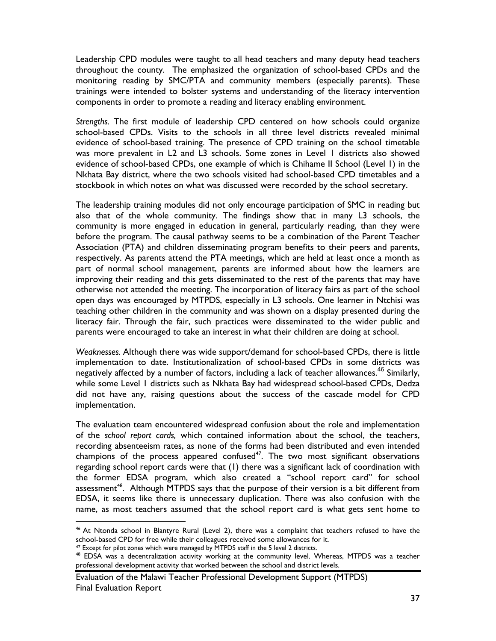Leadership CPD modules were taught to all head teachers and many deputy head teachers throughout the county. The emphasized the organization of school-based CPDs and the monitoring reading by SMC/PTA and community members (especially parents). These trainings were intended to bolster systems and understanding of the literacy intervention components in order to promote a reading and literacy enabling environment.

*Strengths.* The first module of leadership CPD centered on how schools could organize school-based CPDs. Visits to the schools in all three level districts revealed minimal evidence of school-based training. The presence of CPD training on the school timetable was more prevalent in L2 and L3 schools. Some zones in Level 1 districts also showed evidence of school-based CPDs, one example of which is Chihame II School (Level 1) in the Nkhata Bay district, where the two schools visited had school-based CPD timetables and a stockbook in which notes on what was discussed were recorded by the school secretary.

The leadership training modules did not only encourage participation of SMC in reading but also that of the whole community. The findings show that in many L3 schools, the community is more engaged in education in general, particularly reading, than they were before the program. The causal pathway seems to be a combination of the Parent Teacher Association (PTA) and children disseminating program benefits to their peers and parents, respectively. As parents attend the PTA meetings, which are held at least once a month as part of normal school management, parents are informed about how the learners are improving their reading and this gets disseminated to the rest of the parents that may have otherwise not attended the meeting. The incorporation of literacy fairs as part of the school open days was encouraged by MTPDS, especially in L3 schools. One learner in Ntchisi was teaching other children in the community and was shown on a display presented during the literacy fair. Through the fair, such practices were disseminated to the wider public and parents were encouraged to take an interest in what their children are doing at school.

*Weaknesses.* Although there was wide support/demand for school-based CPDs, there is little implementation to date. Institutionalization of school-based CPDs in some districts was negatively affected by a number of factors, including a lack of teacher allowances.<sup>46</sup> Similarly, while some Level 1 districts such as Nkhata Bay had widespread school-based CPDs, Dedza did not have any, raising questions about the success of the cascade model for CPD implementation.

The evaluation team encountered widespread confusion about the role and implementation of the *school report cards,* which contained information about the school, the teachers, recording absenteeism rates, as none of the forms had been distributed and even intended champions of the process appeared confused<sup>47</sup>. The two most significant observations regarding school report cards were that (1) there was a significant lack of coordination with the former EDSA program, which also created a "school report card" for school assessment<sup>48</sup>. Although MTPDS says that the purpose of their version is a bit different from EDSA, it seems like there is unnecessary duplication. There was also confusion with the name, as most teachers assumed that the school report card is what gets sent home to

 $\overline{a}$ 

<sup>46</sup> At Ntonda school in Blantyre Rural (Level 2), there was a complaint that teachers refused to have the school-based CPD for free while their colleagues received some allowances for it.

<sup>&</sup>lt;sup>47</sup> Except for pilot zones which were managed by MTPDS staff in the 5 level 2 districts.

<sup>&</sup>lt;sup>48</sup> EDSA was a decentralization activity working at the community level. Whereas, MTPDS was a teacher professional development activity that worked between the school and district levels.

Evaluation of the Malawi Teacher Professional Development Support (MTPDS) Final Evaluation Report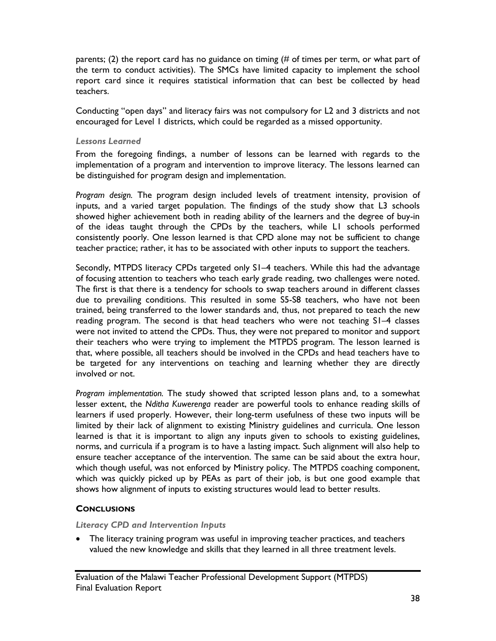parents; (2) the report card has no guidance on timing (# of times per term, or what part of the term to conduct activities). The SMCs have limited capacity to implement the school report card since it requires statistical information that can best be collected by head teachers.

Conducting "open days" and literacy fairs was not compulsory for L2 and 3 districts and not encouraged for Level 1 districts, which could be regarded as a missed opportunity.

#### *Lessons Learned*

From the foregoing findings, a number of lessons can be learned with regards to the implementation of a program and intervention to improve literacy. The lessons learned can be distinguished for program design and implementation.

*Program design.* The program design included levels of treatment intensity, provision of inputs, and a varied target population. The findings of the study show that L3 schools showed higher achievement both in reading ability of the learners and the degree of buy-in of the ideas taught through the CPDs by the teachers, while L1 schools performed consistently poorly. One lesson learned is that CPD alone may not be sufficient to change teacher practice; rather, it has to be associated with other inputs to support the teachers.

Secondly, MTPDS literacy CPDs targeted only S1–4 teachers. While this had the advantage of focusing attention to teachers who teach early grade reading, two challenges were noted. The first is that there is a tendency for schools to swap teachers around in different classes due to prevailing conditions. This resulted in some S5-S8 teachers, who have not been trained, being transferred to the lower standards and, thus, not prepared to teach the new reading program. The second is that head teachers who were not teaching S1–4 classes were not invited to attend the CPDs. Thus, they were not prepared to monitor and support their teachers who were trying to implement the MTPDS program. The lesson learned is that, where possible, all teachers should be involved in the CPDs and head teachers have to be targeted for any interventions on teaching and learning whether they are directly involved or not.

*Program implementation.* The study showed that scripted lesson plans and, to a somewhat lesser extent, the *Nditha Kuwerenga* reader are powerful tools to enhance reading skills of learners if used properly. However, their long-term usefulness of these two inputs will be limited by their lack of alignment to existing Ministry guidelines and curricula. One lesson learned is that it is important to align any inputs given to schools to existing guidelines, norms, and curricula if a program is to have a lasting impact. Such alignment will also help to ensure teacher acceptance of the intervention. The same can be said about the extra hour, which though useful, was not enforced by Ministry policy. The MTPDS coaching component, which was quickly picked up by PEAs as part of their job, is but one good example that shows how alignment of inputs to existing structures would lead to better results.

# **CONCLUSIONS**

#### *Literacy CPD and Intervention Inputs*

• The literacy training program was useful in improving teacher practices, and teachers valued the new knowledge and skills that they learned in all three treatment levels.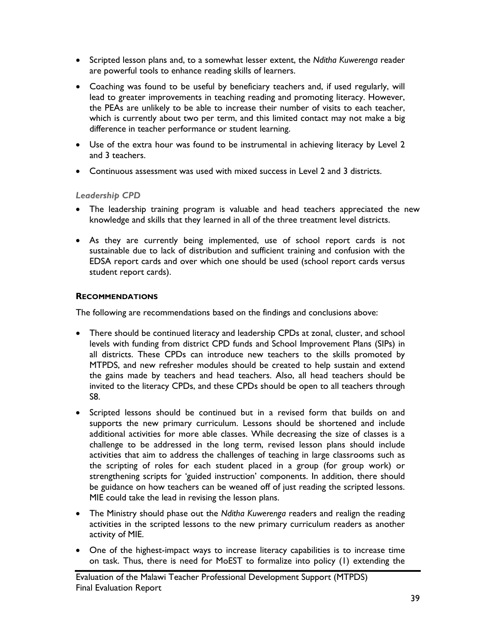- Scripted lesson plans and, to a somewhat lesser extent, the *Nditha Kuwerenga* reader are powerful tools to enhance reading skills of learners.
- Coaching was found to be useful by beneficiary teachers and, if used regularly, will lead to greater improvements in teaching reading and promoting literacy. However, the PEAs are unlikely to be able to increase their number of visits to each teacher, which is currently about two per term, and this limited contact may not make a big difference in teacher performance or student learning.
- Use of the extra hour was found to be instrumental in achieving literacy by Level 2 and 3 teachers.
- Continuous assessment was used with mixed success in Level 2 and 3 districts.

# *Leadership CPD*

- The leadership training program is valuable and head teachers appreciated the new knowledge and skills that they learned in all of the three treatment level districts.
- As they are currently being implemented, use of school report cards is not sustainable due to lack of distribution and sufficient training and confusion with the EDSA report cards and over which one should be used (school report cards versus student report cards).

# **RECOMMENDATIONS**

The following are recommendations based on the findings and conclusions above:

- There should be continued literacy and leadership CPDs at zonal, cluster, and school levels with funding from district CPD funds and School Improvement Plans (SIPs) in all districts. These CPDs can introduce new teachers to the skills promoted by MTPDS, and new refresher modules should be created to help sustain and extend the gains made by teachers and head teachers. Also, all head teachers should be invited to the literacy CPDs, and these CPDs should be open to all teachers through S8.
- Scripted lessons should be continued but in a revised form that builds on and supports the new primary curriculum. Lessons should be shortened and include additional activities for more able classes. While decreasing the size of classes is a challenge to be addressed in the long term, revised lesson plans should include activities that aim to address the challenges of teaching in large classrooms such as the scripting of roles for each student placed in a group (for group work) or strengthening scripts for 'guided instruction' components. In addition, there should be guidance on how teachers can be weaned off of just reading the scripted lessons. MIE could take the lead in revising the lesson plans.
- The Ministry should phase out the *Nditha Kuwerenga* readers and realign the reading activities in the scripted lessons to the new primary curriculum readers as another activity of MIE.
- One of the highest-impact ways to increase literacy capabilities is to increase time on task. Thus, there is need for MoEST to formalize into policy (1) extending the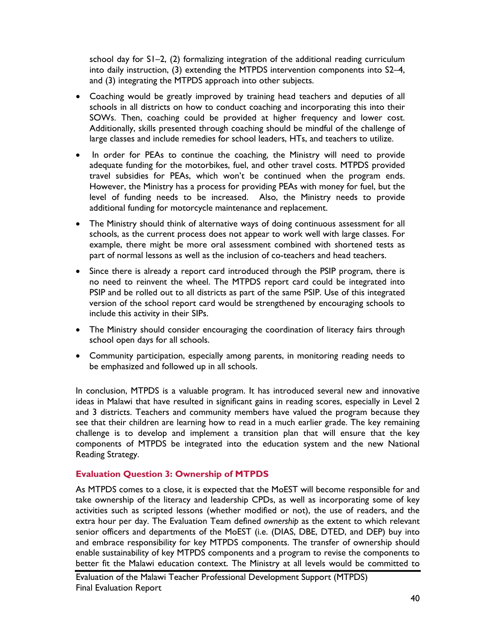school day for S1–2, (2) formalizing integration of the additional reading curriculum into daily instruction, (3) extending the MTPDS intervention components into S2–4, and (3) integrating the MTPDS approach into other subjects.

- Coaching would be greatly improved by training head teachers and deputies of all schools in all districts on how to conduct coaching and incorporating this into their SOWs. Then, coaching could be provided at higher frequency and lower cost. Additionally, skills presented through coaching should be mindful of the challenge of large classes and include remedies for school leaders, HTs, and teachers to utilize.
- In order for PEAs to continue the coaching, the Ministry will need to provide adequate funding for the motorbikes, fuel, and other travel costs. MTPDS provided travel subsidies for PEAs, which won't be continued when the program ends. However, the Ministry has a process for providing PEAs with money for fuel, but the level of funding needs to be increased. Also, the Ministry needs to provide additional funding for motorcycle maintenance and replacement.
- The Ministry should think of alternative ways of doing continuous assessment for all schools, as the current process does not appear to work well with large classes. For example, there might be more oral assessment combined with shortened tests as part of normal lessons as well as the inclusion of co-teachers and head teachers.
- Since there is already a report card introduced through the PSIP program, there is no need to reinvent the wheel. The MTPDS report card could be integrated into PSIP and be rolled out to all districts as part of the same PSIP. Use of this integrated version of the school report card would be strengthened by encouraging schools to include this activity in their SIPs.
- The Ministry should consider encouraging the coordination of literacy fairs through school open days for all schools.
- Community participation, especially among parents, in monitoring reading needs to be emphasized and followed up in all schools.

In conclusion, MTPDS is a valuable program. It has introduced several new and innovative ideas in Malawi that have resulted in significant gains in reading scores, especially in Level 2 and 3 districts. Teachers and community members have valued the program because they see that their children are learning how to read in a much earlier grade. The key remaining challenge is to develop and implement a transition plan that will ensure that the key components of MTPDS be integrated into the education system and the new National Reading Strategy.

# **Evaluation Question 3: Ownership of MTPDS**

As MTPDS comes to a close, it is expected that the MoEST will become responsible for and take ownership of the literacy and leadership CPDs, as well as incorporating some of key activities such as scripted lessons (whether modified or not), the use of readers, and the extra hour per day. The Evaluation Team defined *ownership* as the extent to which relevant senior officers and departments of the MoEST (i.e. (DIAS, DBE, DTED, and DEP) buy into and embrace responsibility for key MTPDS components. The transfer of ownership should enable sustainability of key MTPDS components and a program to revise the components to better fit the Malawi education context. The Ministry at all levels would be committed to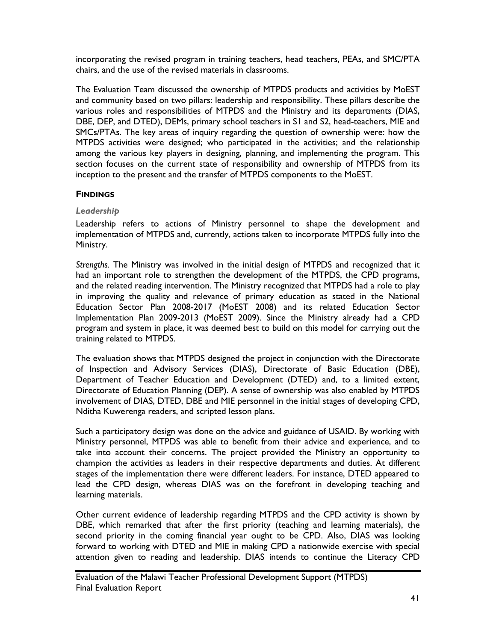incorporating the revised program in training teachers, head teachers, PEAs, and SMC/PTA chairs, and the use of the revised materials in classrooms.

The Evaluation Team discussed the ownership of MTPDS products and activities by MoEST and community based on two pillars: leadership and responsibility. These pillars describe the various roles and responsibilities of MTPDS and the Ministry and its departments (DIAS, DBE, DEP, and DTED), DEMs, primary school teachers in S1 and S2, head-teachers, MIE and SMCs/PTAs. The key areas of inquiry regarding the question of ownership were: how the MTPDS activities were designed; who participated in the activities; and the relationship among the various key players in designing, planning, and implementing the program. This section focuses on the current state of responsibility and ownership of MTPDS from its inception to the present and the transfer of MTPDS components to the MoEST.

#### **FINDINGS**

# *Leadership*

Leadership refers to actions of Ministry personnel to shape the development and implementation of MTPDS and, currently, actions taken to incorporate MTPDS fully into the Ministry.

*Strengths.* The Ministry was involved in the initial design of MTPDS and recognized that it had an important role to strengthen the development of the MTPDS, the CPD programs, and the related reading intervention. The Ministry recognized that MTPDS had a role to play in improving the quality and relevance of primary education as stated in the National Education Sector Plan 2008-2017 (MoEST 2008) and its related Education Sector Implementation Plan 2009-2013 (MoEST 2009). Since the Ministry already had a CPD program and system in place, it was deemed best to build on this model for carrying out the training related to MTPDS.

The evaluation shows that MTPDS designed the project in conjunction with the Directorate of Inspection and Advisory Services (DIAS), Directorate of Basic Education (DBE), Department of Teacher Education and Development (DTED) and, to a limited extent, Directorate of Education Planning (DEP). A sense of ownership was also enabled by MTPDS involvement of DIAS, DTED, DBE and MIE personnel in the initial stages of developing CPD, Nditha Kuwerenga readers, and scripted lesson plans.

Such a participatory design was done on the advice and guidance of USAID. By working with Ministry personnel, MTPDS was able to benefit from their advice and experience, and to take into account their concerns. The project provided the Ministry an opportunity to champion the activities as leaders in their respective departments and duties. At different stages of the implementation there were different leaders. For instance, DTED appeared to lead the CPD design, whereas DIAS was on the forefront in developing teaching and learning materials.

Other current evidence of leadership regarding MTPDS and the CPD activity is shown by DBE, which remarked that after the first priority (teaching and learning materials), the second priority in the coming financial year ought to be CPD. Also, DIAS was looking forward to working with DTED and MIE in making CPD a nationwide exercise with special attention given to reading and leadership. DIAS intends to continue the Literacy CPD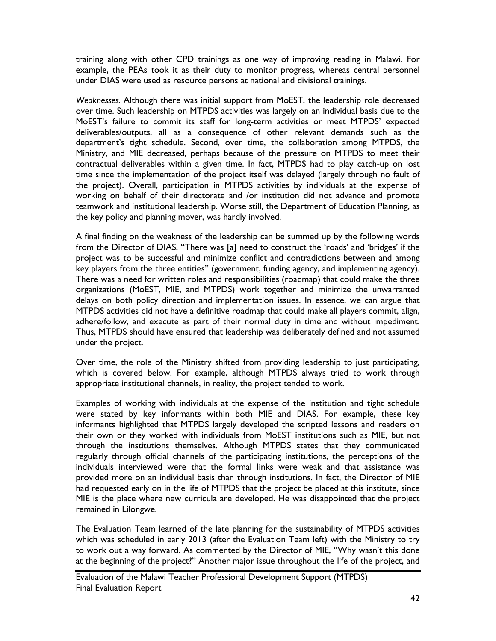training along with other CPD trainings as one way of improving reading in Malawi. For example, the PEAs took it as their duty to monitor progress, whereas central personnel under DIAS were used as resource persons at national and divisional trainings.

*Weaknesses.* Although there was initial support from MoEST, the leadership role decreased over time. Such leadership on MTPDS activities was largely on an individual basis due to the MoEST's failure to commit its staff for long-term activities or meet MTPDS' expected deliverables/outputs, all as a consequence of other relevant demands such as the department's tight schedule. Second, over time, the collaboration among MTPDS, the Ministry, and MIE decreased, perhaps because of the pressure on MTPDS to meet their contractual deliverables within a given time. In fact, MTPDS had to play catch-up on lost time since the implementation of the project itself was delayed (largely through no fault of the project). Overall, participation in MTPDS activities by individuals at the expense of working on behalf of their directorate and /or institution did not advance and promote teamwork and institutional leadership. Worse still, the Department of Education Planning, as the key policy and planning mover, was hardly involved.

A final finding on the weakness of the leadership can be summed up by the following words from the Director of DIAS, "There was [a] need to construct the 'roads' and 'bridges' if the project was to be successful and minimize conflict and contradictions between and among key players from the three entities" (government, funding agency, and implementing agency). There was a need for written roles and responsibilities (roadmap) that could make the three organizations (MoEST, MIE, and MTPDS) work together and minimize the unwarranted delays on both policy direction and implementation issues. In essence, we can argue that MTPDS activities did not have a definitive roadmap that could make all players commit, align, adhere/follow, and execute as part of their normal duty in time and without impediment. Thus, MTPDS should have ensured that leadership was deliberately defined and not assumed under the project.

Over time, the role of the Ministry shifted from providing leadership to just participating, which is covered below. For example, although MTPDS always tried to work through appropriate institutional channels, in reality, the project tended to work.

Examples of working with individuals at the expense of the institution and tight schedule were stated by key informants within both MIE and DIAS. For example, these key informants highlighted that MTPDS largely developed the scripted lessons and readers on their own or they worked with individuals from MoEST institutions such as MIE, but not through the institutions themselves. Although MTPDS states that they communicated regularly through official channels of the participating institutions, the perceptions of the individuals interviewed were that the formal links were weak and that assistance was provided more on an individual basis than through institutions. In fact, the Director of MIE had requested early on in the life of MTPDS that the project be placed at this institute, since MIE is the place where new curricula are developed. He was disappointed that the project remained in Lilongwe.

The Evaluation Team learned of the late planning for the sustainability of MTPDS activities which was scheduled in early 2013 (after the Evaluation Team left) with the Ministry to try to work out a way forward. As commented by the Director of MIE, "Why wasn't this done at the beginning of the project?" Another major issue throughout the life of the project, and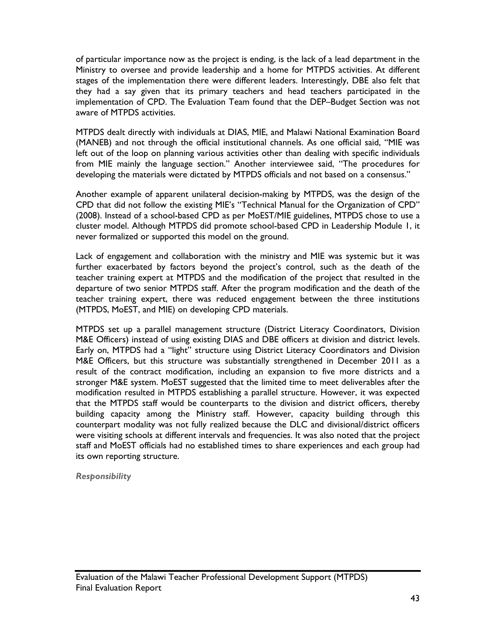of particular importance now as the project is ending, is the lack of a lead department in the Ministry to oversee and provide leadership and a home for MTPDS activities. At different stages of the implementation there were different leaders. Interestingly, DBE also felt that they had a say given that its primary teachers and head teachers participated in the implementation of CPD. The Evaluation Team found that the DEP–Budget Section was not aware of MTPDS activities.

MTPDS dealt directly with individuals at DIAS, MIE, and Malawi National Examination Board (MANEB) and not through the official institutional channels. As one official said, "MIE was left out of the loop on planning various activities other than dealing with specific individuals from MIE mainly the language section." Another interviewee said, "The procedures for developing the materials were dictated by MTPDS officials and not based on a consensus."

Another example of apparent unilateral decision-making by MTPDS, was the design of the CPD that did not follow the existing MIE's "Technical Manual for the Organization of CPD" (2008). Instead of a school-based CPD as per MoEST/MIE guidelines, MTPDS chose to use a cluster model. Although MTPDS did promote school-based CPD in Leadership Module 1, it never formalized or supported this model on the ground.

Lack of engagement and collaboration with the ministry and MIE was systemic but it was further exacerbated by factors beyond the project's control, such as the death of the teacher training expert at MTPDS and the modification of the project that resulted in the departure of two senior MTPDS staff. After the program modification and the death of the teacher training expert, there was reduced engagement between the three institutions (MTPDS, MoEST, and MIE) on developing CPD materials.

MTPDS set up a parallel management structure (District Literacy Coordinators, Division M&E Officers) instead of using existing DIAS and DBE officers at division and district levels. Early on, MTPDS had a "light" structure using District Literacy Coordinators and Division M&E Officers, but this structure was substantially strengthened in December 2011 as a result of the contract modification, including an expansion to five more districts and a stronger M&E system. MoEST suggested that the limited time to meet deliverables after the modification resulted in MTPDS establishing a parallel structure. However, it was expected that the MTPDS staff would be counterparts to the division and district officers, thereby building capacity among the Ministry staff. However, capacity building through this counterpart modality was not fully realized because the DLC and divisional/district officers were visiting schools at different intervals and frequencies. It was also noted that the project staff and MoEST officials had no established times to share experiences and each group had its own reporting structure.

*Responsibility*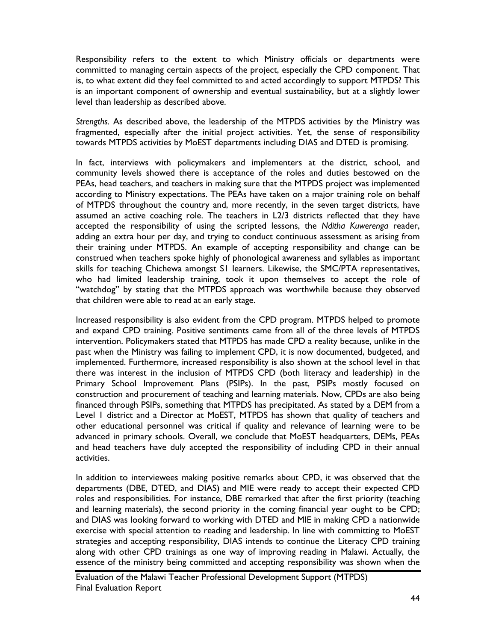Responsibility refers to the extent to which Ministry officials or departments were committed to managing certain aspects of the project, especially the CPD component. That is, to what extent did they feel committed to and acted accordingly to support MTPDS? This is an important component of ownership and eventual sustainability, but at a slightly lower level than leadership as described above.

*Strengths.* As described above, the leadership of the MTPDS activities by the Ministry was fragmented, especially after the initial project activities. Yet, the sense of responsibility towards MTPDS activities by MoEST departments including DIAS and DTED is promising.

In fact, interviews with policymakers and implementers at the district, school, and community levels showed there is acceptance of the roles and duties bestowed on the PEAs, head teachers, and teachers in making sure that the MTPDS project was implemented according to Ministry expectations. The PEAs have taken on a major training role on behalf of MTPDS throughout the country and, more recently, in the seven target districts, have assumed an active coaching role. The teachers in L2/3 districts reflected that they have accepted the responsibility of using the scripted lessons, the *Nditha Kuwerenga* reader, adding an extra hour per day, and trying to conduct continuous assessment as arising from their training under MTPDS. An example of accepting responsibility and change can be construed when teachers spoke highly of phonological awareness and syllables as important skills for teaching Chichewa amongst S1 learners. Likewise, the SMC/PTA representatives, who had limited leadership training, took it upon themselves to accept the role of "watchdog" by stating that the MTPDS approach was worthwhile because they observed that children were able to read at an early stage.

Increased responsibility is also evident from the CPD program. MTPDS helped to promote and expand CPD training. Positive sentiments came from all of the three levels of MTPDS intervention. Policymakers stated that MTPDS has made CPD a reality because, unlike in the past when the Ministry was failing to implement CPD, it is now documented, budgeted, and implemented. Furthermore, increased responsibility is also shown at the school level in that there was interest in the inclusion of MTPDS CPD (both literacy and leadership) in the Primary School Improvement Plans (PSIPs). In the past, PSIPs mostly focused on construction and procurement of teaching and learning materials. Now, CPDs are also being financed through PSIPs, something that MTPDS has precipitated. As stated by a DEM from a Level 1 district and a Director at MoEST, MTPDS has shown that quality of teachers and other educational personnel was critical if quality and relevance of learning were to be advanced in primary schools. Overall, we conclude that MoEST headquarters, DEMs, PEAs and head teachers have duly accepted the responsibility of including CPD in their annual activities.

In addition to interviewees making positive remarks about CPD, it was observed that the departments (DBE, DTED, and DIAS) and MIE were ready to accept their expected CPD roles and responsibilities. For instance, DBE remarked that after the first priority (teaching and learning materials), the second priority in the coming financial year ought to be CPD; and DIAS was looking forward to working with DTED and MIE in making CPD a nationwide exercise with special attention to reading and leadership. In line with committing to MoEST strategies and accepting responsibility, DIAS intends to continue the Literacy CPD training along with other CPD trainings as one way of improving reading in Malawi. Actually, the essence of the ministry being committed and accepting responsibility was shown when the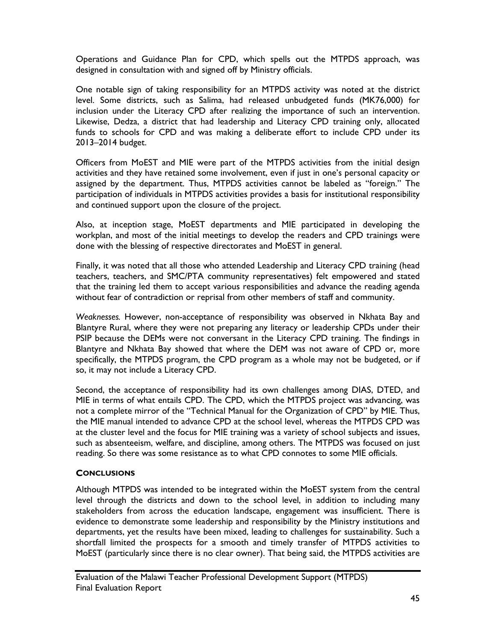Operations and Guidance Plan for CPD, which spells out the MTPDS approach, was designed in consultation with and signed off by Ministry officials.

One notable sign of taking responsibility for an MTPDS activity was noted at the district level. Some districts, such as Salima, had released unbudgeted funds (MK76,000) for inclusion under the Literacy CPD after realizing the importance of such an intervention. Likewise, Dedza, a district that had leadership and Literacy CPD training only, allocated funds to schools for CPD and was making a deliberate effort to include CPD under its 2013–2014 budget.

Officers from MoEST and MIE were part of the MTPDS activities from the initial design activities and they have retained some involvement, even if just in one's personal capacity or assigned by the department. Thus, MTPDS activities cannot be labeled as "foreign." The participation of individuals in MTPDS activities provides a basis for institutional responsibility and continued support upon the closure of the project.

Also, at inception stage, MoEST departments and MIE participated in developing the workplan, and most of the initial meetings to develop the readers and CPD trainings were done with the blessing of respective directorates and MoEST in general.

Finally, it was noted that all those who attended Leadership and Literacy CPD training (head teachers, teachers, and SMC/PTA community representatives) felt empowered and stated that the training led them to accept various responsibilities and advance the reading agenda without fear of contradiction or reprisal from other members of staff and community.

*Weaknesses.* However, non-acceptance of responsibility was observed in Nkhata Bay and Blantyre Rural, where they were not preparing any literacy or leadership CPDs under their PSIP because the DEMs were not conversant in the Literacy CPD training. The findings in Blantyre and Nkhata Bay showed that where the DEM was not aware of CPD or, more specifically, the MTPDS program, the CPD program as a whole may not be budgeted, or if so, it may not include a Literacy CPD.

Second, the acceptance of responsibility had its own challenges among DIAS, DTED, and MIE in terms of what entails CPD. The CPD, which the MTPDS project was advancing, was not a complete mirror of the "Technical Manual for the Organization of CPD" by MIE. Thus, the MIE manual intended to advance CPD at the school level, whereas the MTPDS CPD was at the cluster level and the focus for MIE training was a variety of school subjects and issues, such as absenteeism, welfare, and discipline, among others. The MTPDS was focused on just reading. So there was some resistance as to what CPD connotes to some MIE officials.

# **CONCLUSIONS**

Although MTPDS was intended to be integrated within the MoEST system from the central level through the districts and down to the school level, in addition to including many stakeholders from across the education landscape, engagement was insufficient. There is evidence to demonstrate some leadership and responsibility by the Ministry institutions and departments, yet the results have been mixed, leading to challenges for sustainability. Such a shortfall limited the prospects for a smooth and timely transfer of MTPDS activities to MoEST (particularly since there is no clear owner). That being said, the MTPDS activities are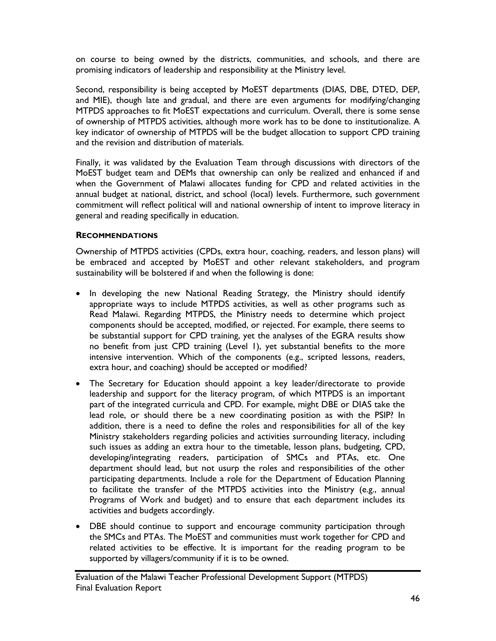on course to being owned by the districts, communities, and schools, and there are promising indicators of leadership and responsibility at the Ministry level.

Second, responsibility is being accepted by MoEST departments (DIAS, DBE, DTED, DEP, and MIE), though late and gradual, and there are even arguments for modifying/changing MTPDS approaches to fit MoEST expectations and curriculum. Overall, there is some sense of ownership of MTPDS activities, although more work has to be done to institutionalize. A key indicator of ownership of MTPDS will be the budget allocation to support CPD training and the revision and distribution of materials.

Finally, it was validated by the Evaluation Team through discussions with directors of the MoEST budget team and DEMs that ownership can only be realized and enhanced if and when the Government of Malawi allocates funding for CPD and related activities in the annual budget at national, district, and school (local) levels. Furthermore, such government commitment will reflect political will and national ownership of intent to improve literacy in general and reading specifically in education.

# **RECOMMENDATIONS**

Ownership of MTPDS activities (CPDs, extra hour, coaching, readers, and lesson plans) will be embraced and accepted by MoEST and other relevant stakeholders, and program sustainability will be bolstered if and when the following is done:

- In developing the new National Reading Strategy, the Ministry should identify appropriate ways to include MTPDS activities, as well as other programs such as Read Malawi. Regarding MTPDS, the Ministry needs to determine which project components should be accepted, modified, or rejected. For example, there seems to be substantial support for CPD training, yet the analyses of the EGRA results show no benefit from just CPD training (Level 1), yet substantial benefits to the more intensive intervention. Which of the components (e.g., scripted lessons, readers, extra hour, and coaching) should be accepted or modified?
- The Secretary for Education should appoint a key leader/directorate to provide leadership and support for the literacy program, of which MTPDS is an important part of the integrated curricula and CPD. For example, might DBE or DIAS take the lead role, or should there be a new coordinating position as with the PSIP? In addition, there is a need to define the roles and responsibilities for all of the key Ministry stakeholders regarding policies and activities surrounding literacy, including such issues as adding an extra hour to the timetable, lesson plans, budgeting, CPD, developing/integrating readers, participation of SMCs and PTAs, etc. One department should lead, but not usurp the roles and responsibilities of the other participating departments. Include a role for the Department of Education Planning to facilitate the transfer of the MTPDS activities into the Ministry (e.g., annual Programs of Work and budget) and to ensure that each department includes its activities and budgets accordingly.
- DBE should continue to support and encourage community participation through the SMCs and PTAs. The MoEST and communities must work together for CPD and related activities to be effective. It is important for the reading program to be supported by villagers/community if it is to be owned.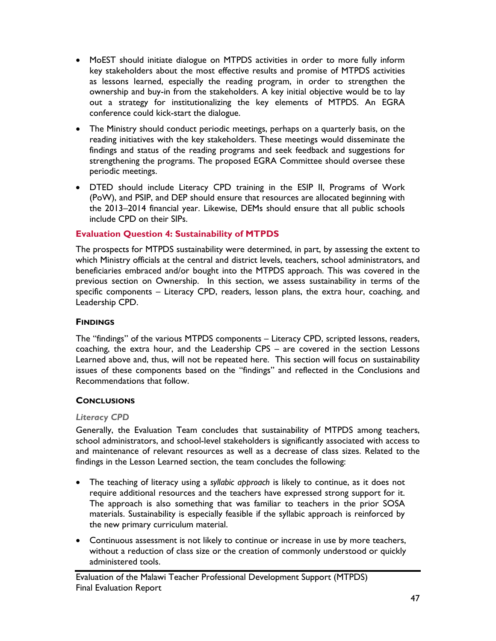- MoEST should initiate dialogue on MTPDS activities in order to more fully inform key stakeholders about the most effective results and promise of MTPDS activities as lessons learned, especially the reading program, in order to strengthen the ownership and buy-in from the stakeholders. A key initial objective would be to lay out a strategy for institutionalizing the key elements of MTPDS. An EGRA conference could kick-start the dialogue.
- The Ministry should conduct periodic meetings, perhaps on a quarterly basis, on the reading initiatives with the key stakeholders. These meetings would disseminate the findings and status of the reading programs and seek feedback and suggestions for strengthening the programs. The proposed EGRA Committee should oversee these periodic meetings.
- DTED should include Literacy CPD training in the ESIP II, Programs of Work (PoW), and PSIP, and DEP should ensure that resources are allocated beginning with the 2013–2014 financial year. Likewise, DEMs should ensure that all public schools include CPD on their SIPs.

# **Evaluation Question 4: Sustainability of MTPDS**

The prospects for MTPDS sustainability were determined, in part, by assessing the extent to which Ministry officials at the central and district levels, teachers, school administrators, and beneficiaries embraced and/or bought into the MTPDS approach. This was covered in the previous section on Ownership. In this section, we assess sustainability in terms of the specific components – Literacy CPD, readers, lesson plans, the extra hour, coaching, and Leadership CPD.

# **FINDINGS**

The "findings" of the various MTPDS components – Literacy CPD, scripted lessons, readers, coaching, the extra hour, and the Leadership CPS – are covered in the section Lessons Learned above and, thus, will not be repeated here. This section will focus on sustainability issues of these components based on the "findings" and reflected in the Conclusions and Recommendations that follow.

# **CONCLUSIONS**

#### *Literacy CPD*

Generally, the Evaluation Team concludes that sustainability of MTPDS among teachers, school administrators, and school-level stakeholders is significantly associated with access to and maintenance of relevant resources as well as a decrease of class sizes. Related to the findings in the Lesson Learned section, the team concludes the following:

- The teaching of literacy using a *syllabic approach* is likely to continue, as it does not require additional resources and the teachers have expressed strong support for it. The approach is also something that was familiar to teachers in the prior SOSA materials. Sustainability is especially feasible if the syllabic approach is reinforced by the new primary curriculum material.
- Continuous assessment is not likely to continue or increase in use by more teachers, without a reduction of class size or the creation of commonly understood or quickly administered tools.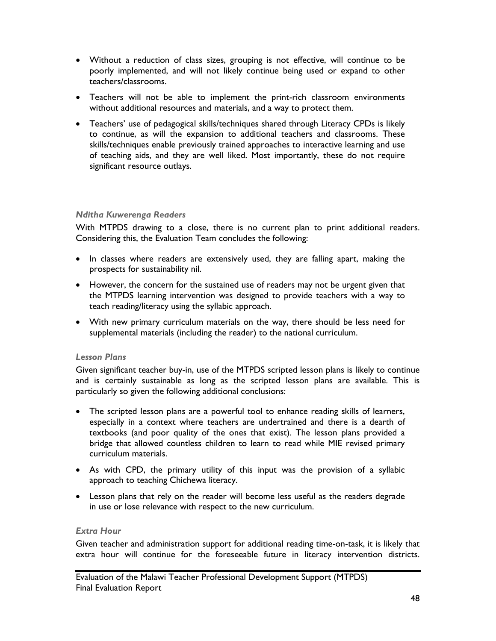- Without a reduction of class sizes, grouping is not effective, will continue to be poorly implemented, and will not likely continue being used or expand to other teachers/classrooms.
- Teachers will not be able to implement the print-rich classroom environments without additional resources and materials, and a way to protect them.
- Teachers' use of pedagogical skills/techniques shared through Literacy CPDs is likely to continue, as will the expansion to additional teachers and classrooms. These skills/techniques enable previously trained approaches to interactive learning and use of teaching aids, and they are well liked. Most importantly, these do not require significant resource outlays.

#### *Nditha Kuwerenga Readers*

With MTPDS drawing to a close, there is no current plan to print additional readers. Considering this, the Evaluation Team concludes the following:

- In classes where readers are extensively used, they are falling apart, making the prospects for sustainability nil.
- However, the concern for the sustained use of readers may not be urgent given that the MTPDS learning intervention was designed to provide teachers with a way to teach reading/literacy using the syllabic approach.
- With new primary curriculum materials on the way, there should be less need for supplemental materials (including the reader) to the national curriculum.

# *Lesson Plans*

Given significant teacher buy-in, use of the MTPDS scripted lesson plans is likely to continue and is certainly sustainable as long as the scripted lesson plans are available. This is particularly so given the following additional conclusions:

- The scripted lesson plans are a powerful tool to enhance reading skills of learners, especially in a context where teachers are undertrained and there is a dearth of textbooks (and poor quality of the ones that exist). The lesson plans provided a bridge that allowed countless children to learn to read while MIE revised primary curriculum materials.
- As with CPD, the primary utility of this input was the provision of a syllabic approach to teaching Chichewa literacy.
- Lesson plans that rely on the reader will become less useful as the readers degrade in use or lose relevance with respect to the new curriculum.

#### *Extra Hour*

Given teacher and administration support for additional reading time-on-task, it is likely that extra hour will continue for the foreseeable future in literacy intervention districts.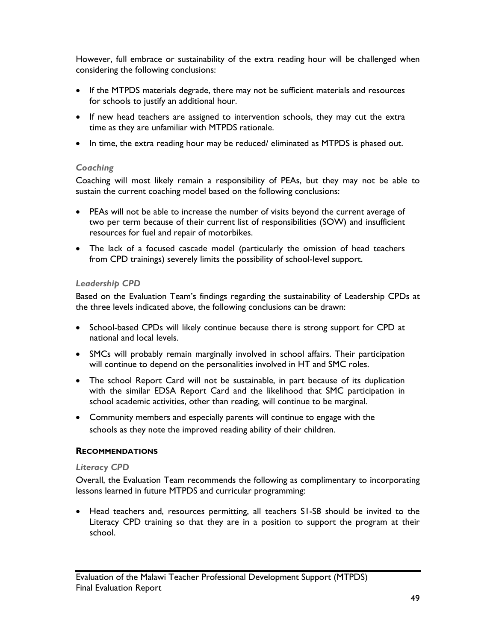However, full embrace or sustainability of the extra reading hour will be challenged when considering the following conclusions:

- If the MTPDS materials degrade, there may not be sufficient materials and resources for schools to justify an additional hour.
- If new head teachers are assigned to intervention schools, they may cut the extra time as they are unfamiliar with MTPDS rationale.
- In time, the extra reading hour may be reduced/ eliminated as MTPDS is phased out.

#### *Coaching*

Coaching will most likely remain a responsibility of PEAs, but they may not be able to sustain the current coaching model based on the following conclusions:

- PEAs will not be able to increase the number of visits beyond the current average of two per term because of their current list of responsibilities (SOW) and insufficient resources for fuel and repair of motorbikes.
- The lack of a focused cascade model (particularly the omission of head teachers from CPD trainings) severely limits the possibility of school-level support.

#### *Leadership CPD*

Based on the Evaluation Team's findings regarding the sustainability of Leadership CPDs at the three levels indicated above, the following conclusions can be drawn:

- School-based CPDs will likely continue because there is strong support for CPD at national and local levels.
- SMCs will probably remain marginally involved in school affairs. Their participation will continue to depend on the personalities involved in HT and SMC roles.
- The school Report Card will not be sustainable, in part because of its duplication with the similar EDSA Report Card and the likelihood that SMC participation in school academic activities, other than reading, will continue to be marginal.
- Community members and especially parents will continue to engage with the schools as they note the improved reading ability of their children.

# **RECOMMENDATIONS**

#### *Literacy CPD*

Overall, the Evaluation Team recommends the following as complimentary to incorporating lessons learned in future MTPDS and curricular programming:

 Head teachers and, resources permitting, all teachers S1-S8 should be invited to the Literacy CPD training so that they are in a position to support the program at their school.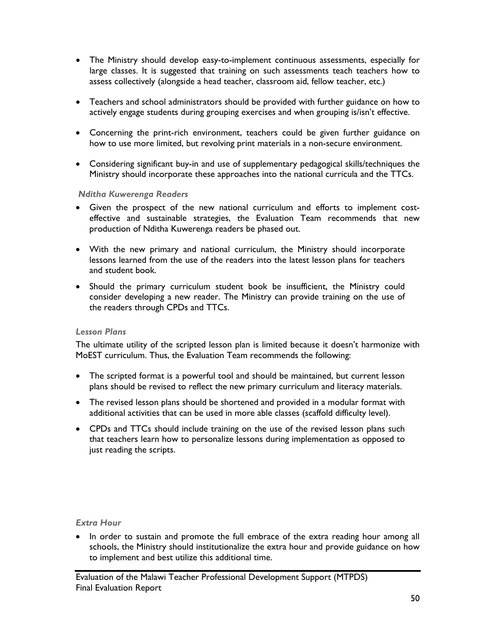- The Ministry should develop easy-to-implement continuous assessments, especially for large classes. It is suggested that training on such assessments teach teachers how to assess collectively (alongside a head teacher, classroom aid, fellow teacher, etc.)
- Teachers and school administrators should be provided with further guidance on how to actively engage students during grouping exercises and when grouping is/isn't effective.
- Concerning the print-rich environment, teachers could be given further guidance on how to use more limited, but revolving print materials in a non-secure environment.
- Considering significant buy-in and use of supplementary pedagogical skills/techniques the Ministry should incorporate these approaches into the national curricula and the TTCs.

#### *Nditha Kuwerenga Readers*

- Given the prospect of the new national curriculum and efforts to implement costeffective and sustainable strategies, the Evaluation Team recommends that new production of Nditha Kuwerenga readers be phased out.
- With the new primary and national curriculum, the Ministry should incorporate lessons learned from the use of the readers into the latest lesson plans for teachers and student book.
- Should the primary curriculum student book be insufficient, the Ministry could consider developing a new reader. The Ministry can provide training on the use of the readers through CPDs and TTCs.

# *Lesson Plans*

The ultimate utility of the scripted lesson plan is limited because it doesn't harmonize with MoEST curriculum. Thus, the Evaluation Team recommends the following:

- The scripted format is a powerful tool and should be maintained, but current lesson plans should be revised to reflect the new primary curriculum and literacy materials.
- The revised lesson plans should be shortened and provided in a modular format with additional activities that can be used in more able classes (scaffold difficulty level).
- CPDs and TTCs should include training on the use of the revised lesson plans such that teachers learn how to personalize lessons during implementation as opposed to just reading the scripts.

# *Extra Hour*

 In order to sustain and promote the full embrace of the extra reading hour among all schools, the Ministry should institutionalize the extra hour and provide guidance on how to implement and best utilize this additional time.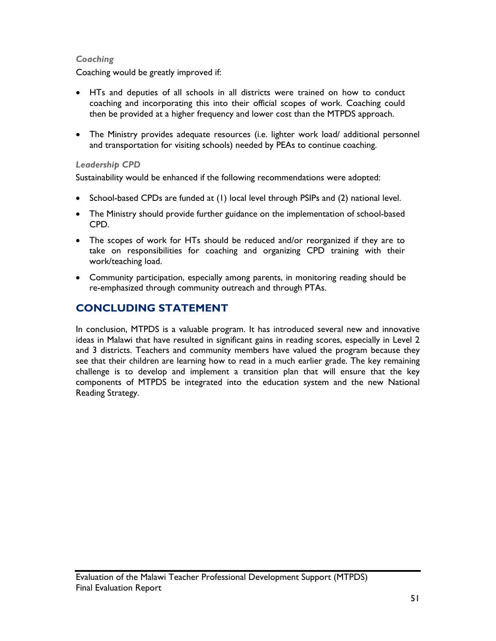# *Coaching*

Coaching would be greatly improved if:

- HTs and deputies of all schools in all districts were trained on how to conduct coaching and incorporating this into their official scopes of work. Coaching could then be provided at a higher frequency and lower cost than the MTPDS approach.
- The Ministry provides adequate resources (i.e. lighter work load/ additional personnel and transportation for visiting schools) needed by PEAs to continue coaching.

# *Leadership CPD*

Sustainability would be enhanced if the following recommendations were adopted:

- $\bullet$  School-based CPDs are funded at (1) local level through PSIPs and (2) national level.
- The Ministry should provide further guidance on the implementation of school-based CPD.
- The scopes of work for HTs should be reduced and/or reorganized if they are to take on responsibilities for coaching and organizing CPD training with their work/teaching load.
- Community participation, especially among parents, in monitoring reading should be re-emphasized through community outreach and through PTAs.

# **CONCLUDING STATEMENT**

In conclusion, MTPDS is a valuable program. It has introduced several new and innovative ideas in Malawi that have resulted in significant gains in reading scores, especially in Level 2 and 3 districts. Teachers and community members have valued the program because they see that their children are learning how to read in a much earlier grade. The key remaining challenge is to develop and implement a transition plan that will ensure that the key components of MTPDS be integrated into the education system and the new National Reading Strategy.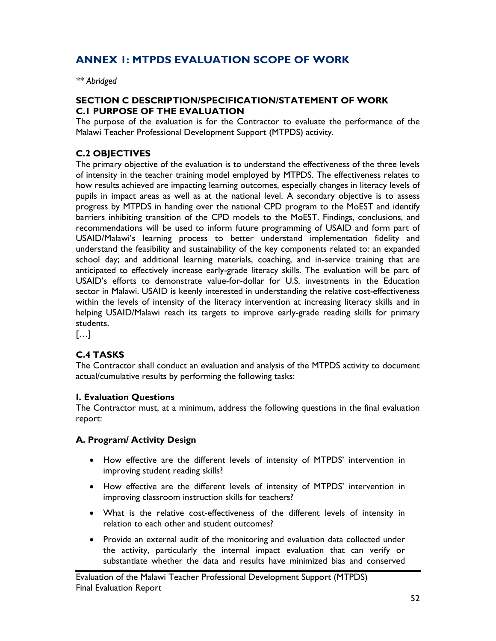# **ANNEX 1: MTPDS EVALUATION SCOPE OF WORK**

*\*\* Abridged* 

# **SECTION C DESCRIPTION/SPECIFICATION/STATEMENT OF WORK C.1 PURPOSE OF THE EVALUATION**

The purpose of the evaluation is for the Contractor to evaluate the performance of the Malawi Teacher Professional Development Support (MTPDS) activity.

# **C.2 OBJECTIVES**

The primary objective of the evaluation is to understand the effectiveness of the three levels of intensity in the teacher training model employed by MTPDS. The effectiveness relates to how results achieved are impacting learning outcomes, especially changes in literacy levels of pupils in impact areas as well as at the national level. A secondary objective is to assess progress by MTPDS in handing over the national CPD program to the MoEST and identify barriers inhibiting transition of the CPD models to the MoEST. Findings, conclusions, and recommendations will be used to inform future programming of USAID and form part of USAID/Malawi's learning process to better understand implementation fidelity and understand the feasibility and sustainability of the key components related to: an expanded school day; and additional learning materials, coaching, and in-service training that are anticipated to effectively increase early-grade literacy skills. The evaluation will be part of USAID's efforts to demonstrate value-for-dollar for U.S. investments in the Education sector in Malawi. USAID is keenly interested in understanding the relative cost-effectiveness within the levels of intensity of the literacy intervention at increasing literacy skills and in helping USAID/Malawi reach its targets to improve early-grade reading skills for primary students.

[…]

# **C.4 TASKS**

The Contractor shall conduct an evaluation and analysis of the MTPDS activity to document actual/cumulative results by performing the following tasks:

# **I. Evaluation Questions**

The Contractor must, at a minimum, address the following questions in the final evaluation report:

# **A. Program/ Activity Design**

- How effective are the different levels of intensity of MTPDS' intervention in improving student reading skills?
- How effective are the different levels of intensity of MTPDS' intervention in improving classroom instruction skills for teachers?
- What is the relative cost-effectiveness of the different levels of intensity in relation to each other and student outcomes?
- Provide an external audit of the monitoring and evaluation data collected under the activity, particularly the internal impact evaluation that can verify or substantiate whether the data and results have minimized bias and conserved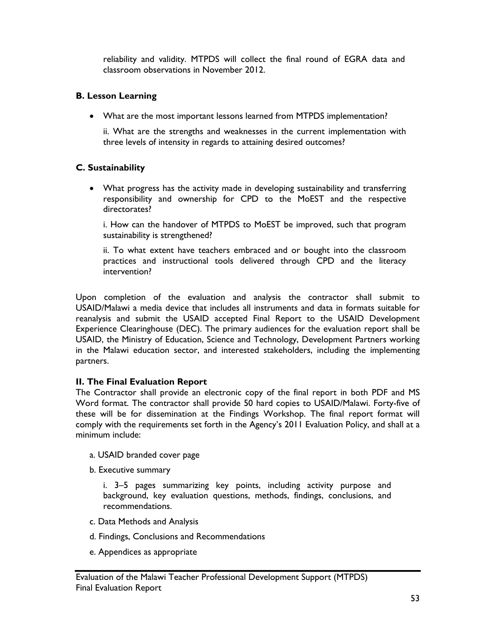reliability and validity. MTPDS will collect the final round of EGRA data and classroom observations in November 2012.

# **B. Lesson Learning**

What are the most important lessons learned from MTPDS implementation?

ii. What are the strengths and weaknesses in the current implementation with three levels of intensity in regards to attaining desired outcomes?

# **C. Sustainability**

 What progress has the activity made in developing sustainability and transferring responsibility and ownership for CPD to the MoEST and the respective directorates?

i. How can the handover of MTPDS to MoEST be improved, such that program sustainability is strengthened?

ii. To what extent have teachers embraced and or bought into the classroom practices and instructional tools delivered through CPD and the literacy intervention?

Upon completion of the evaluation and analysis the contractor shall submit to USAID/Malawi a media device that includes all instruments and data in formats suitable for reanalysis and submit the USAID accepted Final Report to the USAID Development Experience Clearinghouse (DEC). The primary audiences for the evaluation report shall be USAID, the Ministry of Education, Science and Technology, Development Partners working in the Malawi education sector, and interested stakeholders, including the implementing partners.

# **II. The Final Evaluation Report**

The Contractor shall provide an electronic copy of the final report in both PDF and MS Word format. The contractor shall provide 50 hard copies to USAID/Malawi. Forty-five of these will be for dissemination at the Findings Workshop. The final report format will comply with the requirements set forth in the Agency's 2011 Evaluation Policy, and shall at a minimum include:

- a. USAID branded cover page
- b. Executive summary

i. 3–5 pages summarizing key points, including activity purpose and background, key evaluation questions, methods, findings, conclusions, and recommendations.

- c. Data Methods and Analysis
- d. Findings, Conclusions and Recommendations
- e. Appendices as appropriate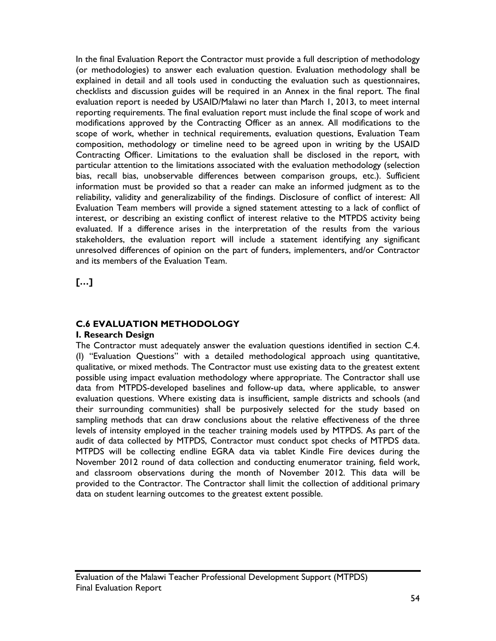In the final Evaluation Report the Contractor must provide a full description of methodology (or methodologies) to answer each evaluation question. Evaluation methodology shall be explained in detail and all tools used in conducting the evaluation such as questionnaires, checklists and discussion guides will be required in an Annex in the final report. The final evaluation report is needed by USAID/Malawi no later than March 1, 2013, to meet internal reporting requirements. The final evaluation report must include the final scope of work and modifications approved by the Contracting Officer as an annex. All modifications to the scope of work, whether in technical requirements, evaluation questions, Evaluation Team composition, methodology or timeline need to be agreed upon in writing by the USAID Contracting Officer. Limitations to the evaluation shall be disclosed in the report, with particular attention to the limitations associated with the evaluation methodology (selection bias, recall bias, unobservable differences between comparison groups, etc.). Sufficient information must be provided so that a reader can make an informed judgment as to the reliability, validity and generalizability of the findings. Disclosure of conflict of interest: All Evaluation Team members will provide a signed statement attesting to a lack of conflict of interest, or describing an existing conflict of interest relative to the MTPDS activity being evaluated. If a difference arises in the interpretation of the results from the various stakeholders, the evaluation report will include a statement identifying any significant unresolved differences of opinion on the part of funders, implementers, and/or Contractor and its members of the Evaluation Team.

**[…]** 

# **C.6 EVALUATION METHODOLOGY**

#### **I. Research Design**

The Contractor must adequately answer the evaluation questions identified in section C.4. (I) "Evaluation Questions" with a detailed methodological approach using quantitative, qualitative, or mixed methods. The Contractor must use existing data to the greatest extent possible using impact evaluation methodology where appropriate. The Contractor shall use data from MTPDS-developed baselines and follow-up data, where applicable, to answer evaluation questions. Where existing data is insufficient, sample districts and schools (and their surrounding communities) shall be purposively selected for the study based on sampling methods that can draw conclusions about the relative effectiveness of the three levels of intensity employed in the teacher training models used by MTPDS. As part of the audit of data collected by MTPDS, Contractor must conduct spot checks of MTPDS data. MTPDS will be collecting endline EGRA data via tablet Kindle Fire devices during the November 2012 round of data collection and conducting enumerator training, field work, and classroom observations during the month of November 2012. This data will be provided to the Contractor. The Contractor shall limit the collection of additional primary data on student learning outcomes to the greatest extent possible.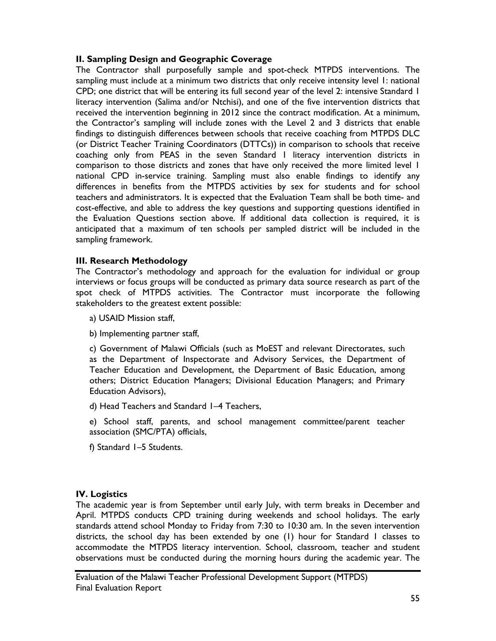# **II. Sampling Design and Geographic Coverage**

The Contractor shall purposefully sample and spot-check MTPDS interventions. The sampling must include at a minimum two districts that only receive intensity level 1: national CPD; one district that will be entering its full second year of the level 2: intensive Standard 1 literacy intervention (Salima and/or Ntchisi), and one of the five intervention districts that received the intervention beginning in 2012 since the contract modification. At a minimum, the Contractor's sampling will include zones with the Level 2 and 3 districts that enable findings to distinguish differences between schools that receive coaching from MTPDS DLC (or District Teacher Training Coordinators (DTTCs)) in comparison to schools that receive coaching only from PEAS in the seven Standard 1 literacy intervention districts in comparison to those districts and zones that have only received the more limited level 1 national CPD in-service training. Sampling must also enable findings to identify any differences in benefits from the MTPDS activities by sex for students and for school teachers and administrators. It is expected that the Evaluation Team shall be both time- and cost-effective, and able to address the key questions and supporting questions identified in the Evaluation Questions section above. If additional data collection is required, it is anticipated that a maximum of ten schools per sampled district will be included in the sampling framework.

# **III. Research Methodology**

The Contractor's methodology and approach for the evaluation for individual or group interviews or focus groups will be conducted as primary data source research as part of the spot check of MTPDS activities. The Contractor must incorporate the following stakeholders to the greatest extent possible:

- a) USAID Mission staff,
- b) Implementing partner staff,

c) Government of Malawi Officials (such as MoEST and relevant Directorates, such as the Department of Inspectorate and Advisory Services, the Department of Teacher Education and Development, the Department of Basic Education, among others; District Education Managers; Divisional Education Managers; and Primary Education Advisors),

d) Head Teachers and Standard 1–4 Teachers,

e) School staff, parents, and school management committee/parent teacher association (SMC/PTA) officials,

f) Standard 1–5 Students.

# **IV. Logistics**

The academic year is from September until early July, with term breaks in December and April. MTPDS conducts CPD training during weekends and school holidays. The early standards attend school Monday to Friday from 7:30 to 10:30 am. In the seven intervention districts, the school day has been extended by one (1) hour for Standard 1 classes to accommodate the MTPDS literacy intervention. School, classroom, teacher and student observations must be conducted during the morning hours during the academic year. The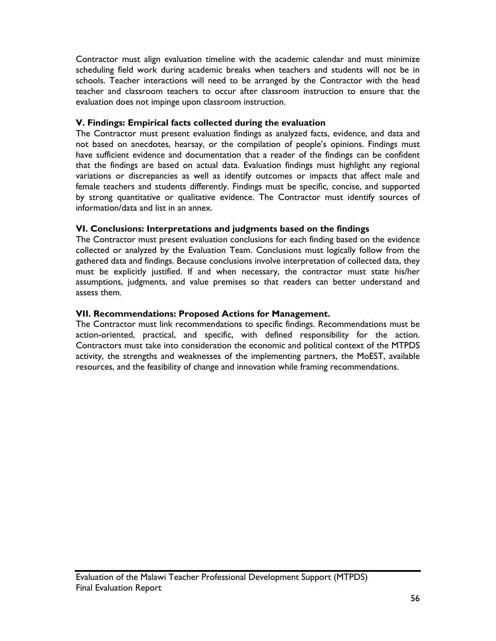Contractor must align evaluation timeline with the academic calendar and must minimize scheduling field work during academic breaks when teachers and students will not be in schools. Teacher interactions will need to be arranged by the Contractor with the head teacher and classroom teachers to occur after classroom instruction to ensure that the evaluation does not impinge upon classroom instruction.

# **V. Findings: Empirical facts collected during the evaluation**

The Contractor must present evaluation findings as analyzed facts, evidence, and data and not based on anecdotes, hearsay, or the compilation of people's opinions. Findings must have sufficient evidence and documentation that a reader of the findings can be confident that the findings are based on actual data. Evaluation findings must highlight any regional variations or discrepancies as well as identify outcomes or impacts that affect male and female teachers and students differently. Findings must be specific, concise, and supported by strong quantitative or qualitative evidence. The Contractor must identify sources of information/data and list in an annex.

# **VI. Conclusions: Interpretations and judgments based on the findings**

The Contractor must present evaluation conclusions for each finding based on the evidence collected or analyzed by the Evaluation Team. Conclusions must logically follow from the gathered data and findings. Because conclusions involve interpretation of collected data, they must be explicitly justified. If and when necessary, the contractor must state his/her assumptions, judgments, and value premises so that readers can better understand and assess them.

# **VII. Recommendations: Proposed Actions for Management.**

The Contractor must link recommendations to specific findings. Recommendations must be action-oriented, practical, and specific, with defined responsibility for the action. Contractors must take into consideration the economic and political context of the MTPDS activity, the strengths and weaknesses of the implementing partners, the MoEST, available resources, and the feasibility of change and innovation while framing recommendations.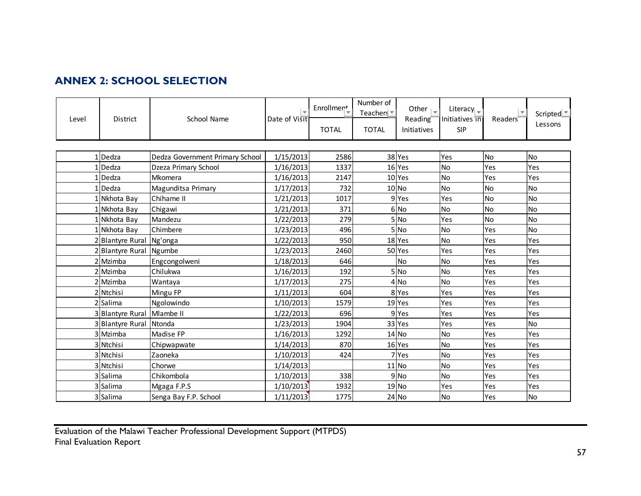# **ANNEX 2: SCHOOL SELECTION**

| Level | <b>District</b>  | School Name                     | Date of Visit | Enrollmen <sup>+</sup><br><b>TOTAL</b> | Number of<br>Teachers <sup>-</sup><br><b>TOTAL</b> | Other $\vert \downarrow \vert$<br>Reading <sup>®</sup><br>Initiatives | Literacy<br>Initiatives in<br><b>SIP</b> | Readers <sup>®</sup> | Scripted $\blacksquare$<br>Lessons |
|-------|------------------|---------------------------------|---------------|----------------------------------------|----------------------------------------------------|-----------------------------------------------------------------------|------------------------------------------|----------------------|------------------------------------|
|       |                  |                                 |               |                                        |                                                    |                                                                       |                                          |                      |                                    |
|       | 1Dedza           | Dedza Government Primary School | 1/15/2013     | 2586                                   |                                                    | 38 Yes                                                                | Yes                                      | No                   | <b>No</b>                          |
|       | Dedza            | Dzeza Primary School            | 1/16/2013     | 1337                                   |                                                    | 16Yes                                                                 | <b>No</b>                                | Yes                  | Yes                                |
|       | Dedza            | Mkomera                         | 1/16/2013     | 2147                                   |                                                    | $10$ Yes                                                              | No                                       | Yes                  | Yes                                |
|       | Dedza            | Magunditsa Primary              | 1/17/2013     | 732                                    |                                                    | $10$ No                                                               | <b>No</b>                                | <b>No</b>            | <b>No</b>                          |
|       | Nkhota Bay       | Chihame II                      | 1/21/2013     | 1017                                   |                                                    | $9$ Yes                                                               | Yes                                      | No                   | <b>No</b>                          |
|       | 1 Nkhota Bay     | Chigawi                         | 1/21/2013     | 371                                    |                                                    | 6 No                                                                  | <b>No</b>                                | No                   | <b>No</b>                          |
|       | Nkhota Bay       | Mandezu                         | 1/22/2013     | 279                                    |                                                    | 5 No                                                                  | Yes                                      | <b>No</b>            | <b>No</b>                          |
|       | 1 Nkhota Bay     | Chimbere                        | 1/23/2013     | 496                                    |                                                    | 5 No                                                                  | <b>No</b>                                | Yes                  | <b>No</b>                          |
|       | 2 Blantyre Rural | Ng'onga                         | 1/22/2013     | 950                                    |                                                    | 18Yes                                                                 | No                                       | Yes                  | Yes                                |
|       | 2 Blantyre Rural | Ngumbe                          | 1/23/2013     | 2460                                   |                                                    | 50Yes                                                                 | Yes                                      | Yes                  | Yes                                |
|       | 2 Mzimba         | Engcongolweni                   | 1/18/2013     | 646                                    |                                                    | <b>No</b>                                                             | <b>No</b>                                | Yes                  | Yes                                |
|       | 2 Mzimba         | Chilukwa                        | 1/16/2013     | 192                                    |                                                    | 5 No                                                                  | <b>No</b>                                | Yes                  | Yes                                |
|       | 2 Mzimba         | Wantaya                         | 1/17/2013     | 275                                    |                                                    | 4N <sub>O</sub>                                                       | <b>No</b>                                | Yes                  | Yes                                |
|       | 2 Ntchisi        | Mingu FP                        | 1/11/2013     | 604                                    |                                                    | 8Yes                                                                  | Yes                                      | Yes                  | Yes                                |
|       | 2 Salima         | Ngolowindo                      | 1/10/2013     | 1579                                   |                                                    | $19$ Yes                                                              | Yes                                      | Yes                  | Yes                                |
|       | 3Blantyre Rural  | Mlambe II                       | 1/22/2013     | 696                                    |                                                    | $9$ Yes                                                               | Yes                                      | Yes                  | Yes                                |
|       | 3 Blantyre Rural | Ntonda                          | 1/23/2013     | 1904                                   |                                                    | 33 Yes                                                                | Yes                                      | Yes                  | No                                 |
|       | 3 Mzimba         | Madise FP                       | 1/16/2013     | 1292                                   |                                                    | $14$ No                                                               | No                                       | Yes                  | Yes                                |
|       | 3 Ntchisi        | Chipwapwate                     | 1/14/2013     | 870                                    |                                                    | $16$ Yes                                                              | <b>No</b>                                | Yes                  | Yes                                |
|       | 3 Ntchisi        | Zaoneka                         | 1/10/2013     | 424                                    |                                                    | 7Yes                                                                  | <b>No</b>                                | Yes                  | Yes                                |
|       | 3 Ntchisi        | Chorwe                          | 1/14/2013     |                                        |                                                    | $11$ No                                                               | <b>No</b>                                | Yes                  | Yes                                |
|       | 3 Salima         | Chikombola                      | 1/10/2013     | 338                                    |                                                    | 9 No                                                                  | No                                       | Yes                  | Yes                                |
|       | 3 Salima         | Mgaga F.P.S                     | 1/10/2013     | 1932                                   |                                                    | 19 No                                                                 | Yes                                      | Yes                  | Yes                                |
|       | 3 Salima         | Senga Bay F.P. School           | 1/11/2013     | 1775                                   |                                                    | $24$ No                                                               | No                                       | Yes                  | <b>No</b>                          |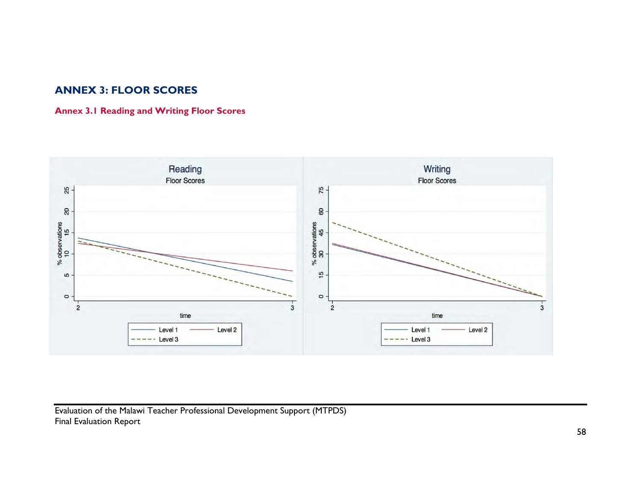# **ANNEX 3: FLOOR SCORES**

# **Annex 3.1 Reading and Writing Floor Scores**

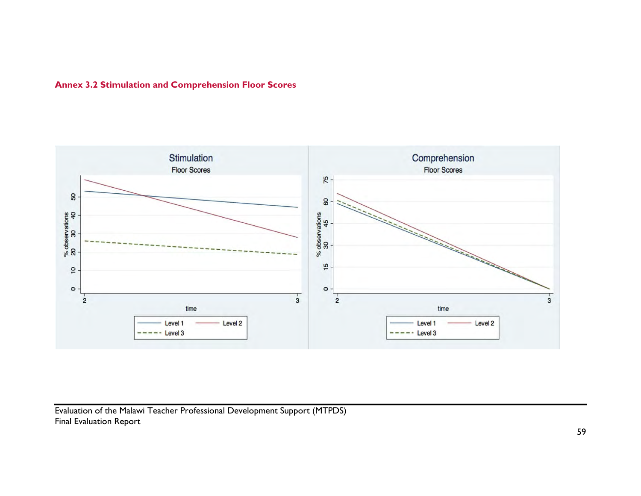# **Annex 3.2 Stimulation and Comprehension Floor Scores**

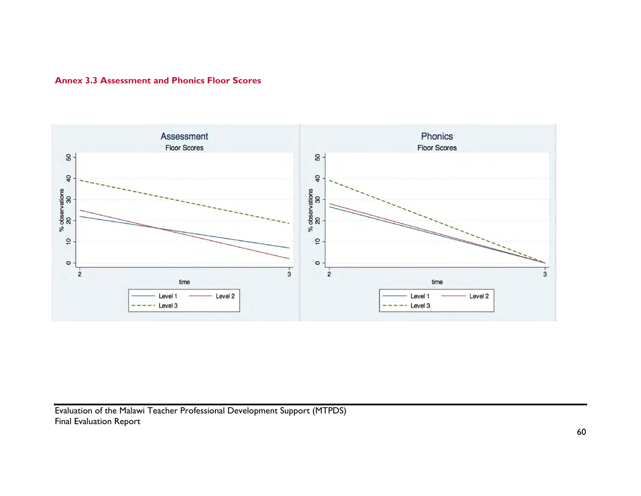

# **Annex 3.3 Assessment and Phonics Floor Scores**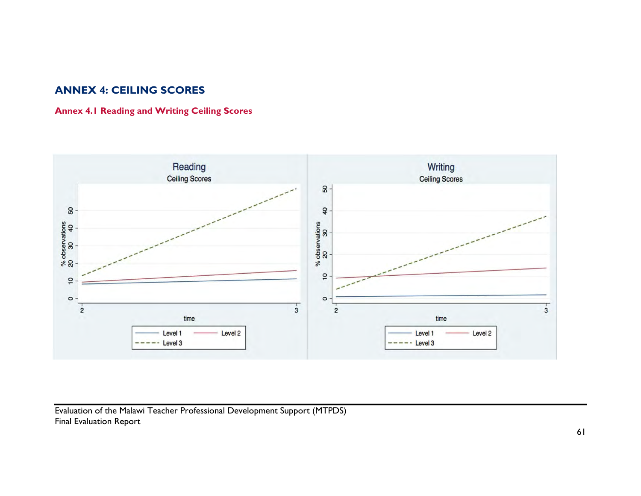## **ANNEX 4: CEILING SCORES**

## **Annex 4.1 Reading and Writing Ceiling Scores**

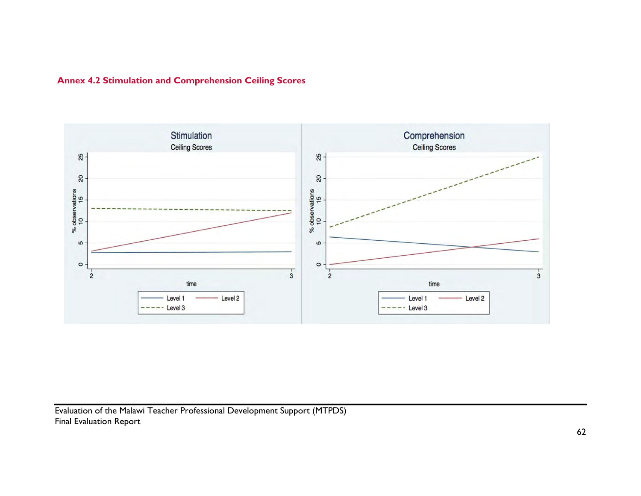

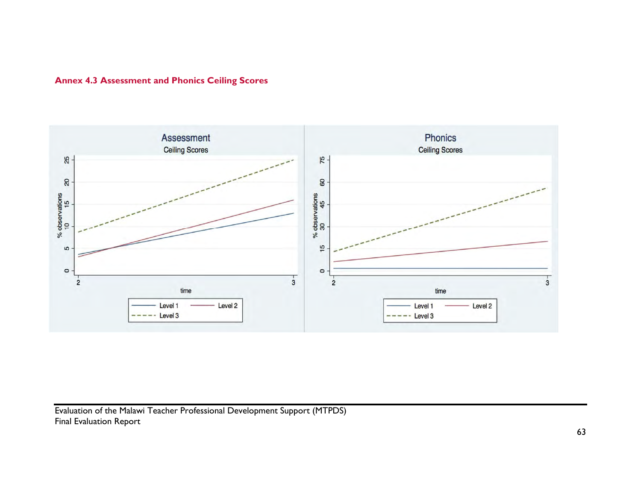

## **Annex 4.3 Assessment and Phonics Ceiling Scores**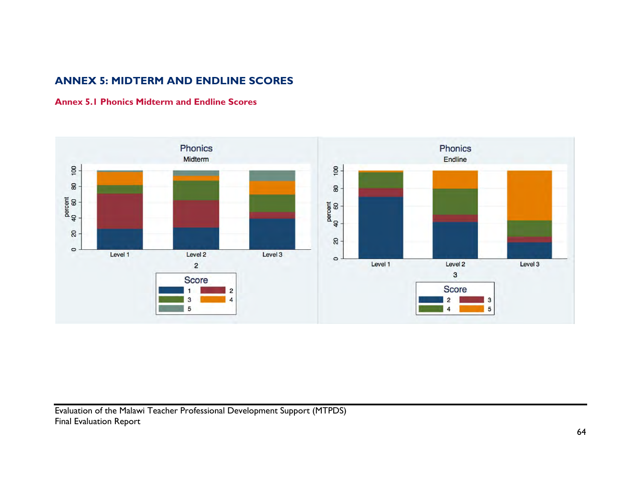# **ANNEX 5: MIDTERM AND ENDLINE SCORES**

## **Annex 5.1 Phonics Midterm and Endline Scores**

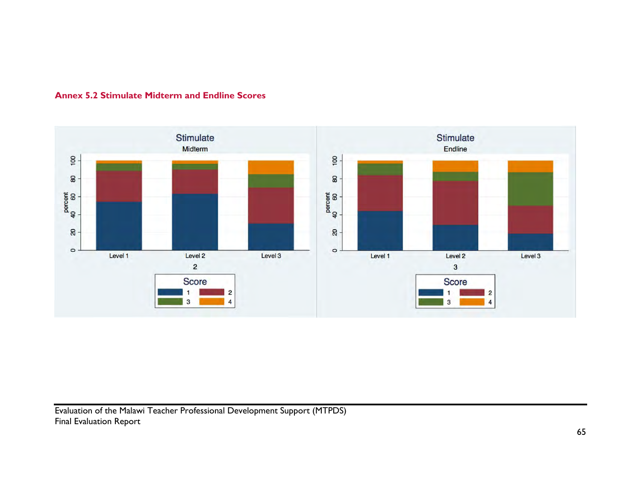

### **Annex 5.2 Stimulate Midterm and Endline Scores**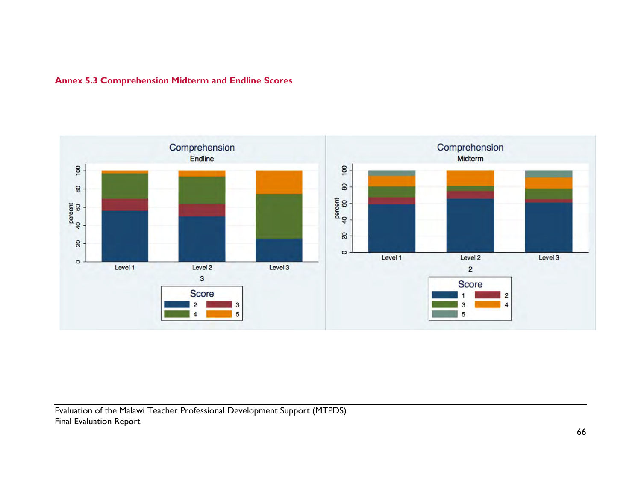

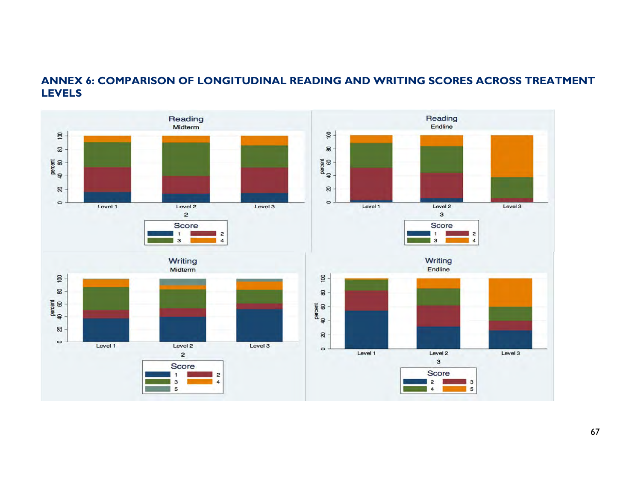## **ANNEX 6: COMPARISON OF LONGITUDINAL READING AND WRITING SCORES ACROSS TREATMENT LEVELS**

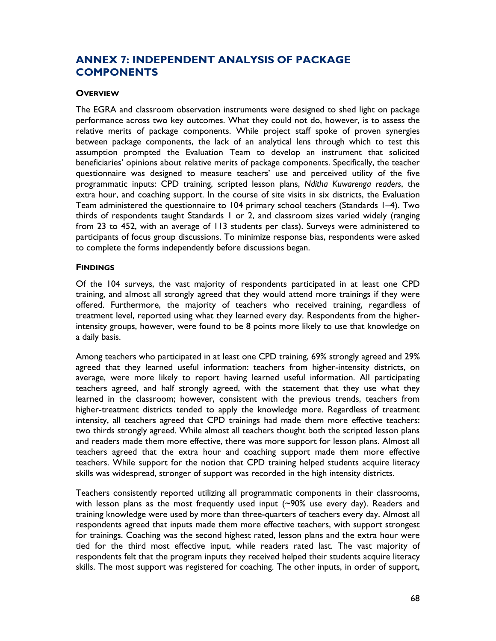## **ANNEX 7: INDEPENDENT ANALYSIS OF PACKAGE COMPONENTS**

#### **OVERVIEW**

The EGRA and classroom observation instruments were designed to shed light on package performance across two key outcomes. What they could not do, however, is to assess the relative merits of package components. While project staff spoke of proven synergies between package components, the lack of an analytical lens through which to test this assumption prompted the Evaluation Team to develop an instrument that solicited beneficiaries' opinions about relative merits of package components. Specifically, the teacher questionnaire was designed to measure teachers' use and perceived utility of the five programmatic inputs: CPD training, scripted lesson plans, *Nditha Kuwarenga readers*, the extra hour, and coaching support. In the course of site visits in six districts, the Evaluation Team administered the questionnaire to 104 primary school teachers (Standards 1–4). Two thirds of respondents taught Standards 1 or 2, and classroom sizes varied widely (ranging from 23 to 452, with an average of 113 students per class). Surveys were administered to participants of focus group discussions. To minimize response bias, respondents were asked to complete the forms independently before discussions began.

### **FINDINGS**

Of the 104 surveys, the vast majority of respondents participated in at least one CPD training, and almost all strongly agreed that they would attend more trainings if they were offered. Furthermore, the majority of teachers who received training, regardless of treatment level, reported using what they learned every day. Respondents from the higherintensity groups, however, were found to be 8 points more likely to use that knowledge on a daily basis.

Among teachers who participated in at least one CPD training, 69% strongly agreed and 29% agreed that they learned useful information: teachers from higher-intensity districts, on average, were more likely to report having learned useful information. All participating teachers agreed, and half strongly agreed, with the statement that they use what they learned in the classroom; however, consistent with the previous trends, teachers from higher-treatment districts tended to apply the knowledge more. Regardless of treatment intensity, all teachers agreed that CPD trainings had made them more effective teachers: two thirds strongly agreed. While almost all teachers thought both the scripted lesson plans and readers made them more effective, there was more support for lesson plans. Almost all teachers agreed that the extra hour and coaching support made them more effective teachers. While support for the notion that CPD training helped students acquire literacy skills was widespread, stronger of support was recorded in the high intensity districts.

Teachers consistently reported utilizing all programmatic components in their classrooms, with lesson plans as the most frequently used input (~90% use every day). Readers and training knowledge were used by more than three-quarters of teachers every day. Almost all respondents agreed that inputs made them more effective teachers, with support strongest for trainings. Coaching was the second highest rated, lesson plans and the extra hour were tied for the third most effective input, while readers rated last. The vast majority of respondents felt that the program inputs they received helped their students acquire literacy skills. The most support was registered for coaching. The other inputs, in order of support,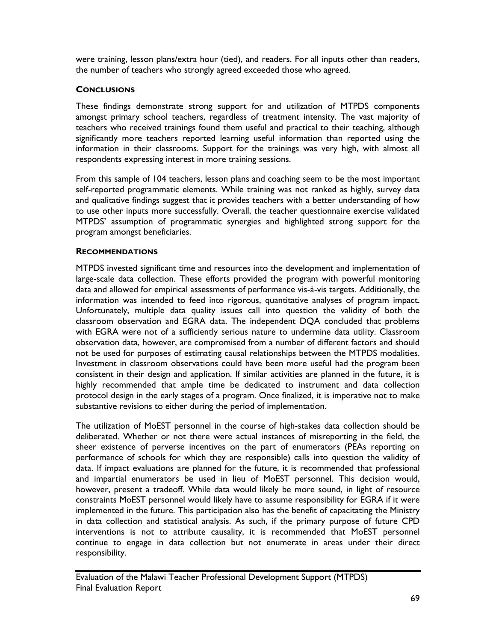were training, lesson plans/extra hour (tied), and readers. For all inputs other than readers, the number of teachers who strongly agreed exceeded those who agreed.

### **CONCLUSIONS**

These findings demonstrate strong support for and utilization of MTPDS components amongst primary school teachers, regardless of treatment intensity. The vast majority of teachers who received trainings found them useful and practical to their teaching, although significantly more teachers reported learning useful information than reported using the information in their classrooms. Support for the trainings was very high, with almost all respondents expressing interest in more training sessions.

From this sample of 104 teachers, lesson plans and coaching seem to be the most important self-reported programmatic elements. While training was not ranked as highly, survey data and qualitative findings suggest that it provides teachers with a better understanding of how to use other inputs more successfully. Overall, the teacher questionnaire exercise validated MTPDS' assumption of programmatic synergies and highlighted strong support for the program amongst beneficiaries.

### **RECOMMENDATIONS**

MTPDS invested significant time and resources into the development and implementation of large-scale data collection. These efforts provided the program with powerful monitoring data and allowed for empirical assessments of performance vis-à-vis targets. Additionally, the information was intended to feed into rigorous, quantitative analyses of program impact. Unfortunately, multiple data quality issues call into question the validity of both the classroom observation and EGRA data. The independent DQA concluded that problems with EGRA were not of a sufficiently serious nature to undermine data utility. Classroom observation data, however, are compromised from a number of different factors and should not be used for purposes of estimating causal relationships between the MTPDS modalities. Investment in classroom observations could have been more useful had the program been consistent in their design and application. If similar activities are planned in the future, it is highly recommended that ample time be dedicated to instrument and data collection protocol design in the early stages of a program. Once finalized, it is imperative not to make substantive revisions to either during the period of implementation.

The utilization of MoEST personnel in the course of high-stakes data collection should be deliberated. Whether or not there were actual instances of misreporting in the field, the sheer existence of perverse incentives on the part of enumerators (PEAs reporting on performance of schools for which they are responsible) calls into question the validity of data. If impact evaluations are planned for the future, it is recommended that professional and impartial enumerators be used in lieu of MoEST personnel. This decision would, however, present a tradeoff. While data would likely be more sound, in light of resource constraints MoEST personnel would likely have to assume responsibility for EGRA if it were implemented in the future. This participation also has the benefit of capacitating the Ministry in data collection and statistical analysis. As such, if the primary purpose of future CPD interventions is not to attribute causality, it is recommended that MoEST personnel continue to engage in data collection but not enumerate in areas under their direct responsibility.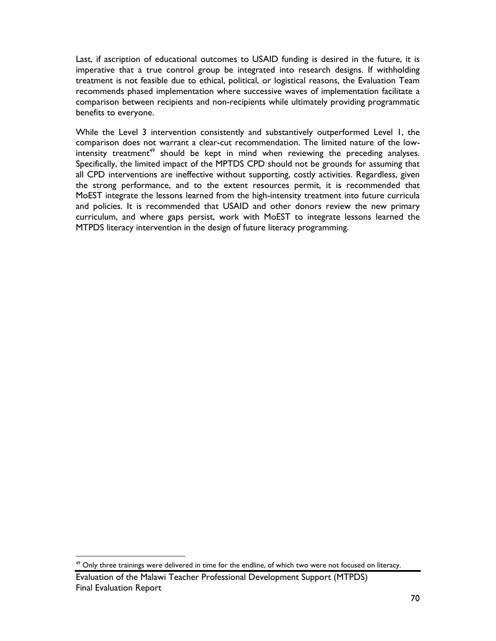Last, if ascription of educational outcomes to USAID funding is desired in the future, it is imperative that a true control group be integrated into research designs. If withholding treatment is not feasible due to ethical, political, or logistical reasons, the Evaluation Team recommends phased implementation where successive waves of implementation facilitate a comparison between recipients and non-recipients while ultimately providing programmatic benefits to everyone.

While the Level 3 intervention consistently and substantively outperformed Level 1, the comparison does not warrant a clear-cut recommendation. The limited nature of the low $interior$  intensity treatment<sup>49</sup> should be kept in mind when reviewing the preceding analyses. Specifically, the limited impact of the MPTDS CPD should not be grounds for assuming that all CPD interventions are ineffective without supporting, costly activities. Regardless, given the strong performance, and to the extent resources permit, it is recommended that MoEST integrate the lessons learned from the high-intensity treatment into future curricula and policies. It is recommended that USAID and other donors review the new primary curriculum, and where gaps persist, work with MoEST to integrate lessons learned the MTPDS literacy intervention in the design of future literacy programming.

 $\overline{a}$ 

<sup>&</sup>lt;sup>49</sup> Only three trainings were delivered in time for the endline, of which two were not focused on literacy.

Evaluation of the Malawi Teacher Professional Development Support (MTPDS) Final Evaluation Report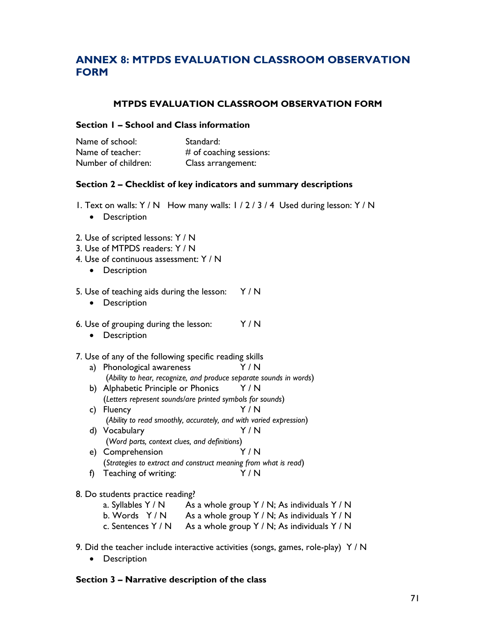# **ANNEX 8: MTPDS EVALUATION CLASSROOM OBSERVATION FORM**

### **MTPDS EVALUATION CLASSROOM OBSERVATION FORM**

### **Section 1 – School and Class information**

| Name of school:     | Standard:                 |
|---------------------|---------------------------|
| Name of teacher:    | $#$ of coaching sessions: |
| Number of children: | Class arrangement:        |

### **Section 2 – Checklist of key indicators and summary descriptions**

- 1. Text on walls: Y / N How many walls: 1 / 2 / 3 / 4 Used during lesson: Y / N
	- Description
- 2. Use of scripted lessons: Y / N
- 3. Use of MTPDS readers: Y / N
- 4. Use of continuous assessment: Y / N
	- Description
- 5. Use of teaching aids during the lesson:  $Y/N$ 
	- Description
- 6. Use of grouping during the lesson: Y / N
	- Description

#### 7. Use of any of the following specific reading skills

- a) Phonological awareness Y / N (*Ability to hear, recognize, and produce separate sounds in words*) b) Alphabetic Principle or Phonics Y/N (*Letters represent sounds/are printed symbols for sounds*) c) Fluency Y / N (*Ability to read smoothly, accurately, and with varied expression*) d) Vocabulary Y / N (*Word parts, context clues, and definitions*)
- e) Comprehension Y / N (*Strategies to extract and construct meaning from what is read*) f) Teaching of writing: Y / N
- 8. Do students practice reading?

| a. Syllables Y / N | As a whole group $Y/N$ ; As individuals $Y/N$ |
|--------------------|-----------------------------------------------|
| b. Words $Y/N$     | As a whole group $Y/N$ ; As individuals $Y/N$ |
| c. Sentences Y / N | As a whole group $Y/N$ ; As individuals $Y/N$ |

- 9. Did the teacher include interactive activities (songs, games, role-play) Y / N
	- Description

#### **Section 3 – Narrative description of the class**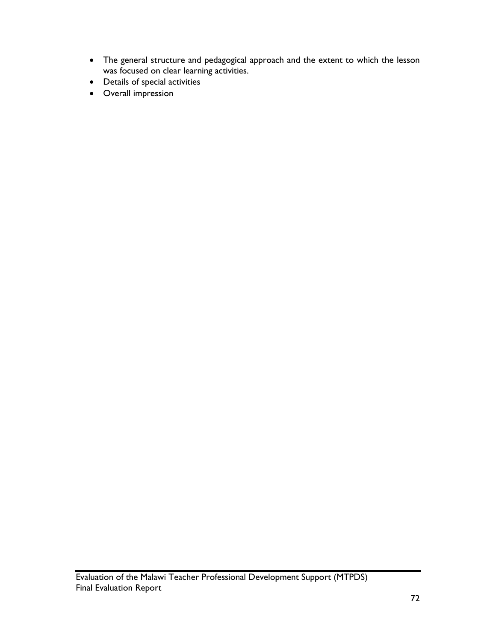- The general structure and pedagogical approach and the extent to which the lesson was focused on clear learning activities.
- Details of special activities
- Overall impression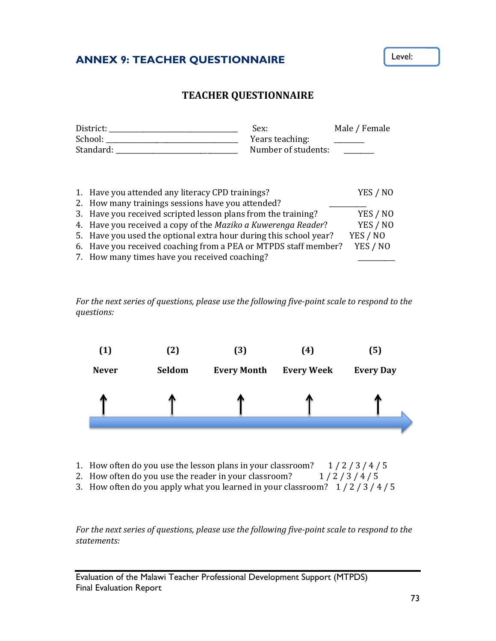# **ANNEX 9: TEACHER QUESTIONNAIRE**

## **TEACHER QUESTIONNAIRE**

| District:<br>School: |                                                                                                       | Sex:<br>Years teaching: | Male / Female |
|----------------------|-------------------------------------------------------------------------------------------------------|-------------------------|---------------|
|                      | Standard:                                                                                             | Number of students:     |               |
|                      | 1. Have you attended any literacy CPD trainings?<br>2. How many trainings sessions have you attended? |                         | YES / NO      |
|                      | 3. Have you received scripted lesson plans from the training?                                         |                         |               |
|                      | 4. Have you received a copy of the Maziko a Kuwerenga Reader?                                         |                         |               |
|                      | 5. Have you used the optional extra hour during this school year?                                     |                         | YES / NO      |
|                      | 6. Have you received coaching from a PEA or MTPDS staff member?                                       |                         | YES / NO      |
|                      | 7. How many times have you received coaching?                                                         |                         |               |

*For the next series of questions, please use the following five‐point scale to respond to the questions:*



- 1. How often do you use the lesson plans in your classroom?  $1/2/3/4/5$
- 2. How often do you use the reader in your classroom?  $1/2/3/4/5$
- 3. How often do you apply what you learned in your classroom?  $1/2/3/4/5$

*For the next series of questions, please use the following five‐point scale to respond to the statements:*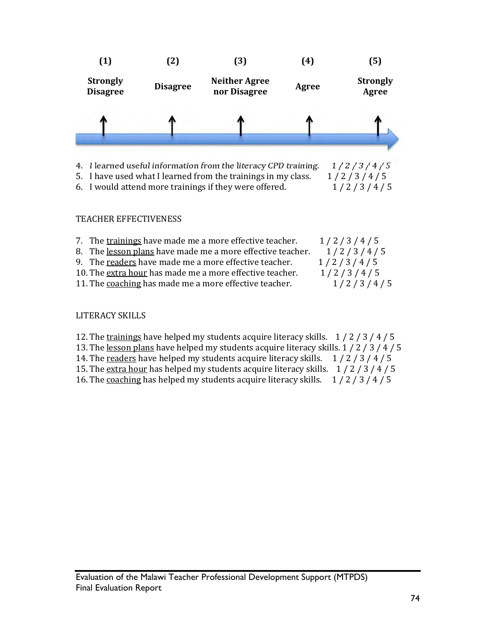



4. I learned useful information from the literacy CPD training.  $1/2/3/4/5$ 5. I have used what I learned from the trainings in my class.  $\frac{1}{2}/\frac{3}{4}/\frac{5}{5}$ 

6. I would attend more trainings if they were offered.  $\frac{1}{2}/\frac{3}{4}/\frac{5}{5}$ 

### TEACHER EFFECTIVENESS

| 7. The trainings have made me a more effective teacher.    | 1/2/3/4/5 |
|------------------------------------------------------------|-----------|
| 8. The lesson plans have made me a more effective teacher. | 1/2/3/4/5 |
| 9. The readers have made me a more effective teacher.      | 1/2/3/4/5 |
| 10. The extra hour has made me a more effective teacher.   | 1/2/3/4/5 |
| 11. The coaching has made me a more effective teacher.     | 1/2/3/4/5 |
|                                                            |           |

## LITERACY SKILLS

- 12. The trainings have helped my students acquire literacy skills.  $\frac{1}{2}/\frac{3}{4}/\frac{4}{5}$
- 13. The lesson plans have helped my students acquire literacy skills.  $1/2/3/4/5$
- 14. The readers have helped my students acquire literacy skills.  $\frac{1}{2}/\frac{3}{4}/\frac{5}{5}$
- 15. The extra hour has helped my students acquire literacy skills.  $1/2/3/4/5$
- 16. The coaching has helped my students acquire literacy skills.  $\frac{1}{2}/\frac{3}{4}/\frac{4}{5}$